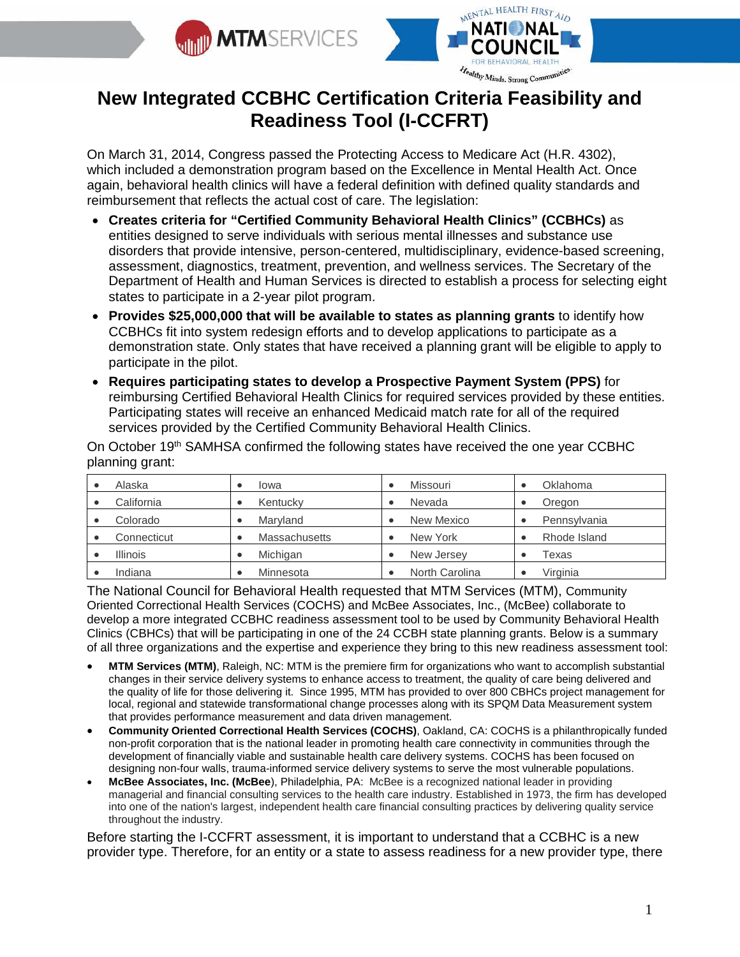



# **New Integrated CCBHC Certification Criteria Feasibility and Readiness Tool (I-CCFRT)**

On March 31, 2014, Congress passed the Protecting Access to Medicare Act (H.R. 4302), which included a demonstration program based on the Excellence in Mental Health Act. Once again, behavioral health clinics will have a federal definition with defined quality standards and reimbursement that reflects the actual cost of care. The legislation:

- **Creates criteria for "Certified Community Behavioral Health Clinics" (CCBHCs)** as entities designed to serve individuals with serious mental illnesses and substance use disorders that provide intensive, person-centered, multidisciplinary, evidence-based screening, assessment, diagnostics, treatment, prevention, and wellness services. The Secretary of the Department of Health and Human Services is directed to establish a process for selecting eight states to participate in a 2-year pilot program.
- **Provides \$25,000,000 that will be available to states as planning grants** to identify how CCBHCs fit into system redesign efforts and to develop applications to participate as a demonstration state. Only states that have received a planning grant will be eligible to apply to participate in the pilot.
- **Requires participating states to develop a Prospective Payment System (PPS)** for reimbursing Certified Behavioral Health Clinics for required services provided by these entities. Participating states will receive an enhanced Medicaid match rate for all of the required services provided by the Certified Community Behavioral Health Clinics.

On October 19th SAMHSA confirmed the following states have received the one year CCBHC planning grant:

| Alaska          | Iowa                 | Missouri       | Oklahoma     |
|-----------------|----------------------|----------------|--------------|
| California      | Kentucky             | Nevada         | Oregon       |
| Colorado        | Maryland             | New Mexico     | Pennsylvania |
| Connecticut     | <b>Massachusetts</b> | New York       | Rhode Island |
| <b>Illinois</b> | Michigan             | New Jersey     | Texas        |
| Indiana         | Minnesota            | North Carolina | Virginia     |

The National Council for Behavioral Health requested that MTM Services (MTM), Community Oriented Correctional Health Services (COCHS) and McBee Associates, Inc., (McBee) collaborate to develop a more integrated CCBHC readiness assessment tool to be used by Community Behavioral Health Clinics (CBHCs) that will be participating in one of the 24 CCBH state planning grants. Below is a summary of all three organizations and the expertise and experience they bring to this new readiness assessment tool:

- **MTM Services (MTM)**, Raleigh, NC: MTM is the premiere firm for organizations who want to accomplish substantial changes in their service delivery systems to enhance access to treatment, the quality of care being delivered and the quality of life for those delivering it. Since 1995, MTM has provided to over 800 CBHCs project management for local, regional and statewide transformational change processes along with its SPQM Data Measurement system that provides performance measurement and data driven management.
- **Community Oriented Correctional Health Services (COCHS)**, Oakland, CA: COCHS is a philanthropically funded non-profit corporation that is the national leader in promoting health care connectivity in communities through the development of financially viable and sustainable health care delivery systems. COCHS has been focused on designing non-four walls, trauma-informed service delivery systems to serve the most vulnerable populations.
- **McBee Associates, Inc. (McBee**), Philadelphia, PA: McBee is a recognized national leader in providing managerial and financial consulting services to the health care industry. Established in 1973, the firm has developed into one of the nation's largest, independent health care financial consulting practices by delivering quality service throughout the industry.

Before starting the I-CCFRT assessment, it is important to understand that a CCBHC is a new provider type. Therefore, for an entity or a state to assess readiness for a new provider type, there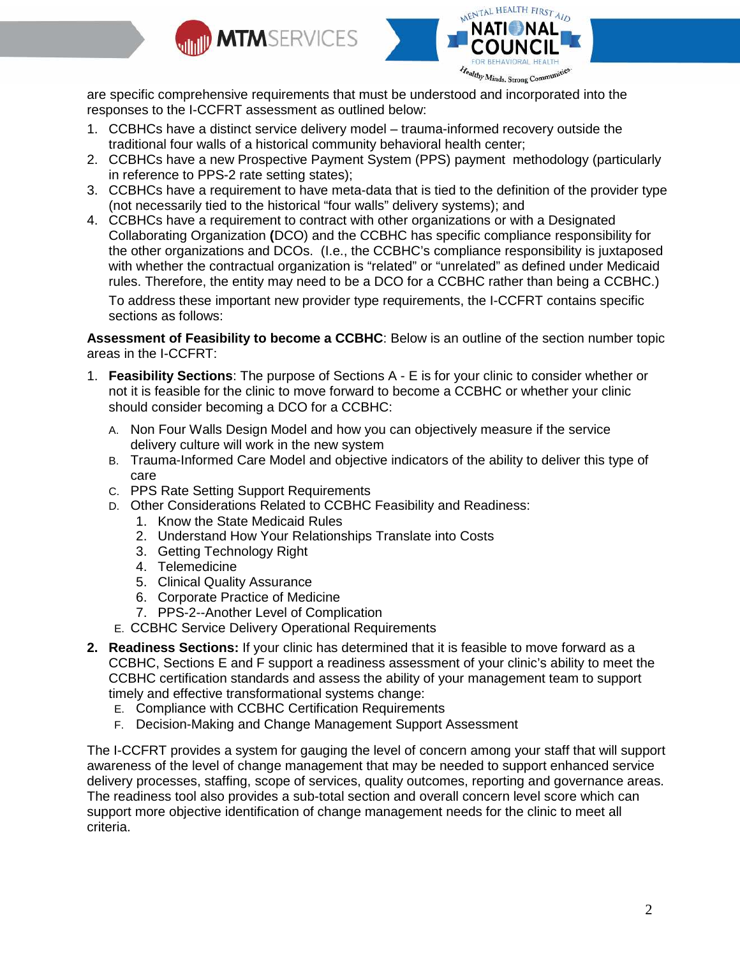



are specific comprehensive requirements that must be understood and incorporated into the responses to the I-CCFRT assessment as outlined below:

- 1. CCBHCs have a distinct service delivery model trauma-informed recovery outside the traditional four walls of a historical community behavioral health center;
- 2. CCBHCs have a new Prospective Payment System (PPS) payment methodology (particularly in reference to PPS-2 rate setting states);
- 3. CCBHCs have a requirement to have meta-data that is tied to the definition of the provider type (not necessarily tied to the historical "four walls" delivery systems); and
- 4. CCBHCs have a requirement to contract with other organizations or with a Designated Collaborating Organization **(**DCO) and the CCBHC has specific compliance responsibility for the other organizations and DCOs. (I.e., the CCBHC's compliance responsibility is juxtaposed with whether the contractual organization is "related" or "unrelated" as defined under Medicaid rules. Therefore, the entity may need to be a DCO for a CCBHC rather than being a CCBHC.) To address these important new provider type requirements, the I-CCFRT contains specific sections as follows:

**Assessment of Feasibility to become a CCBHC**: Below is an outline of the section number topic areas in the I-CCFRT:

- 1. **Feasibility Sections**: The purpose of Sections A E is for your clinic to consider whether or not it is feasible for the clinic to move forward to become a CCBHC or whether your clinic should consider becoming a DCO for a CCBHC:
	- A. Non Four Walls Design Model and how you can objectively measure if the service delivery culture will work in the new system
	- B. Trauma-Informed Care Model and objective indicators of the ability to deliver this type of care
	- C. PPS Rate Setting Support Requirements
	- D. Other Considerations Related to CCBHC Feasibility and Readiness:
		- 1. Know the State Medicaid Rules
		- 2. Understand How Your Relationships Translate into Costs
		- 3. Getting Technology Right
		- 4. Telemedicine
		- 5. Clinical Quality Assurance
		- 6. Corporate Practice of Medicine
		- 7. PPS-2--Another Level of Complication
	- E. CCBHC Service Delivery Operational Requirements
- **2. Readiness Sections:** If your clinic has determined that it is feasible to move forward as a CCBHC, Sections E and F support a readiness assessment of your clinic's ability to meet the CCBHC certification standards and assess the ability of your management team to support timely and effective transformational systems change:
	- E. Compliance with CCBHC Certification Requirements
	- F. Decision-Making and Change Management Support Assessment

The I-CCFRT provides a system for gauging the level of concern among your staff that will support awareness of the level of change management that may be needed to support enhanced service delivery processes, staffing, scope of services, quality outcomes, reporting and governance areas. The readiness tool also provides a sub-total section and overall concern level score which can support more objective identification of change management needs for the clinic to meet all criteria.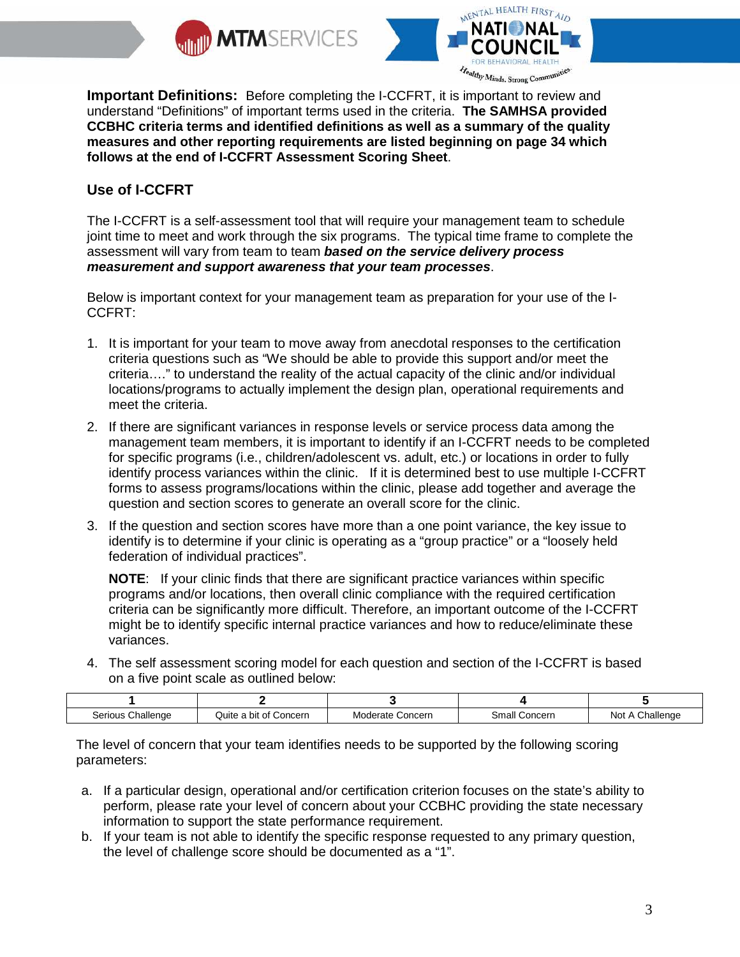



**Important Definitions:** Before completing the I-CCFRT, it is important to review and understand "Definitions" of important terms used in the criteria. **The SAMHSA provided CCBHC criteria terms and identified definitions as well as a summary of the quality measures and other reporting requirements are listed beginning on page 34 which follows at the end of I-CCFRT Assessment Scoring Sheet**.

## **Use of I-CCFRT**

The I-CCFRT is a self-assessment tool that will require your management team to schedule joint time to meet and work through the six programs. The typical time frame to complete the assessment will vary from team to team *based on the service delivery process measurement and support awareness that your team processes*.

Below is important context for your management team as preparation for your use of the I-CCFRT:

- 1. It is important for your team to move away from anecdotal responses to the certification criteria questions such as "We should be able to provide this support and/or meet the criteria…." to understand the reality of the actual capacity of the clinic and/or individual locations/programs to actually implement the design plan, operational requirements and meet the criteria.
- 2. If there are significant variances in response levels or service process data among the management team members, it is important to identify if an I-CCFRT needs to be completed for specific programs (i.e., children/adolescent vs. adult, etc.) or locations in order to fully identify process variances within the clinic. If it is determined best to use multiple I-CCFRT forms to assess programs/locations within the clinic, please add together and average the question and section scores to generate an overall score for the clinic.
- 3. If the question and section scores have more than a one point variance, the key issue to identify is to determine if your clinic is operating as a "group practice" or a "loosely held federation of individual practices".

**NOTE**: If your clinic finds that there are significant practice variances within specific programs and/or locations, then overall clinic compliance with the required certification criteria can be significantly more difficult. Therefore, an important outcome of the I-CCFRT might be to identify specific internal practice variances and how to reduce/eliminate these variances.

4. The self assessment scoring model for each question and section of the I-CCFRT is based on a five point scale as outlined below:

| Serious<br>hallende | Concerr<br>. a bit of 1<br>Quite | Concern<br>Moderate | Small Concern | ∩hallenge<br>No. |
|---------------------|----------------------------------|---------------------|---------------|------------------|

The level of concern that your team identifies needs to be supported by the following scoring parameters:

- a. If a particular design, operational and/or certification criterion focuses on the state's ability to perform, please rate your level of concern about your CCBHC providing the state necessary information to support the state performance requirement.
- b. If your team is not able to identify the specific response requested to any primary question, the level of challenge score should be documented as a "1".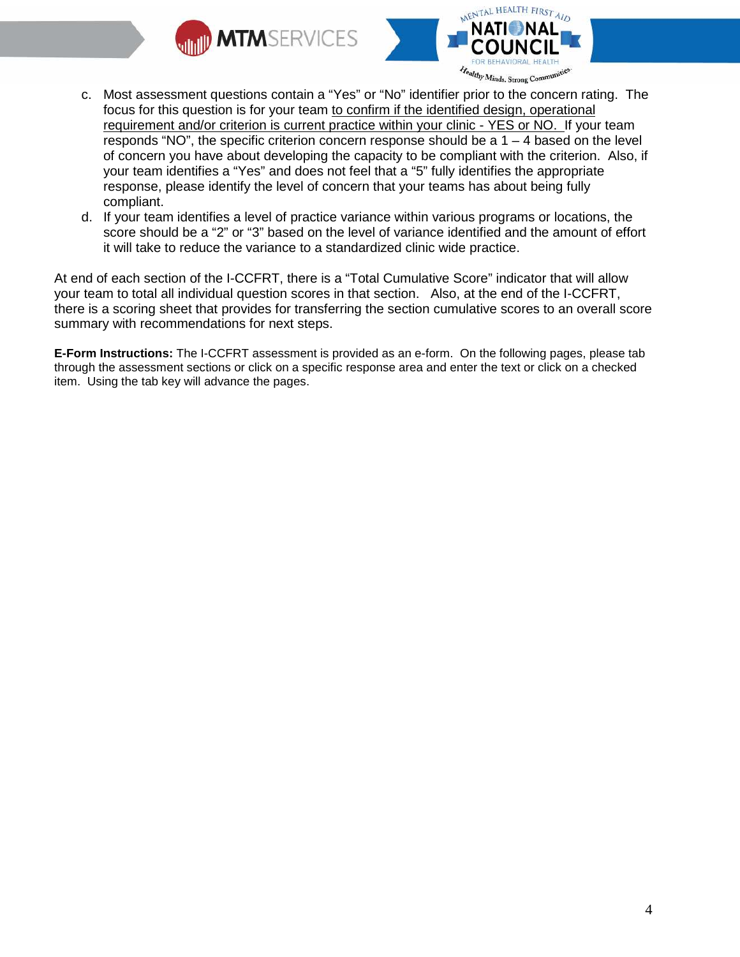



- c. Most assessment questions contain a "Yes" or "No" identifier prior to the concern rating. The focus for this question is for your team to confirm if the identified design, operational requirement and/or criterion is current practice within your clinic - YES or NO. If your team responds "NO", the specific criterion concern response should be a  $1 - 4$  based on the level of concern you have about developing the capacity to be compliant with the criterion. Also, if your team identifies a "Yes" and does not feel that a "5" fully identifies the appropriate response, please identify the level of concern that your teams has about being fully compliant.
- d. If your team identifies a level of practice variance within various programs or locations, the score should be a "2" or "3" based on the level of variance identified and the amount of effort it will take to reduce the variance to a standardized clinic wide practice.

At end of each section of the I-CCFRT, there is a "Total Cumulative Score" indicator that will allow your team to total all individual question scores in that section. Also, at the end of the I-CCFRT, there is a scoring sheet that provides for transferring the section cumulative scores to an overall score summary with recommendations for next steps.

**E-Form Instructions:** The I-CCFRT assessment is provided as an e-form. On the following pages, please tab through the assessment sections or click on a specific response area and enter the text or click on a checked item. Using the tab key will advance the pages.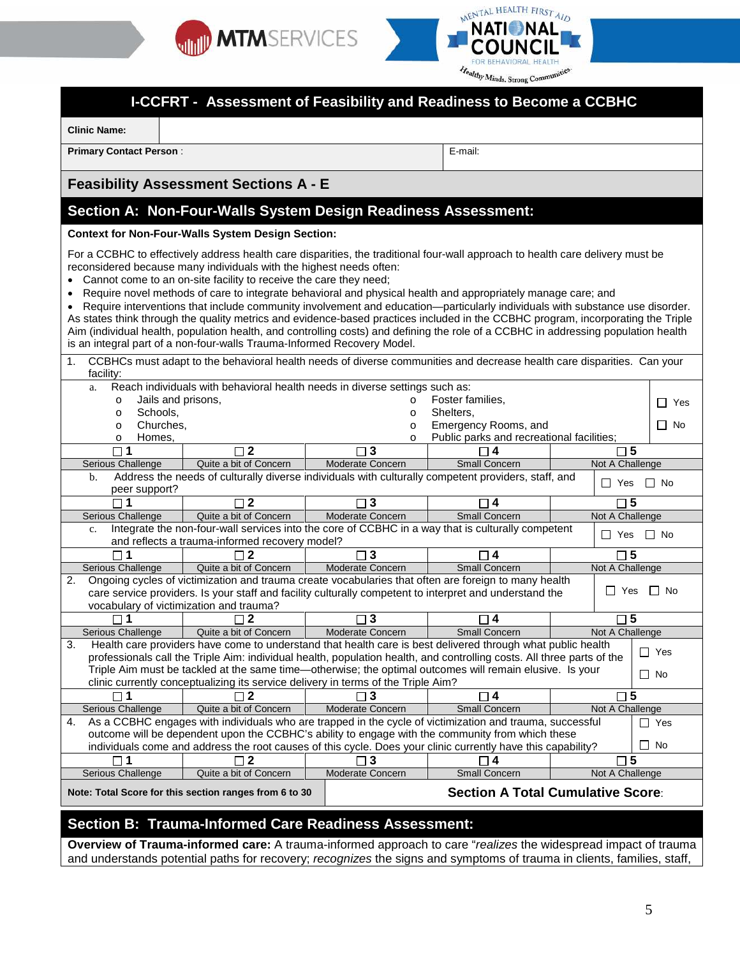



#### **Healthy Minds. St I-CCFRT - Assessment of Feasibility and Readiness to Become a CCBHC Clinic Name: Primary Contact Person** : **E-mail:** E-mail: **E-mail:** E-mail: **E-mail:** E-mail: **Feasibility Assessment Sections A - E Section A: Non-Four-Walls System Design Readiness Assessment: Context for Non-Four-Walls System Design Section:** For a CCBHC to effectively address health care disparities, the traditional four-wall approach to health care delivery must be reconsidered because many individuals with the highest needs often: Cannot come to an on-site facility to receive the care they need; • Require novel methods of care to integrate behavioral and physical health and appropriately manage care; and • Require interventions that include community involvement and education—particularly individuals with substance use disorder. As states think through the quality metrics and evidence-based practices included in the CCBHC program, incorporating the Triple Aim (individual health, population health, and controlling costs) and defining the role of a CCBHC in addressing population health is an integral part of a non-four-walls Trauma-Informed Recovery Model. 1. CCBHCs must adapt to the behavioral health needs of diverse communities and decrease health care disparities. Can your facility: a. Reach individuals with behavioral health needs in diverse settings such as: o Jails and prisons, o Foster families, □ Yes o Schools, o Shelters, o Churches, o Emergency Rooms, and □ No  $\frac{\circ}{\circ}$  Public parks and recreational facilities;<br> $\frac{\circ}{\circ}$  5  $\frac{\circ}{\Box}$  Homes, **1 2 3 4 5** Serious Challenge Quite a bit of Concern Moderate Concern Small Concern Not A Challenge b. Address the needs of culturally diverse individuals with culturally competent providers, staff, and  $\Box$  Yes  $\Box$  No **1 2 3 4 5** Serious Challenge | Quite a bit of Concern | Moderate Concern | Small Concern Not A Challenge Integrate the non-four-wall services into the core of CCBHC in a way that is culturally competent and reflects a trauma-informed recovery model?<br>and reflects a trauma-informed recovery model? **1 2 3 4 5**

|                |                                                                                                      |                                         |                                                                                   | 4                                                                                                                      | b                               |                    |  |  |
|----------------|------------------------------------------------------------------------------------------------------|-----------------------------------------|-----------------------------------------------------------------------------------|------------------------------------------------------------------------------------------------------------------------|---------------------------------|--------------------|--|--|
|                | Serious Challenge                                                                                    | Quite a bit of Concern                  | Moderate Concern                                                                  | <b>Small Concern</b>                                                                                                   | Not A Challenge                 |                    |  |  |
| 2.             | Ongoing cycles of victimization and trauma create vocabularies that often are foreign to many health |                                         |                                                                                   |                                                                                                                        |                                 |                    |  |  |
|                |                                                                                                      |                                         |                                                                                   | care service providers. Is your staff and facility culturally competent to interpret and understand the                | $\overline{\phantom{a}}$<br>Yes | $\mathsf{I}$<br>No |  |  |
|                |                                                                                                      | vocabulary of victimization and trauma? |                                                                                   |                                                                                                                        |                                 |                    |  |  |
|                |                                                                                                      |                                         | 3 ⊤                                                                               | 4                                                                                                                      | -5<br>$\Box$                    |                    |  |  |
|                | Serious Challenge                                                                                    | Quite a bit of Concern                  | Moderate Concern                                                                  | <b>Small Concern</b>                                                                                                   | Not A Challenge                 |                    |  |  |
| 3.             |                                                                                                      |                                         |                                                                                   | Health care providers have come to understand that health care is best delivered through what public health            |                                 |                    |  |  |
|                |                                                                                                      |                                         |                                                                                   | professionals call the Triple Aim: individual health, population health, and controlling costs. All three parts of the |                                 | Yes                |  |  |
|                |                                                                                                      |                                         |                                                                                   | Triple Aim must be tackled at the same time—otherwise; the optimal outcomes will remain elusive. Is your               |                                 | $\Box$ No          |  |  |
|                |                                                                                                      |                                         | clinic currently conceptualizing its service delivery in terms of the Triple Aim? |                                                                                                                        |                                 |                    |  |  |
|                |                                                                                                      |                                         |                                                                                   | 4                                                                                                                      | 5                               |                    |  |  |
|                | Serious Challenge                                                                                    | Quite a bit of Concern                  | Moderate Concern                                                                  | <b>Small Concern</b>                                                                                                   | Not A Challenge                 |                    |  |  |
| $\mathbf{4}$ . |                                                                                                      |                                         |                                                                                   | As a CCBHC engages with individuals who are trapped in the cycle of victimization and trauma, successful               |                                 | Yes<br>$\sim$      |  |  |
|                |                                                                                                      |                                         |                                                                                   | outcome will be dependent upon the CCBHC's ability to engage with the community from which these                       |                                 |                    |  |  |
|                |                                                                                                      |                                         |                                                                                   | individuals come and address the root causes of this cycle. Does your clinic currently have this capability?           |                                 | $\Box$ No          |  |  |
|                |                                                                                                      |                                         | - 13                                                                              |                                                                                                                        | -5                              |                    |  |  |
|                | Serious Challenge                                                                                    | Quite a bit of Concern                  | Moderate Concern                                                                  | <b>Small Concern</b>                                                                                                   | Not A Challenge                 |                    |  |  |
|                | <b>Section A Total Cumulative Score:</b><br>Note: Total Score for this section ranges from 6 to 30   |                                         |                                                                                   |                                                                                                                        |                                 |                    |  |  |

## **Section B: Trauma-Informed Care Readiness Assessment:**

**Overview of Trauma-informed care:** A trauma-informed approach to care "*realizes* the widespread impact of trauma and understands potential paths for recovery; *recognizes* the signs and symptoms of trauma in clients, families, staff,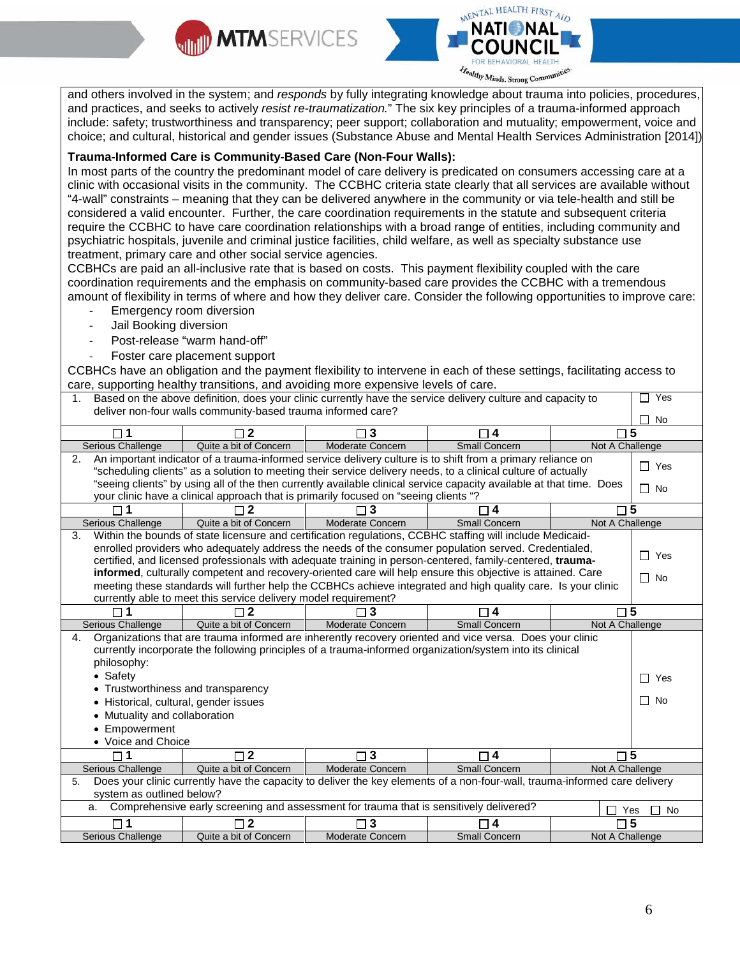



and others involved in the system; and *responds* by fully integrating knowledge about trauma into policies, procedures, and practices, and seeks to actively *resist re-traumatization.*" The six key principles of a trauma-informed approach include: safety; trustworthiness and transparency; peer support; collaboration and mutuality; empowerment, voice and choice; and cultural, historical and gender issues (Substance Abuse and Mental Health Services Administration [2014]).

#### **Trauma-Informed Care is Community-Based Care (Non-Four Walls):**

In most parts of the country the predominant model of care delivery is predicated on consumers accessing care at a clinic with occasional visits in the community. The CCBHC criteria state clearly that all services are available without "4-wall" constraints – meaning that they can be delivered anywhere in the community or via tele-health and still be considered a valid encounter. Further, the care coordination requirements in the statute and subsequent criteria require the CCBHC to have care coordination relationships with a broad range of entities, including community and psychiatric hospitals, juvenile and criminal justice facilities, child welfare, as well as specialty substance use treatment, primary care and other social service agencies.

CCBHCs are paid an all-inclusive rate that is based on costs. This payment flexibility coupled with the care coordination requirements and the emphasis on community-based care provides the CCBHC with a tremendous amount of flexibility in terms of where and how they deliver care. Consider the following opportunities to improve care:

- Emergency room diversion
- Jail Booking diversion
- Post-release "warm hand-off"
- Foster care placement support

CCBHCs have an obligation and the payment flexibility to intervene in each of these settings, facilitating access to care, supporting healthy transitions, and avoiding more expensive levels of care.

| 1. | Based on the above definition, does your clinic currently have the service delivery culture and capacity to<br>П<br>Yes |                                                                                |                                                                                                                      |                                                 |                                                                                                                            |  |  |  |
|----|-------------------------------------------------------------------------------------------------------------------------|--------------------------------------------------------------------------------|----------------------------------------------------------------------------------------------------------------------|-------------------------------------------------|----------------------------------------------------------------------------------------------------------------------------|--|--|--|
|    |                                                                                                                         | deliver non-four walls community-based trauma informed care?<br><b>No</b><br>П |                                                                                                                      |                                                 |                                                                                                                            |  |  |  |
|    | $\square$ 1                                                                                                             | $\Box$ 2                                                                       | $\Box$ 3                                                                                                             | $\Box$ 4                                        | $\square$ 5                                                                                                                |  |  |  |
|    | <b>Serious Challenge</b>                                                                                                | Quite a bit of Concern                                                         | <b>Moderate Concern</b>                                                                                              | <b>Small Concern</b>                            | Not A Challenge                                                                                                            |  |  |  |
| 2. |                                                                                                                         |                                                                                | An important indicator of a trauma-informed service delivery culture is to shift from a primary reliance on          |                                                 | П<br>Yes                                                                                                                   |  |  |  |
|    |                                                                                                                         |                                                                                | "scheduling clients" as a solution to meeting their service delivery needs, to a clinical culture of actually        |                                                 |                                                                                                                            |  |  |  |
|    |                                                                                                                         |                                                                                | "seeing clients" by using all of the then currently available clinical service capacity available at that time. Does |                                                 | $\Box$ No                                                                                                                  |  |  |  |
|    |                                                                                                                         |                                                                                | your clinic have a clinical approach that is primarily focused on "seeing clients "?                                 |                                                 |                                                                                                                            |  |  |  |
|    |                                                                                                                         |                                                                                |                                                                                                                      | 4                                               | $\square$ 5                                                                                                                |  |  |  |
|    | Serious Challenge                                                                                                       | Quite a bit of Concern                                                         | Moderate Concern                                                                                                     | <b>Small Concern</b>                            | Not A Challenge                                                                                                            |  |  |  |
| 3. |                                                                                                                         |                                                                                | Within the bounds of state licensure and certification regulations, CCBHC staffing will include Medicaid-            |                                                 |                                                                                                                            |  |  |  |
|    |                                                                                                                         |                                                                                | enrolled providers who adequately address the needs of the consumer population served. Credentialed,                 |                                                 | П<br>Yes                                                                                                                   |  |  |  |
|    |                                                                                                                         |                                                                                | certified, and licensed professionals with adequate training in person-centered, family-centered, trauma-            |                                                 |                                                                                                                            |  |  |  |
|    |                                                                                                                         |                                                                                | informed, culturally competent and recovery-oriented care will help ensure this objective is attained. Care          |                                                 | П<br><b>No</b>                                                                                                             |  |  |  |
|    |                                                                                                                         |                                                                                | meeting these standards will further help the CCBHCs achieve integrated and high quality care. Is your clinic        |                                                 |                                                                                                                            |  |  |  |
|    |                                                                                                                         | currently able to meet this service delivery model requirement?                |                                                                                                                      |                                                 |                                                                                                                            |  |  |  |
|    |                                                                                                                         | $\mathbf 2$                                                                    | 3                                                                                                                    | $\overline{4}$                                  | $\Box$ 5                                                                                                                   |  |  |  |
|    | Serious Challenge                                                                                                       | Quite a bit of Concern                                                         | <b>Moderate Concern</b>                                                                                              | <b>Small Concern</b>                            | Not A Challenge                                                                                                            |  |  |  |
| 4. |                                                                                                                         |                                                                                | Organizations that are trauma informed are inherently recovery oriented and vice versa. Does your clinic             |                                                 |                                                                                                                            |  |  |  |
|    |                                                                                                                         |                                                                                | currently incorporate the following principles of a trauma-informed organization/system into its clinical            |                                                 |                                                                                                                            |  |  |  |
|    | philosophy:                                                                                                             |                                                                                |                                                                                                                      |                                                 |                                                                                                                            |  |  |  |
|    | • Safety                                                                                                                |                                                                                |                                                                                                                      |                                                 | П<br>Yes                                                                                                                   |  |  |  |
|    | • Trustworthiness and transparency                                                                                      |                                                                                |                                                                                                                      |                                                 |                                                                                                                            |  |  |  |
|    | • Historical, cultural, gender issues                                                                                   |                                                                                |                                                                                                                      |                                                 | $\Box$<br><b>No</b>                                                                                                        |  |  |  |
|    | • Mutuality and collaboration                                                                                           |                                                                                |                                                                                                                      |                                                 |                                                                                                                            |  |  |  |
|    | • Empowerment                                                                                                           |                                                                                |                                                                                                                      |                                                 |                                                                                                                            |  |  |  |
|    | • Voice and Choice                                                                                                      |                                                                                |                                                                                                                      |                                                 |                                                                                                                            |  |  |  |
|    | $\Box$ 1                                                                                                                | $\Box$ 2                                                                       | $\square$ 3                                                                                                          | $\Box$ 4                                        | $\square$ 5                                                                                                                |  |  |  |
|    | Serious Challenge                                                                                                       | Quite a bit of Concern                                                         | <b>Moderate Concern</b>                                                                                              | <b>Small Concern</b>                            | Not A Challenge                                                                                                            |  |  |  |
| 5. |                                                                                                                         |                                                                                |                                                                                                                      |                                                 | Does your clinic currently have the capacity to deliver the key elements of a non-four-wall, trauma-informed care delivery |  |  |  |
|    | system as outlined below?                                                                                               |                                                                                |                                                                                                                      |                                                 |                                                                                                                            |  |  |  |
|    | a.                                                                                                                      |                                                                                | Comprehensive early screening and assessment for trauma that is sensitively delivered?                               |                                                 | No<br>Yes                                                                                                                  |  |  |  |
|    |                                                                                                                         |                                                                                |                                                                                                                      |                                                 |                                                                                                                            |  |  |  |
|    | $\Box$ 1<br><b>Serious Challenge</b>                                                                                    | $\Box$ 2<br>Quite a bit of Concern                                             | $\Box$ 3<br>Moderate Concern                                                                                         | $\overline{\mathbf{4}}$<br><b>Small Concern</b> | 5<br>Not A Challenge                                                                                                       |  |  |  |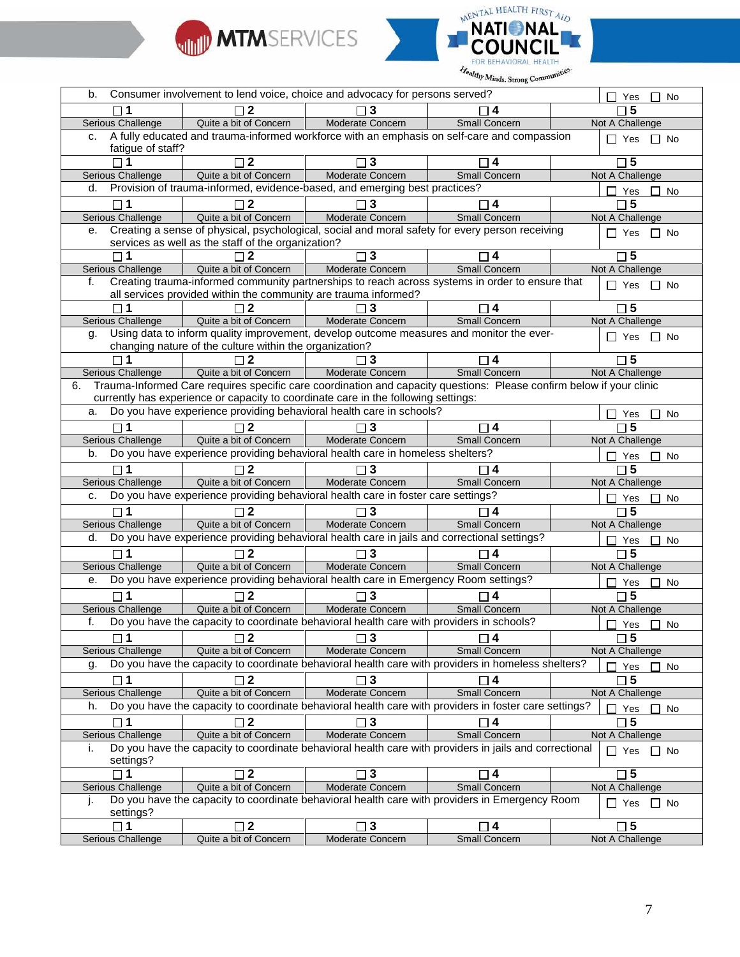



|                                                                                                                                                                                        | $\Box$ Yes<br>$\Box$ No |
|----------------------------------------------------------------------------------------------------------------------------------------------------------------------------------------|-------------------------|
| $\Box$ 5<br>$\sqcap$ 2<br>$\Box$ 3<br>l 14                                                                                                                                             |                         |
| <b>Serious Challenge</b><br>Quite a bit of Concern<br>Moderate Concern<br>Small Concern<br>Not A Challenge                                                                             |                         |
| A fully educated and trauma-informed workforce with an emphasis on self-care and compassion<br>C.                                                                                      | $\Box$ Yes $\Box$ No    |
| fatigue of staff?                                                                                                                                                                      |                         |
| $\Box$ 2<br>$\square$ 5<br>4                                                                                                                                                           |                         |
| Quite a bit of Concern<br>Moderate Concern<br><b>Small Concern</b><br>Not A Challenge<br>Serious Challenge                                                                             |                         |
| Provision of trauma-informed, evidence-based, and emerging best practices?<br>d.                                                                                                       | Yes<br>$\Box$ No        |
| $\square$ 5<br>$\sqcap$ 2<br>$\sqcap$ 3<br>$\Box$ 4<br>$\sqcap$ 1                                                                                                                      |                         |
| <b>Serious Challenge</b><br>Quite a bit of Concern<br>Moderate Concern<br><b>Small Concern</b><br>Not A Challenge                                                                      |                         |
| Creating a sense of physical, psychological, social and moral safety for every person receiving<br>е.<br>$\Box$ Yes                                                                    | $\Box$ No               |
| services as well as the staff of the organization?                                                                                                                                     |                         |
| $\Box$ 5<br>3<br>$\sqcap$ 4                                                                                                                                                            |                         |
| Quite a bit of Concern<br>Moderate Concern<br>Small Concern<br>Not A Challenge<br>Serious Challenge                                                                                    |                         |
| Creating trauma-informed community partnerships to reach across systems in order to ensure that<br>f.<br>$\Box$ Yes<br>all services provided within the community are trauma informed? | $\Box$ No               |
| $\square$ 5<br>▔ 4                                                                                                                                                                     |                         |
| Moderate Concern<br>Serious Challenge<br>Quite a bit of Concern<br>Small Concern<br>Not A Challenge                                                                                    |                         |
| Using data to inform quality improvement, develop outcome measures and monitor the ever-<br>g.                                                                                         |                         |
| $\Box$ Yes<br>changing nature of the culture within the organization?                                                                                                                  | $\Box$ No               |
| $\square$ 1<br>$\Box$ 2<br>$\sqcap$ 3<br>$\Box$ 4<br>$\square$ 5                                                                                                                       |                         |
| Moderate Concern<br><b>Small Concern</b><br>Serious Challenge<br>Quite a bit of Concern<br>Not A Challenge                                                                             |                         |
| Trauma-Informed Care requires specific care coordination and capacity questions: Please confirm below if your clinic<br>6.                                                             |                         |
| currently has experience or capacity to coordinate care in the following settings:                                                                                                     |                         |
| Do you have experience providing behavioral health care in schools?<br>a.<br>$\mathsf{L}$                                                                                              | Yes<br>$\Box$ No        |
| $\sqcap 5$<br>4⊺<br>$\Box$ 2                                                                                                                                                           |                         |
| Quite a bit of Concern<br>Serious Challenge<br>Moderate Concern<br><b>Small Concern</b><br>Not A Challenge                                                                             |                         |
| Do you have experience providing behavioral health care in homeless shelters?<br>b.<br>$\Box$ Yes                                                                                      | $\Box$ No               |
| $\Box$ 2<br>$\Box$ 5<br>$\Box$ 3<br>$\Box$ 4                                                                                                                                           |                         |
| <b>Serious Challenge</b><br>Quite a bit of Concern<br>Moderate Concern<br><b>Small Concern</b><br>Not A Challenge                                                                      |                         |
| Do you have experience providing behavioral health care in foster care settings?<br>c.<br>$\Box$ Yes                                                                                   | $\Box$ No               |
| $\square$ 5<br>$\Box$ 2<br>$\Box$ 3<br>□ 4                                                                                                                                             |                         |
| Quite a bit of Concern<br>Moderate Concern<br><b>Serious Challenge</b><br><b>Small Concern</b><br>Not A Challenge                                                                      |                         |
| Do you have experience providing behavioral health care in jails and correctional settings?<br>d.<br>$\Box$ Yes                                                                        | $\Box$ No               |
| $\Box$ 5                                                                                                                                                                               |                         |
| Quite a bit of Concern<br>Moderate Concern<br><b>Small Concern</b><br>Serious Challenge<br>Not A Challenge                                                                             |                         |
| Do you have experience providing behavioral health care in Emergency Room settings?<br>е.                                                                                              |                         |
| $\Box$ Yes<br>$\Box$ 5<br>$\sqcap$ 2<br>$\sqcap$ 4                                                                                                                                     | $\Box$ No               |
| 3 ר<br>Quite a bit of Concern<br>Moderate Concern<br>Serious Challenge<br>Small Concern<br>Not A Challenge                                                                             |                         |
| Do you have the capacity to coordinate behavioral health care with providers in schools?<br>f.                                                                                         |                         |
|                                                                                                                                                                                        | $\Box$ Yes $\Box$ No    |
| $\vert$ 1<br>$\square$ 2<br>$\square$ 3<br>$\square$ 5<br>$\Box$ 4<br>П<br>Quite a bit of Concern<br>Moderate Concern<br>Serious Challenge<br>Not A Challenge<br><b>Small Concern</b>  |                         |
| Do you have the capacity to coordinate behavioral health care with providers in homeless shelters?                                                                                     |                         |
| g.<br>$\Box$ Yes                                                                                                                                                                       | $\Box$ No               |
| $\Box$ 5<br>$\Box$ 2<br>$\square$ 3<br>$\Box$ 1<br>$\Box$ 4                                                                                                                            |                         |
|                                                                                                                                                                                        |                         |
| Quite a bit of Concern<br>Moderate Concern<br><b>Small Concern</b><br><b>Serious Challenge</b><br>Not A Challenge                                                                      |                         |
| Do you have the capacity to coordinate behavioral health care with providers in foster care settings?<br>h.                                                                            | Yes<br>$\Box$ No        |
| $\Box$ 2<br>$\Box$ 3<br>$\square$ 5<br>$\square$ 1<br>$\square$ 4                                                                                                                      |                         |
| Quite a bit of Concern<br>Moderate Concern<br><b>Small Concern</b><br><b>Serious Challenge</b><br>Not A Challenge                                                                      |                         |
| Do you have the capacity to coordinate behavioral health care with providers in jails and correctional<br>i.<br>$\Box$ Yes                                                             | $\Box$ No               |
| settings?                                                                                                                                                                              |                         |
| $\overline{\Box 2}$<br>$\overline{\Box 3}$<br>$\square$ 5<br>$\Box$ 4<br>$\square$ 1                                                                                                   |                         |
| Quite a bit of Concern<br>Moderate Concern<br>Small Concern<br>Not A Challenge<br>Serious Challenge                                                                                    |                         |
| Do you have the capacity to coordinate behavioral health care with providers in Emergency Room<br>Τ.<br>$\Box$ Yes                                                                     | $\Box$ No               |
| settings?<br>$\square$ 2<br>$\square$ 3<br>$\square$ 4<br>$\square$ 5<br>$\Box$ 1                                                                                                      |                         |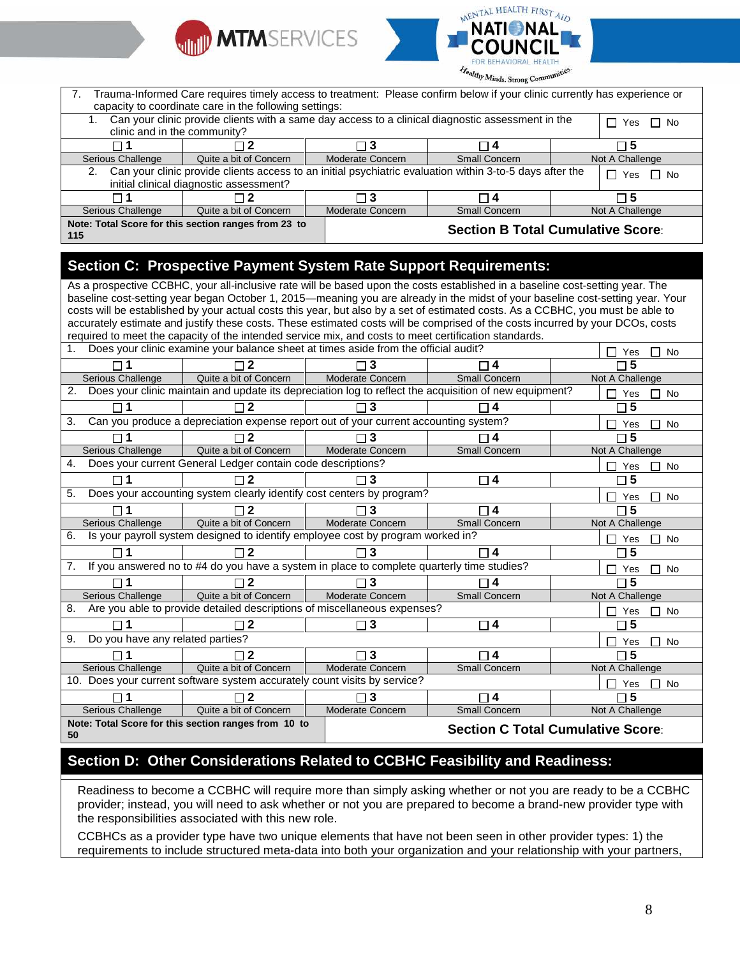



| Trauma-Informed Care requires timely access to treatment: Please confirm below if your clinic currently has experience or<br>7.<br>capacity to coordinate care in the following settings: |                                                      |                  |                                                                                                          |                                          |  |  |  |
|-------------------------------------------------------------------------------------------------------------------------------------------------------------------------------------------|------------------------------------------------------|------------------|----------------------------------------------------------------------------------------------------------|------------------------------------------|--|--|--|
| Can your clinic provide clients with a same day access to a clinical diagnostic assessment in the<br>Yes $\Box$ No<br>clinic and in the community?                                        |                                                      |                  |                                                                                                          |                                          |  |  |  |
|                                                                                                                                                                                           | □ 2                                                  | $\Box$ 3         | □ 4                                                                                                      | l I-5                                    |  |  |  |
| Serious Challenge                                                                                                                                                                         | Quite a bit of Concern                               | Moderate Concern | Small Concern                                                                                            | Not A Challenge                          |  |  |  |
| 2.                                                                                                                                                                                        | initial clinical diagnostic assessment?              |                  | Can your clinic provide clients access to an initial psychiatric evaluation within 3-to-5 days after the | $\Box$ No<br>Yes                         |  |  |  |
|                                                                                                                                                                                           | $\Box$ 2                                             | $\Box$ 3         | ∩ 4                                                                                                      | $\Box$ 5                                 |  |  |  |
| Serious Challenge                                                                                                                                                                         | Quite a bit of Concern                               | Moderate Concern | <b>Small Concern</b>                                                                                     | Not A Challenge                          |  |  |  |
| 115                                                                                                                                                                                       | Note: Total Score for this section ranges from 23 to |                  |                                                                                                          | <b>Section B Total Cumulative Score:</b> |  |  |  |

## **Section C: Prospective Payment System Rate Support Requirements:**

As a prospective CCBHC, your all-inclusive rate will be based upon the costs established in a baseline cost-setting year. The baseline cost-setting year began October 1, 2015—meaning you are already in the midst of your baseline cost-setting year. Your costs will be established by your actual costs this year, but also by a set of estimated costs. As a CCBHC, you must be able to accurately estimate and justify these costs. These estimated costs will be comprised of the costs incurred by your DCOs, costs required to meet the capacity of the intended service mix, and costs to meet certification standards.

| Does your clinic examine your balance sheet at times aside from the official audit?<br><b>No</b><br>Yes |                                                                                                        |                         |                         |                  |  |  |
|---------------------------------------------------------------------------------------------------------|--------------------------------------------------------------------------------------------------------|-------------------------|-------------------------|------------------|--|--|
|                                                                                                         |                                                                                                        | $\Box$ 3                | 4                       | 5                |  |  |
| Serious Challenge                                                                                       | Quite a bit of Concern                                                                                 | <b>Moderate Concern</b> | <b>Small Concern</b>    | Not A Challenge  |  |  |
| 2.                                                                                                      | Does your clinic maintain and update its depreciation log to reflect the acquisition of new equipment? |                         |                         | <b>No</b><br>Yes |  |  |
|                                                                                                         |                                                                                                        | $\Box$ 3                | 4                       | 5                |  |  |
| 3.                                                                                                      | Can you produce a depreciation expense report out of your current accounting system?                   |                         |                         | <b>No</b><br>Yes |  |  |
|                                                                                                         |                                                                                                        | □ 3                     |                         | 5                |  |  |
| Serious Challenge                                                                                       | Quite a bit of Concern                                                                                 | <b>Moderate Concern</b> | <b>Small Concern</b>    | Not A Challenge  |  |  |
| 4.                                                                                                      | Does your current General Ledger contain code descriptions?                                            |                         |                         | <b>No</b><br>Yes |  |  |
|                                                                                                         |                                                                                                        | $\Box$ 3                | $\Box$ 4                | 5                |  |  |
| 5.                                                                                                      | Does your accounting system clearly identify cost centers by program?                                  |                         |                         | <b>No</b><br>Yes |  |  |
| П                                                                                                       | 2                                                                                                      | $\Box$ 3                | $\overline{4}$          | 5                |  |  |
| Serious Challenge                                                                                       | Quite a bit of Concern                                                                                 | <b>Moderate Concern</b> | <b>Small Concern</b>    | Not A Challenge  |  |  |
| 6.                                                                                                      | Is your payroll system designed to identify employee cost by program worked in?                        |                         |                         | No<br>Yes        |  |  |
| П                                                                                                       |                                                                                                        | $\Box$ 3                | $\overline{\mathbf{4}}$ | 5                |  |  |
| 7.                                                                                                      | If you answered no to #4 do you have a system in place to complete quarterly time studies?             |                         |                         | <b>No</b><br>Yes |  |  |
|                                                                                                         |                                                                                                        | $\Box$ 3                | 4                       | 5                |  |  |
| Serious Challenge                                                                                       | Quite a bit of Concern                                                                                 | Moderate Concern        | <b>Small Concern</b>    | Not A Challenge  |  |  |
| 8.                                                                                                      | Are you able to provide detailed descriptions of miscellaneous expenses?                               |                         |                         | No<br>Yes        |  |  |
|                                                                                                         |                                                                                                        | $\square$ 3             | □ 4                     | 5                |  |  |
| Do you have any related parties?<br>9.                                                                  |                                                                                                        |                         |                         | <b>No</b><br>Yes |  |  |
|                                                                                                         | 2                                                                                                      | $\Box$ 3                | $\sqcap$ 4              | 5                |  |  |
| Serious Challenge                                                                                       | Quite a bit of Concern                                                                                 | <b>Moderate Concern</b> | <b>Small Concern</b>    | Not A Challenge  |  |  |
|                                                                                                         | 10. Does your current software system accurately count visits by service?                              |                         |                         | <b>No</b><br>Yes |  |  |
|                                                                                                         |                                                                                                        | $\Box$ 3                | □ 4                     | 5                |  |  |
| Serious Challenge                                                                                       | Quite a bit of Concern                                                                                 | Moderate Concern        | <b>Small Concern</b>    | Not A Challenge  |  |  |
| 50                                                                                                      | Note: Total Score for this section ranges from 10 to<br><b>Section C Total Cumulative Score:</b>       |                         |                         |                  |  |  |

## **Section D: Other Considerations Related to CCBHC Feasibility and Readiness:**

Readiness to become a CCBHC will require more than simply asking whether or not you are ready to be a CCBHC provider; instead, you will need to ask whether or not you are prepared to become a brand-new provider type with the responsibilities associated with this new role.

CCBHCs as a provider type have two unique elements that have not been seen in other provider types: 1) the requirements to include structured meta-data into both your organization and your relationship with your partners,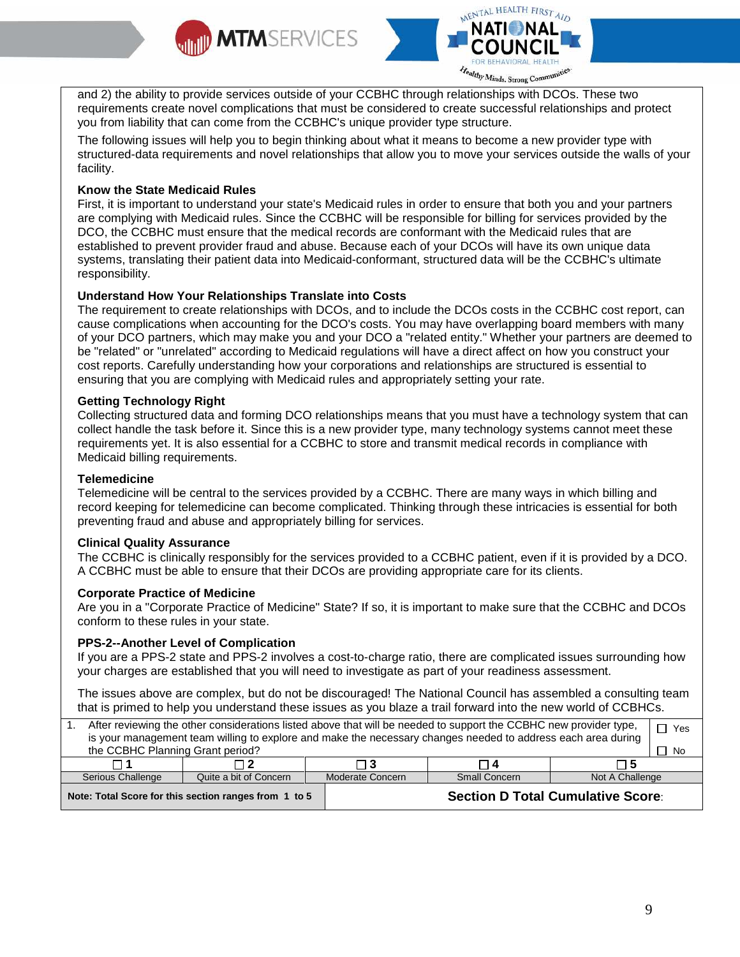



and 2) the ability to provide services outside of your CCBHC through relationships with DCOs. These two requirements create novel complications that must be considered to create successful relationships and protect you from liability that can come from the CCBHC's unique provider type structure.

The following issues will help you to begin thinking about what it means to become a new provider type with structured-data requirements and novel relationships that allow you to move your services outside the walls of your facility.

#### **Know the State Medicaid Rules**

First, it is important to understand your state's Medicaid rules in order to ensure that both you and your partners are complying with Medicaid rules. Since the CCBHC will be responsible for billing for services provided by the DCO, the CCBHC must ensure that the medical records are conformant with the Medicaid rules that are established to prevent provider fraud and abuse. Because each of your DCOs will have its own unique data systems, translating their patient data into Medicaid-conformant, structured data will be the CCBHC's ultimate responsibility.

#### **Understand How Your Relationships Translate into Costs**

The requirement to create relationships with DCOs, and to include the DCOs costs in the CCBHC cost report, can cause complications when accounting for the DCO's costs. You may have overlapping board members with many of your DCO partners, which may make you and your DCO a "related entity." Whether your partners are deemed to be "related" or "unrelated" according to Medicaid regulations will have a direct affect on how you construct your cost reports. Carefully understanding how your corporations and relationships are structured is essential to ensuring that you are complying with Medicaid rules and appropriately setting your rate.

#### **Getting Technology Right**

Collecting structured data and forming DCO relationships means that you must have a technology system that can collect handle the task before it. Since this is a new provider type, many technology systems cannot meet these requirements yet. It is also essential for a CCBHC to store and transmit medical records in compliance with Medicaid billing requirements.

#### **Telemedicine**

Telemedicine will be central to the services provided by a CCBHC. There are many ways in which billing and record keeping for telemedicine can become complicated. Thinking through these intricacies is essential for both preventing fraud and abuse and appropriately billing for services.

#### **Clinical Quality Assurance**

The CCBHC is clinically responsibly for the services provided to a CCBHC patient, even if it is provided by a DCO. A CCBHC must be able to ensure that their DCOs are providing appropriate care for its clients.

#### **Corporate Practice of Medicine**

Are you in a "Corporate Practice of Medicine" State? If so, it is important to make sure that the CCBHC and DCOs conform to these rules in your state.

#### **PPS-2--Another Level of Complication**

If you are a PPS-2 state and PPS-2 involves a cost-to-charge ratio, there are complicated issues surrounding how your charges are established that you will need to investigate as part of your readiness assessment.

The issues above are complex, but do not be discouraged! The National Council has assembled a consulting team that is primed to help you understand these issues as you blaze a trail forward into the new world of CCBHCs.

| After reviewing the other considerations listed above that will be needed to support the CCBHC new provider type,<br>is your management team willing to explore and make the necessary changes needed to address each area during |                                                       |                  |                                          |                 |    |  |  |
|-----------------------------------------------------------------------------------------------------------------------------------------------------------------------------------------------------------------------------------|-------------------------------------------------------|------------------|------------------------------------------|-----------------|----|--|--|
| the CCBHC Planning Grant period?                                                                                                                                                                                                  |                                                       |                  |                                          |                 | No |  |  |
|                                                                                                                                                                                                                                   |                                                       |                  | ▔ 4                                      | ד 5             |    |  |  |
| Serious Challenge                                                                                                                                                                                                                 | Quite a bit of Concern                                | Moderate Concern | <b>Small Concern</b>                     | Not A Challenge |    |  |  |
|                                                                                                                                                                                                                                   | Note: Total Score for this section ranges from 1 to 5 |                  | <b>Section D Total Cumulative Score:</b> |                 |    |  |  |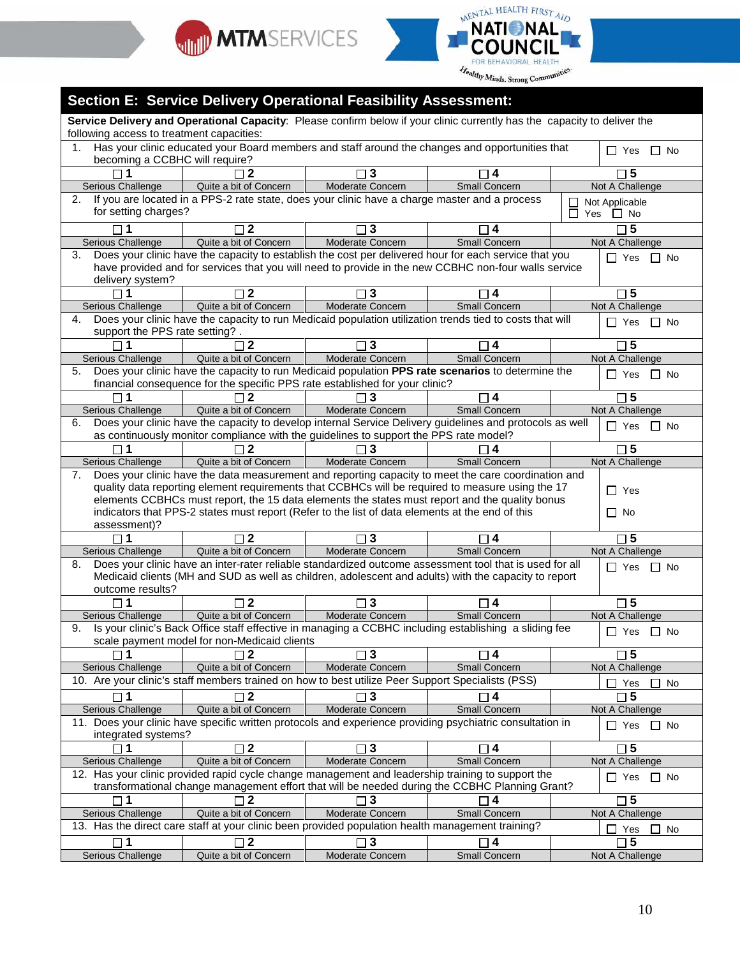



#### **Section E: Service Delivery Operational Feasibility Assessment: Service Delivery and Operational Capacity**: Please confirm below if your clinic currently has the capacity to deliver the following access to treatment capacities: 1. Has your clinic educated your Board members and staff around the changes and opportunities that  $\Box$  Yes  $\Box$  No becoming a CCBHC will require? **1 2 3 4 5** Serious Challenge | Quite a bit of Concern | Moderate Concern | Small Concern | Not A Challenge 2. If you are located in a PPS-2 rate state, does your clinic have a charge master and a process Not Applicable П for setting charges?  $\Box$ Yes  $\Box$  No **1 2 3 4 5** Serious Challenge Quite a bit of Concern | Moderate Concern | Small Concern | Not A Challenge 3. Does your clinic have the capacity to establish the cost per delivered hour for each service that you  $\Box$  Yes  $\Box$  No have provided and for services that you will need to provide in the new CCBHC non-four walls service delivery system? **1 2 3 4 5** Serious Challenge Quite a bit of Concern Moderate Concern Small Concern Not A Challenge 4. Does your clinic have the capacity to run Medicaid population utilization trends tied to costs that will  $\Box$  Yes  $\Box$  No support the PPS rate setting? . **1 2 3 4 5** Serious Challenge Quite a bit of Concern Moderate Concern Small Concern Not A Challenge 5. Does your clinic have the capacity to run Medicaid population **PPS rate scenarios** to determine the  $\Box$  Yes  $\Box$  No financial consequence for the specific PPS rate established for your clinic? **1 2 3 4 5** Serious Challenge Quite a bit of Concern Moderate Concern Small Concern Not A Challenge 6. Does your clinic have the capacity to develop internal Service Delivery guidelines and protocols as well  $\Box$  Yes  $\Box$  No as continuously monitor compliance with the guidelines to support the PPS rate model? **1 2 3 4 5** Serious Challenge | Quite a bit of Concern | Moderate Concern | Small Concern Not A Challenge 7. Does your clinic have the data measurement and reporting capacity to meet the care coordination and quality data reporting element requirements that CCBHCs will be required to measure using the 17 □ Yes elements CCBHCs must report, the 15 data elements the states must report and the quality bonus indicators that PPS-2 states must report (Refer to the list of data elements at the end of this  $\Box$  No assessment)? **1 2 3 4 5** Serious Challenge Quite a bit of Concern Moderate Concern Small Concern Not A Challenge 8. Does your clinic have an inter-rater reliable standardized outcome assessment tool that is used for all  $\Box$  Yes  $\Box$  No Medicaid clients (MH and SUD as well as children, adolescent and adults) with the capacity to report outcome results? **1 2 3 4 5** Serious Challenge | Quite a bit of Concern | Moderate Concern | Small Concern | Not A Challenge 9. Is your clinic's Back Office staff effective in managing a CCBHC including establishing a sliding fee  $\Box$  Yes  $\Box$  No scale payment model for non-Medicaid clients **1 2 3 4 5** Serious Challenge Quite a bit of Concern Moderate Concern Small Concern Not A Challenge 10. Are your clinic's staff members trained on how to best utilize Peer Support Specialists (PSS)  $\Box$  Yes  $\Box$  No **1 2 3 4 5** Serious Challenge | Quite a bit of Concern | Moderate Concern | Small Concern | Not A Challenge 11. Does your clinic have specific written protocols and experience providing psychiatric consultation in  $\Box$  Yes  $\Box$  No integrated systems? **1 2 3 4 5** Serious Challenge Quite a bit of Concern Moderate Concern Small Concern Not A Challenge 12. Has your clinic provided rapid cycle change management and leadership training to support the  $\Box$  Yes  $\Box$  No transformational change management effort that will be needed during the CCBHC Planning Grant? **1 2 3 4 5** Serious Challenge Quite a bit of Concern Moderate Concern Small Concern Not A Challenge 13. Has the direct care staff at your clinic been provided population health management training?  $\Box$  Yes  $\Box$  No **1 2 3 4 5** Serious Challenge | Quite a bit of Concern | Moderate Concern | Small Concern | Not A Challenge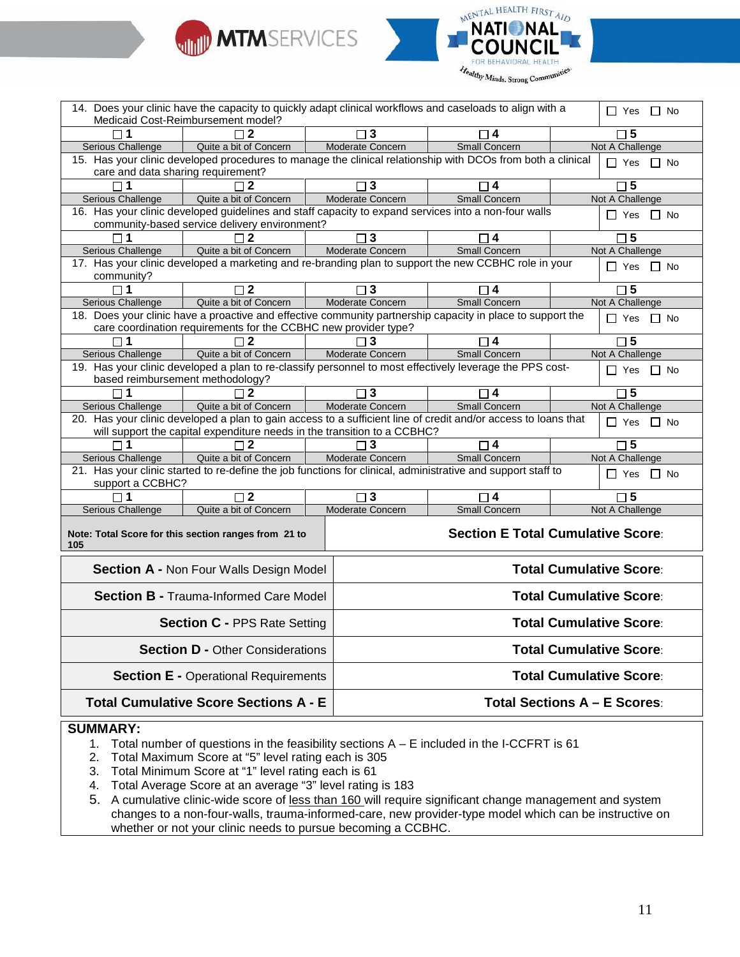



|                                                                 | 14. Does your clinic have the capacity to quickly adapt clinical workflows and caseloads to align with a<br>$\Box$ Yes $\Box$ No                                              |                        |                                |                                          |  |  |
|-----------------------------------------------------------------|-------------------------------------------------------------------------------------------------------------------------------------------------------------------------------|------------------------|--------------------------------|------------------------------------------|--|--|
|                                                                 | Medicaid Cost-Reimbursement model?                                                                                                                                            |                        |                                |                                          |  |  |
|                                                                 | Quite a bit of Concern                                                                                                                                                        | ٦3<br>Moderate Concern | <b>Small Concern</b>           | $\square$ 5<br>Not A Challenge           |  |  |
| Serious Challenge                                               | 15. Has your clinic developed procedures to manage the clinical relationship with DCOs from both a clinical                                                                   |                        |                                |                                          |  |  |
| care and data sharing requirement?                              |                                                                                                                                                                               |                        |                                | $\Box$ Yes $\Box$ No                     |  |  |
| $\Box$ 1                                                        | $\sqcap$ 2                                                                                                                                                                    | $\Box$ 3               | $\Box$ 4                       | $\square$ 5                              |  |  |
| Serious Challenge                                               | Quite a bit of Concern                                                                                                                                                        | Moderate Concern       | <b>Small Concern</b>           | Not A Challenge                          |  |  |
|                                                                 | 16. Has your clinic developed guidelines and staff capacity to expand services into a non-four walls<br>$\Box$ Yes $\Box$ No<br>community-based service delivery environment? |                        |                                |                                          |  |  |
|                                                                 | $\sqcap$ 2                                                                                                                                                                    | $\sqcap$ 3             | $\Box$ 4                       | $\square$ 5                              |  |  |
| Serious Challenge                                               | Quite a bit of Concern                                                                                                                                                        | Moderate Concern       | <b>Small Concern</b>           | Not A Challenge                          |  |  |
|                                                                 | 17. Has your clinic developed a marketing and re-branding plan to support the new CCBHC role in your                                                                          |                        |                                | $\Box$ Yes $\Box$ No                     |  |  |
| community?                                                      |                                                                                                                                                                               |                        |                                |                                          |  |  |
| $\Box$ 1                                                        | $\sqcap$ 2                                                                                                                                                                    | $\Box$ 3               | $\Box$ 4                       | $\Box$ 5                                 |  |  |
| Serious Challenge                                               | Quite a bit of Concern                                                                                                                                                        | Moderate Concern       | <b>Small Concern</b>           | Not A Challenge                          |  |  |
|                                                                 | 18. Does your clinic have a proactive and effective community partnership capacity in place to support the                                                                    |                        |                                | $\Box$ Yes $\Box$ No                     |  |  |
| care coordination requirements for the CCBHC new provider type? |                                                                                                                                                                               |                        |                                |                                          |  |  |
|                                                                 | $\mathbf{2}$                                                                                                                                                                  | 3                      | $\boldsymbol{4}$               | $\Box$ 5                                 |  |  |
| <b>Serious Challenge</b>                                        | Quite a bit of Concern                                                                                                                                                        | Moderate Concern       | Small Concern                  | Not A Challenge                          |  |  |
|                                                                 | 19. Has your clinic developed a plan to re-classify personnel to most effectively leverage the PPS cost-<br>$\Box$ Yes $\Box$ No<br>based reimbursement methodology?          |                        |                                |                                          |  |  |
|                                                                 |                                                                                                                                                                               | $\overline{\Box 3}$    |                                |                                          |  |  |
| $\Box$ 1<br><b>Serious Challenge</b>                            | $\sqcap$ 2<br>Quite a bit of Concern                                                                                                                                          | Moderate Concern       | $\Box$ 4<br>Small Concern      | $\square$ 5<br>Not A Challenge           |  |  |
|                                                                 | 20. Has your clinic developed a plan to gain access to a sufficient line of credit and/or access to loans that                                                                |                        |                                |                                          |  |  |
|                                                                 | will support the capital expenditure needs in the transition to a CCBHC?                                                                                                      |                        |                                | $\Box$ Yes $\Box$ No                     |  |  |
| $\Box$ 1                                                        | $\square$ 2                                                                                                                                                                   | $\Box$ 3               | $\Box$ 4                       | $\square$ 5                              |  |  |
| Serious Challenge                                               | Quite a bit of Concern                                                                                                                                                        | Moderate Concern       | <b>Small Concern</b>           | Not A Challenge                          |  |  |
| support a CCBHC?                                                | 21. Has your clinic started to re-define the job functions for clinical, administrative and support staff to                                                                  |                        |                                | $\Box$ Yes $\Box$ No                     |  |  |
| $\Box$ 1                                                        | $\Box$ 2                                                                                                                                                                      | $\Box$ 3               | $\Box$ 4                       | $\square$ 5                              |  |  |
| Serious Challenge                                               | Quite a bit of Concern                                                                                                                                                        | Moderate Concern       | <b>Small Concern</b>           | Not A Challenge                          |  |  |
| 105                                                             | Note: Total Score for this section ranges from 21 to                                                                                                                          |                        |                                | <b>Section E Total Cumulative Score:</b> |  |  |
|                                                                 | <b>Section A - Non Four Walls Design Model</b>                                                                                                                                |                        | <b>Total Cumulative Score:</b> |                                          |  |  |
|                                                                 | <b>Section B - Trauma-Informed Care Model</b>                                                                                                                                 |                        | <b>Total Cumulative Score:</b> |                                          |  |  |
|                                                                 | <b>Section C - PPS Rate Setting</b>                                                                                                                                           |                        | <b>Total Cumulative Score:</b> |                                          |  |  |
|                                                                 | <b>Section D - Other Considerations</b>                                                                                                                                       |                        | <b>Total Cumulative Score:</b> |                                          |  |  |
|                                                                 | <b>Section E - Operational Requirements</b>                                                                                                                                   |                        | <b>Total Cumulative Score:</b> |                                          |  |  |
|                                                                 |                                                                                                                                                                               |                        |                                |                                          |  |  |
|                                                                 | <b>Total Cumulative Score Sections A - E</b>                                                                                                                                  |                        |                                | <b>Total Sections A - E Scores:</b>      |  |  |

#### **SUMMARY:**

- 1. Total number of questions in the feasibility sections A E included in the I-CCFRT is 61
- 2. Total Maximum Score at "5" level rating each is 305
- 3. Total Minimum Score at "1" level rating each is 61
- 4. Total Average Score at an average "3" level rating is 183
- 5. A cumulative clinic-wide score of less than 160 will require significant change management and system changes to a non-four-walls, trauma-informed-care, new provider-type model which can be instructive on whether or not your clinic needs to pursue becoming a CCBHC.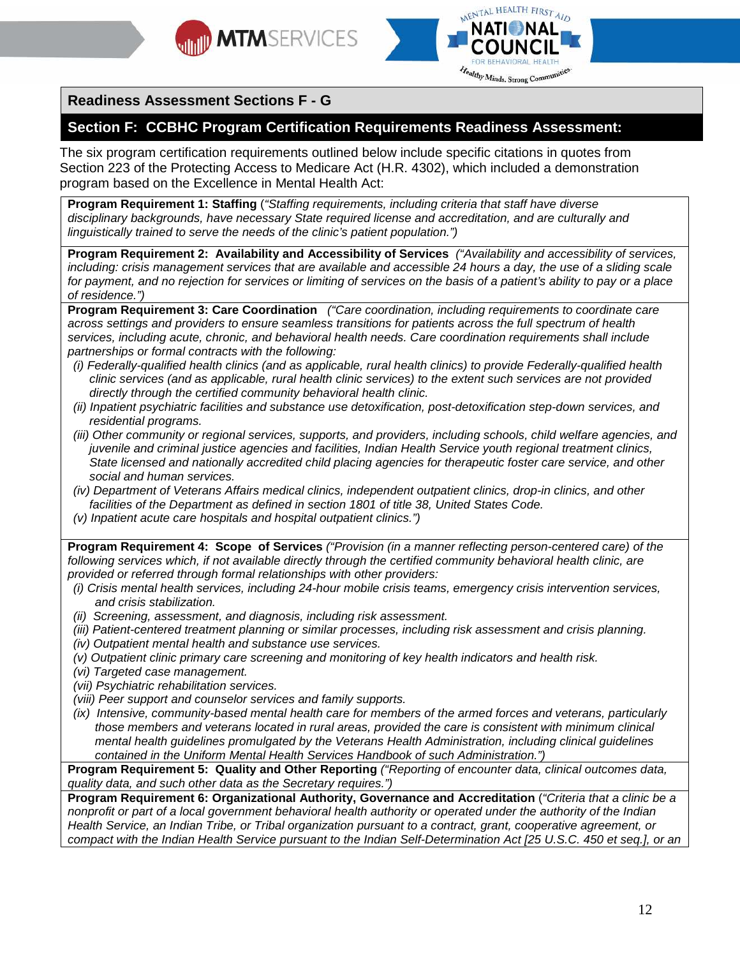



## **Readiness Assessment Sections F - G**

## **Section F: CCBHC Program Certification Requirements Readiness Assessment:**

The six program certification requirements outlined below include specific citations in quotes from Section 223 of the Protecting Access to Medicare Act (H.R. 4302), which included a demonstration program based on the Excellence in Mental Health Act:

**Program Requirement 1: Staffing** (*"Staffing requirements, including criteria that staff have diverse disciplinary backgrounds, have necessary State required license and accreditation, and are culturally and linguistically trained to serve the needs of the clinic's patient population.")*

**Program Requirement 2: Availability and Accessibility of Services** *("Availability and accessibility of services, including: crisis management services that are available and accessible 24 hours a day, the use of a sliding scale for payment, and no rejection for services or limiting of services on the basis of a patient's ability to pay or a place of residence.")*

**Program Requirement 3: Care Coordination** *("Care coordination, including requirements to coordinate care across settings and providers to ensure seamless transitions for patients across the full spectrum of health services, including acute, chronic, and behavioral health needs. Care coordination requirements shall include partnerships or formal contracts with the following:*

- *(i) Federally-qualified health clinics (and as applicable, rural health clinics) to provide Federally-qualified health clinic services (and as applicable, rural health clinic services) to the extent such services are not provided directly through the certified community behavioral health clinic.*
- *(ii) Inpatient psychiatric facilities and substance use detoxification, post-detoxification step-down services, and residential programs.*
- *(iii) Other community or regional services, supports, and providers, including schools, child welfare agencies, and juvenile and criminal justice agencies and facilities, Indian Health Service youth regional treatment clinics, State licensed and nationally accredited child placing agencies for therapeutic foster care service, and other social and human services.*
- *(iv) Department of Veterans Affairs medical clinics, independent outpatient clinics, drop-in clinics, and other facilities of the Department as defined in section 1801 of title 38, United States Code.*
- *(v) Inpatient acute care hospitals and hospital outpatient clinics.")*

**Program Requirement 4: Scope of Services** *("Provision (in a manner reflecting person-centered care) of the following services which, if not available directly through the certified community behavioral health clinic, are provided or referred through formal relationships with other providers:*

- *(i) Crisis mental health services, including 24-hour mobile crisis teams, emergency crisis intervention services, and crisis stabilization.*
- *(ii) Screening, assessment, and diagnosis, including risk assessment.*
- *(iii) Patient-centered treatment planning or similar processes, including risk assessment and crisis planning.*
- *(iv) Outpatient mental health and substance use services.*
- *(v) Outpatient clinic primary care screening and monitoring of key health indicators and health risk.*
- *(vi) Targeted case management.*
- *(vii) Psychiatric rehabilitation services.*
- *(viii) Peer support and counselor services and family supports.*
- *(ix) Intensive, community-based mental health care for members of the armed forces and veterans, particularly those members and veterans located in rural areas, provided the care is consistent with minimum clinical mental health guidelines promulgated by the Veterans Health Administration, including clinical guidelines contained in the Uniform Mental Health Services Handbook of such Administration.")*

**Program Requirement 5: Quality and Other Reporting** *("Reporting of encounter data, clinical outcomes data, quality data, and such other data as the Secretary requires.")*

**Program Requirement 6: Organizational Authority, Governance and Accreditation** (*"Criteria that a clinic be a nonprofit or part of a local government behavioral health authority or operated under the authority of the Indian Health Service, an Indian Tribe, or Tribal organization pursuant to a contract, grant, cooperative agreement, or compact with the Indian Health Service pursuant to the Indian Self-Determination Act [25 U.S.C. 450 et seq.], or an*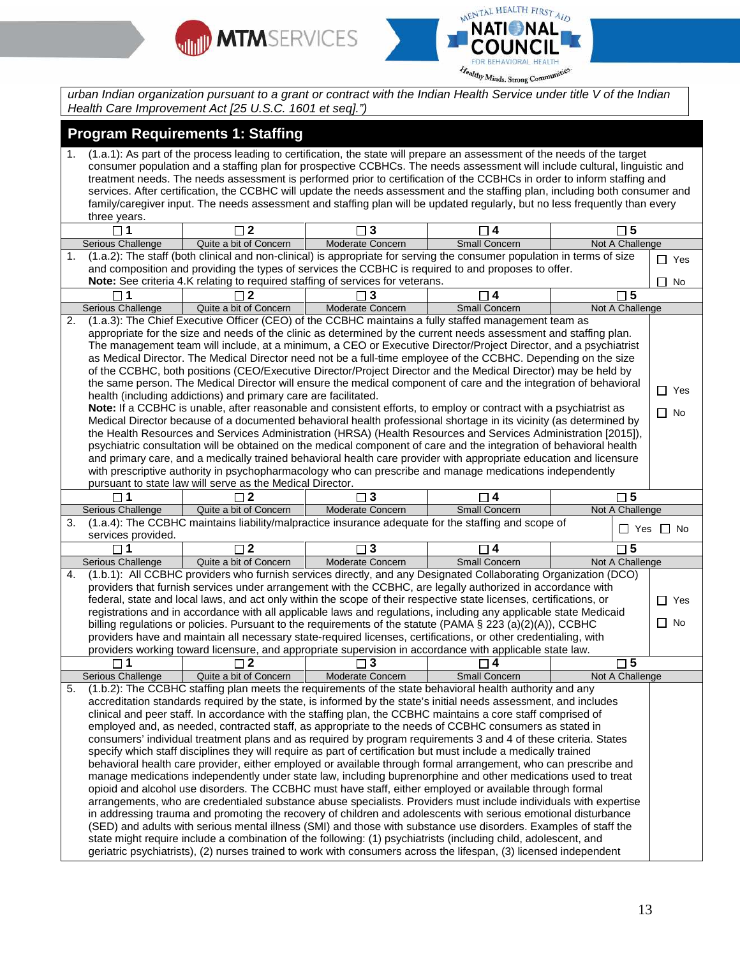



*urban Indian organization pursuant to a grant or contract with the Indian Health Service under title V of the Indian Health Care Improvement Act [25 U.S.C. 1601 et seq].")*

## **Program Requirements 1: Staffing**

1. (1.a.1): As part of the process leading to certification, the state will prepare an assessment of the needs of the target consumer population and a staffing plan for prospective CCBHCs. The needs assessment will include cultural, linguistic and treatment needs. The needs assessment is performed prior to certification of the CCBHCs in order to inform staffing and services. After certification, the CCBHC will update the needs assessment and the staffing plan, including both consumer and family/caregiver input. The needs assessment and staffing plan will be updated regularly, but no less frequently than every three years.

|                                                                                                                                             | $\square$ 1                                | $\square$ 2                                                     | $\square$ 3                                                                    | $\Box$ 4                                                                                                            | $\square$ 5     |            |  |  |
|---------------------------------------------------------------------------------------------------------------------------------------------|--------------------------------------------|-----------------------------------------------------------------|--------------------------------------------------------------------------------|---------------------------------------------------------------------------------------------------------------------|-----------------|------------|--|--|
|                                                                                                                                             | Serious Challenge                          | Quite a bit of Concern                                          | Moderate Concern                                                               | <b>Small Concern</b>                                                                                                | Not A Challenge |            |  |  |
| (1.a.2): The staff (both clinical and non-clinical) is appropriate for serving the consumer population in terms of size<br>1.<br>$\Box$ Yes |                                            |                                                                 |                                                                                |                                                                                                                     |                 |            |  |  |
|                                                                                                                                             |                                            |                                                                 |                                                                                | and composition and providing the types of services the CCBHC is required to and proposes to offer.                 |                 |            |  |  |
|                                                                                                                                             |                                            |                                                                 | Note: See criteria 4.K relating to required staffing of services for veterans. |                                                                                                                     |                 | No         |  |  |
|                                                                                                                                             | $\neg$ 1                                   | $\sqcap$ 2                                                      | 3                                                                              | ㄱ4                                                                                                                  | $\square$ 5     |            |  |  |
|                                                                                                                                             | Serious Challenge                          | Quite a bit of Concern                                          | Moderate Concern                                                               | <b>Small Concern</b>                                                                                                | Not A Challenge |            |  |  |
| 2.                                                                                                                                          |                                            |                                                                 |                                                                                | (1.a.3): The Chief Executive Officer (CEO) of the CCBHC maintains a fully staffed management team as                |                 |            |  |  |
|                                                                                                                                             |                                            |                                                                 |                                                                                | appropriate for the size and needs of the clinic as determined by the current needs assessment and staffing plan.   |                 |            |  |  |
| The management team will include, at a minimum, a CEO or Executive Director/Project Director, and a psychiatrist                            |                                            |                                                                 |                                                                                |                                                                                                                     |                 |            |  |  |
| as Medical Director. The Medical Director need not be a full-time employee of the CCBHC. Depending on the size                              |                                            |                                                                 |                                                                                |                                                                                                                     |                 |            |  |  |
|                                                                                                                                             |                                            |                                                                 |                                                                                | of the CCBHC, both positions (CEO/Executive Director/Project Director and the Medical Director) may be held by      |                 |            |  |  |
|                                                                                                                                             |                                            |                                                                 |                                                                                | the same person. The Medical Director will ensure the medical component of care and the integration of behavioral   |                 |            |  |  |
|                                                                                                                                             |                                            | health (including addictions) and primary care are facilitated. |                                                                                |                                                                                                                     |                 | $\Box$ Yes |  |  |
|                                                                                                                                             |                                            |                                                                 |                                                                                | Note: If a CCBHC is unable, after reasonable and consistent efforts, to employ or contract with a psychiatrist as   |                 | $\Box$ No  |  |  |
|                                                                                                                                             |                                            |                                                                 |                                                                                | Medical Director because of a documented behavioral health professional shortage in its vicinity (as determined by  |                 |            |  |  |
|                                                                                                                                             |                                            |                                                                 |                                                                                | the Health Resources and Services Administration (HRSA) (Health Resources and Services Administration [2015]),      |                 |            |  |  |
|                                                                                                                                             |                                            |                                                                 |                                                                                | psychiatric consultation will be obtained on the medical component of care and the integration of behavioral health |                 |            |  |  |
|                                                                                                                                             |                                            |                                                                 |                                                                                | and primary care, and a medically trained behavioral health care provider with appropriate education and licensure  |                 |            |  |  |
|                                                                                                                                             |                                            |                                                                 |                                                                                | with prescriptive authority in psychopharmacology who can prescribe and manage medications independently            |                 |            |  |  |
|                                                                                                                                             |                                            | pursuant to state law will serve as the Medical Director.       |                                                                                |                                                                                                                     |                 |            |  |  |
|                                                                                                                                             | $\square$ 1                                | $\square$ 2                                                     | $\square$ 3                                                                    | $\Box$ 4                                                                                                            | $\square$ 5     |            |  |  |
|                                                                                                                                             | Serious Challenge                          | Quite a bit of Concern                                          | Moderate Concern                                                               | Small Concern                                                                                                       | Not A Challenge |            |  |  |
| 3.                                                                                                                                          |                                            |                                                                 |                                                                                | (1.a.4): The CCBHC maintains liability/malpractice insurance adequate for the staffing and scope of                 |                 |            |  |  |
|                                                                                                                                             | $\Box$ Yes $\Box$ No<br>services provided. |                                                                 |                                                                                |                                                                                                                     |                 |            |  |  |
|                                                                                                                                             |                                            |                                                                 |                                                                                |                                                                                                                     |                 |            |  |  |
|                                                                                                                                             |                                            | $\Box$ 2                                                        | 3                                                                              |                                                                                                                     | $\Box$ 5        |            |  |  |
|                                                                                                                                             | Serious Challenge                          | Quite a bit of Concern                                          | Moderate Concern                                                               | Small Concern                                                                                                       | Not A Challenge |            |  |  |
| 4.                                                                                                                                          |                                            |                                                                 |                                                                                | (1.b.1): All CCBHC providers who furnish services directly, and any Designated Collaborating Organization (DCO)     |                 |            |  |  |
|                                                                                                                                             |                                            |                                                                 |                                                                                | providers that furnish services under arrangement with the CCBHC, are legally authorized in accordance with         |                 |            |  |  |
|                                                                                                                                             |                                            |                                                                 |                                                                                | federal, state and local laws, and act only within the scope of their respective state licenses, certifications, or |                 | $\Box$ Yes |  |  |
|                                                                                                                                             |                                            |                                                                 |                                                                                | registrations and in accordance with all applicable laws and regulations, including any applicable state Medicaid   |                 |            |  |  |
|                                                                                                                                             |                                            |                                                                 |                                                                                | billing regulations or policies. Pursuant to the requirements of the statute (PAMA § 223 (a)(2)(A)), CCBHC          |                 | $\Box$ No  |  |  |
|                                                                                                                                             |                                            |                                                                 |                                                                                | providers have and maintain all necessary state-required licenses, certifications, or other credentialing, with     |                 |            |  |  |
|                                                                                                                                             |                                            |                                                                 |                                                                                | providers working toward licensure, and appropriate supervision in accordance with applicable state law.            |                 |            |  |  |
|                                                                                                                                             | $\Box$ 1                                   | $\Box$ 2                                                        | $\Box$ 3                                                                       | ㄱ4                                                                                                                  | $\square$ 5     |            |  |  |
|                                                                                                                                             | Serious Challenge                          | Quite a bit of Concern                                          | Moderate Concern                                                               | Small Concern                                                                                                       | Not A Challenge |            |  |  |
| 5.                                                                                                                                          |                                            |                                                                 |                                                                                | (1.b.2): The CCBHC staffing plan meets the requirements of the state behavioral health authority and any            |                 |            |  |  |
|                                                                                                                                             |                                            |                                                                 |                                                                                | accreditation standards required by the state, is informed by the state's initial needs assessment, and includes    |                 |            |  |  |
|                                                                                                                                             |                                            |                                                                 |                                                                                | clinical and peer staff. In accordance with the staffing plan, the CCBHC maintains a core staff comprised of        |                 |            |  |  |
|                                                                                                                                             |                                            |                                                                 |                                                                                | employed and, as needed, contracted staff, as appropriate to the needs of CCBHC consumers as stated in              |                 |            |  |  |
|                                                                                                                                             |                                            |                                                                 |                                                                                | consumers' individual treatment plans and as required by program requirements 3 and 4 of these criteria. States     |                 |            |  |  |
|                                                                                                                                             |                                            |                                                                 |                                                                                | specify which staff disciplines they will require as part of certification but must include a medically trained     |                 |            |  |  |
|                                                                                                                                             |                                            |                                                                 |                                                                                | behavioral health care provider, either employed or available through formal arrangement, who can prescribe and     |                 |            |  |  |
|                                                                                                                                             |                                            |                                                                 |                                                                                | manage medications independently under state law, including buprenorphine and other medications used to treat       |                 |            |  |  |
|                                                                                                                                             |                                            |                                                                 |                                                                                | opioid and alcohol use disorders. The CCBHC must have staff, either employed or available through formal            |                 |            |  |  |
|                                                                                                                                             |                                            |                                                                 |                                                                                | arrangements, who are credentialed substance abuse specialists. Providers must include individuals with expertise   |                 |            |  |  |
|                                                                                                                                             |                                            |                                                                 |                                                                                | in addressing trauma and promoting the recovery of children and adolescents with serious emotional disturbance      |                 |            |  |  |
|                                                                                                                                             |                                            |                                                                 |                                                                                | (SED) and adults with serious mental illness (SMI) and those with substance use disorders. Examples of staff the    |                 |            |  |  |
|                                                                                                                                             |                                            |                                                                 |                                                                                | state might require include a combination of the following: (1) psychiatrists (including child, adolescent, and     |                 |            |  |  |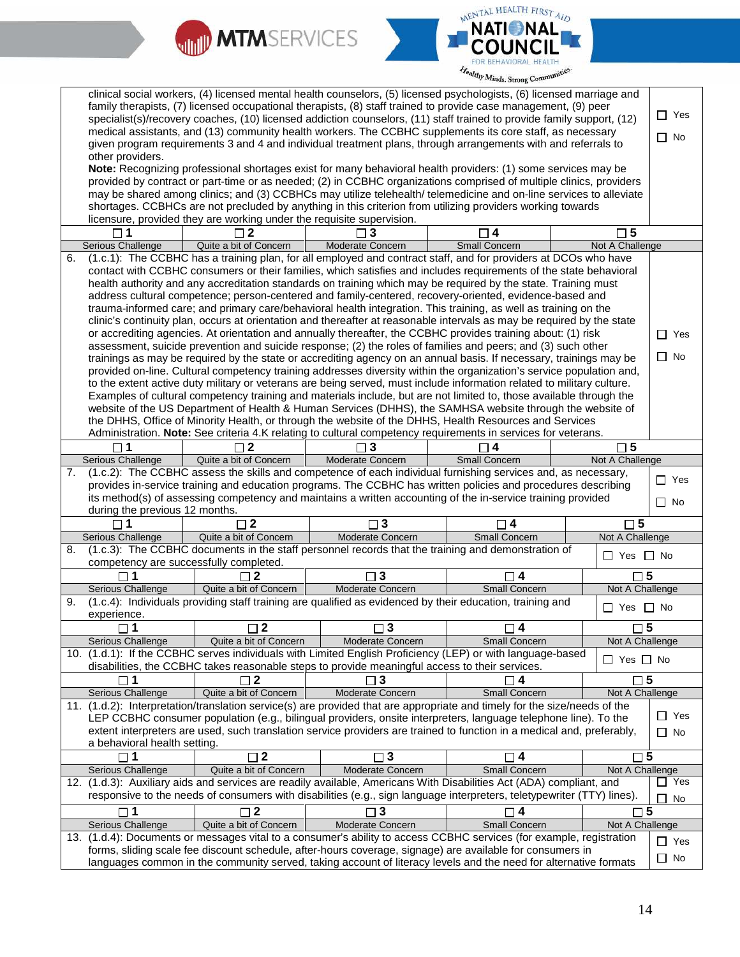



| clinical social workers, (4) licensed mental health counselors, (5) licensed psychologists, (6) licensed marriage and<br>family therapists, (7) licensed occupational therapists, (8) staff trained to provide case management, (9) peer<br>specialist(s)/recovery coaches, (10) licensed addiction counselors, (11) staff trained to provide family support, (12)<br>medical assistants, and (13) community health workers. The CCBHC supplements its core staff, as necessary |                                                                                                                                                                                                                                                                                                                                                                                                                                                                                                                                                                                                                                                                                                                                                                                                                                              |                                                                       |                                                                                                |                                                                                                                                                                                                                                           |  |                        | $\Box$ Yes    |
|---------------------------------------------------------------------------------------------------------------------------------------------------------------------------------------------------------------------------------------------------------------------------------------------------------------------------------------------------------------------------------------------------------------------------------------------------------------------------------|----------------------------------------------------------------------------------------------------------------------------------------------------------------------------------------------------------------------------------------------------------------------------------------------------------------------------------------------------------------------------------------------------------------------------------------------------------------------------------------------------------------------------------------------------------------------------------------------------------------------------------------------------------------------------------------------------------------------------------------------------------------------------------------------------------------------------------------------|-----------------------------------------------------------------------|------------------------------------------------------------------------------------------------|-------------------------------------------------------------------------------------------------------------------------------------------------------------------------------------------------------------------------------------------|--|------------------------|---------------|
| given program requirements 3 and 4 and individual treatment plans, through arrangements with and referrals to                                                                                                                                                                                                                                                                                                                                                                   |                                                                                                                                                                                                                                                                                                                                                                                                                                                                                                                                                                                                                                                                                                                                                                                                                                              |                                                                       |                                                                                                |                                                                                                                                                                                                                                           |  | $\Box$ No              |               |
| other providers.                                                                                                                                                                                                                                                                                                                                                                                                                                                                |                                                                                                                                                                                                                                                                                                                                                                                                                                                                                                                                                                                                                                                                                                                                                                                                                                              |                                                                       |                                                                                                |                                                                                                                                                                                                                                           |  |                        |               |
|                                                                                                                                                                                                                                                                                                                                                                                                                                                                                 |                                                                                                                                                                                                                                                                                                                                                                                                                                                                                                                                                                                                                                                                                                                                                                                                                                              |                                                                       |                                                                                                | Note: Recognizing professional shortages exist for many behavioral health providers: (1) some services may be                                                                                                                             |  |                        |               |
|                                                                                                                                                                                                                                                                                                                                                                                                                                                                                 |                                                                                                                                                                                                                                                                                                                                                                                                                                                                                                                                                                                                                                                                                                                                                                                                                                              |                                                                       |                                                                                                | provided by contract or part-time or as needed; (2) in CCBHC organizations comprised of multiple clinics, providers                                                                                                                       |  |                        |               |
|                                                                                                                                                                                                                                                                                                                                                                                                                                                                                 |                                                                                                                                                                                                                                                                                                                                                                                                                                                                                                                                                                                                                                                                                                                                                                                                                                              |                                                                       |                                                                                                | may be shared among clinics; and (3) CCBHCs may utilize telehealth/ telemedicine and on-line services to alleviate                                                                                                                        |  |                        |               |
|                                                                                                                                                                                                                                                                                                                                                                                                                                                                                 |                                                                                                                                                                                                                                                                                                                                                                                                                                                                                                                                                                                                                                                                                                                                                                                                                                              | licensure, provided they are working under the requisite supervision. |                                                                                                | shortages. CCBHCs are not precluded by anything in this criterion from utilizing providers working towards                                                                                                                                |  |                        |               |
|                                                                                                                                                                                                                                                                                                                                                                                                                                                                                 |                                                                                                                                                                                                                                                                                                                                                                                                                                                                                                                                                                                                                                                                                                                                                                                                                                              | $\mathbf{2}$                                                          | 3                                                                                              | $\overline{1}$ 4                                                                                                                                                                                                                          |  | $\square$ 5            |               |
|                                                                                                                                                                                                                                                                                                                                                                                                                                                                                 | Serious Challenge                                                                                                                                                                                                                                                                                                                                                                                                                                                                                                                                                                                                                                                                                                                                                                                                                            | Quite a bit of Concern                                                | Moderate Concern                                                                               | Small Concern                                                                                                                                                                                                                             |  | Not A Challenge        |               |
| 6.                                                                                                                                                                                                                                                                                                                                                                                                                                                                              |                                                                                                                                                                                                                                                                                                                                                                                                                                                                                                                                                                                                                                                                                                                                                                                                                                              |                                                                       |                                                                                                |                                                                                                                                                                                                                                           |  |                        |               |
|                                                                                                                                                                                                                                                                                                                                                                                                                                                                                 | (1.c.1): The CCBHC has a training plan, for all employed and contract staff, and for providers at DCOs who have<br>contact with CCBHC consumers or their families, which satisfies and includes requirements of the state behavioral<br>health authority and any accreditation standards on training which may be required by the state. Training must<br>address cultural competence; person-centered and family-centered, recovery-oriented, evidence-based and<br>trauma-informed care; and primary care/behavioral health integration. This training, as well as training on the<br>clinic's continuity plan, occurs at orientation and thereafter at reasonable intervals as may be required by the state<br>or accrediting agencies. At orientation and annually thereafter, the CCBHC provides training about: (1) risk<br>$\Box$ Yes |                                                                       |                                                                                                |                                                                                                                                                                                                                                           |  |                        |               |
|                                                                                                                                                                                                                                                                                                                                                                                                                                                                                 |                                                                                                                                                                                                                                                                                                                                                                                                                                                                                                                                                                                                                                                                                                                                                                                                                                              |                                                                       |                                                                                                | assessment, suicide prevention and suicide response; (2) the roles of families and peers; and (3) such other<br>trainings as may be required by the state or accrediting agency on an annual basis. If necessary, trainings may be        |  |                        | $\Box$ No     |
|                                                                                                                                                                                                                                                                                                                                                                                                                                                                                 |                                                                                                                                                                                                                                                                                                                                                                                                                                                                                                                                                                                                                                                                                                                                                                                                                                              |                                                                       |                                                                                                | provided on-line. Cultural competency training addresses diversity within the organization's service population and,                                                                                                                      |  |                        |               |
|                                                                                                                                                                                                                                                                                                                                                                                                                                                                                 |                                                                                                                                                                                                                                                                                                                                                                                                                                                                                                                                                                                                                                                                                                                                                                                                                                              |                                                                       |                                                                                                | to the extent active duty military or veterans are being served, must include information related to military culture.                                                                                                                    |  |                        |               |
|                                                                                                                                                                                                                                                                                                                                                                                                                                                                                 |                                                                                                                                                                                                                                                                                                                                                                                                                                                                                                                                                                                                                                                                                                                                                                                                                                              |                                                                       |                                                                                                | Examples of cultural competency training and materials include, but are not limited to, those available through the                                                                                                                       |  |                        |               |
|                                                                                                                                                                                                                                                                                                                                                                                                                                                                                 |                                                                                                                                                                                                                                                                                                                                                                                                                                                                                                                                                                                                                                                                                                                                                                                                                                              |                                                                       |                                                                                                | website of the US Department of Health & Human Services (DHHS), the SAMHSA website through the website of                                                                                                                                 |  |                        |               |
|                                                                                                                                                                                                                                                                                                                                                                                                                                                                                 |                                                                                                                                                                                                                                                                                                                                                                                                                                                                                                                                                                                                                                                                                                                                                                                                                                              |                                                                       |                                                                                                | the DHHS, Office of Minority Health, or through the website of the DHHS, Health Resources and Services<br>Administration. Note: See criteria 4.K relating to cultural competency requirements in services for veterans.                   |  |                        |               |
|                                                                                                                                                                                                                                                                                                                                                                                                                                                                                 |                                                                                                                                                                                                                                                                                                                                                                                                                                                                                                                                                                                                                                                                                                                                                                                                                                              | 2                                                                     |                                                                                                |                                                                                                                                                                                                                                           |  | $\square$ 5            |               |
|                                                                                                                                                                                                                                                                                                                                                                                                                                                                                 | Serious Challenge                                                                                                                                                                                                                                                                                                                                                                                                                                                                                                                                                                                                                                                                                                                                                                                                                            | Quite a bit of Concern                                                | <b>Moderate Concern</b>                                                                        | <b>Small Concern</b>                                                                                                                                                                                                                      |  | Not A Challenge        |               |
| 7.                                                                                                                                                                                                                                                                                                                                                                                                                                                                              |                                                                                                                                                                                                                                                                                                                                                                                                                                                                                                                                                                                                                                                                                                                                                                                                                                              |                                                                       |                                                                                                | (1.c.2): The CCBHC assess the skills and competence of each individual furnishing services and, as necessary,                                                                                                                             |  |                        |               |
|                                                                                                                                                                                                                                                                                                                                                                                                                                                                                 |                                                                                                                                                                                                                                                                                                                                                                                                                                                                                                                                                                                                                                                                                                                                                                                                                                              |                                                                       |                                                                                                | provides in-service training and education programs. The CCBHC has written policies and procedures describing                                                                                                                             |  |                        | $\Box$ Yes    |
|                                                                                                                                                                                                                                                                                                                                                                                                                                                                                 |                                                                                                                                                                                                                                                                                                                                                                                                                                                                                                                                                                                                                                                                                                                                                                                                                                              |                                                                       |                                                                                                | its method(s) of assessing competency and maintains a written accounting of the in-service training provided                                                                                                                              |  |                        | $\Box$ No     |
|                                                                                                                                                                                                                                                                                                                                                                                                                                                                                 | during the previous 12 months.<br>$\Box$ 1                                                                                                                                                                                                                                                                                                                                                                                                                                                                                                                                                                                                                                                                                                                                                                                                   | $\Box$ 2                                                              | $\Box$ 3                                                                                       | $\Box$ 4                                                                                                                                                                                                                                  |  | $\Box$ 5               |               |
|                                                                                                                                                                                                                                                                                                                                                                                                                                                                                 | Serious Challenge                                                                                                                                                                                                                                                                                                                                                                                                                                                                                                                                                                                                                                                                                                                                                                                                                            | Quite a bit of Concern                                                | Moderate Concern                                                                               | Small Concern                                                                                                                                                                                                                             |  | Not A Challenge        |               |
| 8.                                                                                                                                                                                                                                                                                                                                                                                                                                                                              |                                                                                                                                                                                                                                                                                                                                                                                                                                                                                                                                                                                                                                                                                                                                                                                                                                              |                                                                       |                                                                                                | (1.c.3): The CCBHC documents in the staff personnel records that the training and demonstration of                                                                                                                                        |  |                        |               |
|                                                                                                                                                                                                                                                                                                                                                                                                                                                                                 | competency are successfully completed.                                                                                                                                                                                                                                                                                                                                                                                                                                                                                                                                                                                                                                                                                                                                                                                                       |                                                                       |                                                                                                |                                                                                                                                                                                                                                           |  | $\Box$ Yes $\Box$ No   |               |
|                                                                                                                                                                                                                                                                                                                                                                                                                                                                                 | $\mathbf 1$                                                                                                                                                                                                                                                                                                                                                                                                                                                                                                                                                                                                                                                                                                                                                                                                                                  | $\overline{2}$                                                        | $\mathbf{3}$                                                                                   | 4                                                                                                                                                                                                                                         |  | $\Box$ 5               |               |
|                                                                                                                                                                                                                                                                                                                                                                                                                                                                                 | <b>Serious Challenge</b>                                                                                                                                                                                                                                                                                                                                                                                                                                                                                                                                                                                                                                                                                                                                                                                                                     | Quite a bit of Concern                                                | Moderate Concern                                                                               | <b>Small Concern</b>                                                                                                                                                                                                                      |  | Not A Challenge        |               |
| 9.                                                                                                                                                                                                                                                                                                                                                                                                                                                                              |                                                                                                                                                                                                                                                                                                                                                                                                                                                                                                                                                                                                                                                                                                                                                                                                                                              |                                                                       |                                                                                                | (1.c.4): Individuals providing staff training are qualified as evidenced by their education, training and                                                                                                                                 |  | $\Box$ Yes $\Box$ No   |               |
|                                                                                                                                                                                                                                                                                                                                                                                                                                                                                 | experience.                                                                                                                                                                                                                                                                                                                                                                                                                                                                                                                                                                                                                                                                                                                                                                                                                                  |                                                                       |                                                                                                |                                                                                                                                                                                                                                           |  |                        |               |
|                                                                                                                                                                                                                                                                                                                                                                                                                                                                                 | ⊔ 1<br>Serious Challenge                                                                                                                                                                                                                                                                                                                                                                                                                                                                                                                                                                                                                                                                                                                                                                                                                     | 2<br>Quite a bit of Concern                                           | 3<br>Moderate Concern                                                                          | 4<br>Small Concern                                                                                                                                                                                                                        |  | ש ⊟<br>Not A Challenge |               |
|                                                                                                                                                                                                                                                                                                                                                                                                                                                                                 |                                                                                                                                                                                                                                                                                                                                                                                                                                                                                                                                                                                                                                                                                                                                                                                                                                              |                                                                       |                                                                                                | 10. (1.d.1): If the CCBHC serves individuals with Limited English Proficiency (LEP) or with language-based                                                                                                                                |  |                        |               |
|                                                                                                                                                                                                                                                                                                                                                                                                                                                                                 |                                                                                                                                                                                                                                                                                                                                                                                                                                                                                                                                                                                                                                                                                                                                                                                                                                              |                                                                       | disabilities, the CCBHC takes reasonable steps to provide meaningful access to their services. |                                                                                                                                                                                                                                           |  | $\Box$ Yes $\Box$ No   |               |
|                                                                                                                                                                                                                                                                                                                                                                                                                                                                                 | ▔▏1                                                                                                                                                                                                                                                                                                                                                                                                                                                                                                                                                                                                                                                                                                                                                                                                                                          |                                                                       | 3                                                                                              | 4                                                                                                                                                                                                                                         |  | $\square$ 5            |               |
|                                                                                                                                                                                                                                                                                                                                                                                                                                                                                 | Serious Challenge                                                                                                                                                                                                                                                                                                                                                                                                                                                                                                                                                                                                                                                                                                                                                                                                                            | Quite a bit of Concern                                                | Moderate Concern                                                                               | Small Concern                                                                                                                                                                                                                             |  | Not A Challenge        |               |
|                                                                                                                                                                                                                                                                                                                                                                                                                                                                                 |                                                                                                                                                                                                                                                                                                                                                                                                                                                                                                                                                                                                                                                                                                                                                                                                                                              |                                                                       |                                                                                                | 11. (1.d.2): Interpretation/translation service(s) are provided that are appropriate and timely for the size/needs of the                                                                                                                 |  |                        | $\Box$ Yes    |
|                                                                                                                                                                                                                                                                                                                                                                                                                                                                                 |                                                                                                                                                                                                                                                                                                                                                                                                                                                                                                                                                                                                                                                                                                                                                                                                                                              |                                                                       |                                                                                                | LEP CCBHC consumer population (e.g., bilingual providers, onsite interpreters, language telephone line). To the<br>extent interpreters are used, such translation service providers are trained to function in a medical and, preferably, |  |                        |               |
|                                                                                                                                                                                                                                                                                                                                                                                                                                                                                 | a behavioral health setting.                                                                                                                                                                                                                                                                                                                                                                                                                                                                                                                                                                                                                                                                                                                                                                                                                 |                                                                       |                                                                                                |                                                                                                                                                                                                                                           |  |                        | П<br>No       |
|                                                                                                                                                                                                                                                                                                                                                                                                                                                                                 | $\sqcap$ 1                                                                                                                                                                                                                                                                                                                                                                                                                                                                                                                                                                                                                                                                                                                                                                                                                                   | $\Box$ 2                                                              | $\square$ 3                                                                                    | $\Box$ 4                                                                                                                                                                                                                                  |  | $\square$ 5            |               |
|                                                                                                                                                                                                                                                                                                                                                                                                                                                                                 | Serious Challenge                                                                                                                                                                                                                                                                                                                                                                                                                                                                                                                                                                                                                                                                                                                                                                                                                            | Quite a bit of Concern                                                | Moderate Concern                                                                               | Small Concern                                                                                                                                                                                                                             |  | Not A Challenge        |               |
|                                                                                                                                                                                                                                                                                                                                                                                                                                                                                 |                                                                                                                                                                                                                                                                                                                                                                                                                                                                                                                                                                                                                                                                                                                                                                                                                                              |                                                                       |                                                                                                | 12. (1.d.3): Auxiliary aids and services are readily available, Americans With Disabilities Act (ADA) compliant, and                                                                                                                      |  |                        | $\Box$ Yes    |
|                                                                                                                                                                                                                                                                                                                                                                                                                                                                                 |                                                                                                                                                                                                                                                                                                                                                                                                                                                                                                                                                                                                                                                                                                                                                                                                                                              |                                                                       |                                                                                                | responsive to the needs of consumers with disabilities (e.g., sign language interpreters, teletypewriter (TTY) lines).                                                                                                                    |  |                        | No<br>$\perp$ |
|                                                                                                                                                                                                                                                                                                                                                                                                                                                                                 | $\Box$ 1                                                                                                                                                                                                                                                                                                                                                                                                                                                                                                                                                                                                                                                                                                                                                                                                                                     | $\Box$ 2                                                              | 3                                                                                              | 4                                                                                                                                                                                                                                         |  | $\square$ 5            |               |
|                                                                                                                                                                                                                                                                                                                                                                                                                                                                                 | Serious Challenge                                                                                                                                                                                                                                                                                                                                                                                                                                                                                                                                                                                                                                                                                                                                                                                                                            | Quite a bit of Concern                                                | Moderate Concern                                                                               | Small Concern                                                                                                                                                                                                                             |  | Not A Challenge        |               |
| 13.                                                                                                                                                                                                                                                                                                                                                                                                                                                                             |                                                                                                                                                                                                                                                                                                                                                                                                                                                                                                                                                                                                                                                                                                                                                                                                                                              |                                                                       |                                                                                                | (1.d.4): Documents or messages vital to a consumer's ability to access CCBHC services (for example, registration                                                                                                                          |  |                        | $\Box$ Yes    |
|                                                                                                                                                                                                                                                                                                                                                                                                                                                                                 |                                                                                                                                                                                                                                                                                                                                                                                                                                                                                                                                                                                                                                                                                                                                                                                                                                              |                                                                       |                                                                                                | forms, sliding scale fee discount schedule, after-hours coverage, signage) are available for consumers in<br>languages common in the community served, taking account of literacy levels and the need for alternative formats             |  |                        | $\Box$ No     |
|                                                                                                                                                                                                                                                                                                                                                                                                                                                                                 |                                                                                                                                                                                                                                                                                                                                                                                                                                                                                                                                                                                                                                                                                                                                                                                                                                              |                                                                       |                                                                                                |                                                                                                                                                                                                                                           |  |                        |               |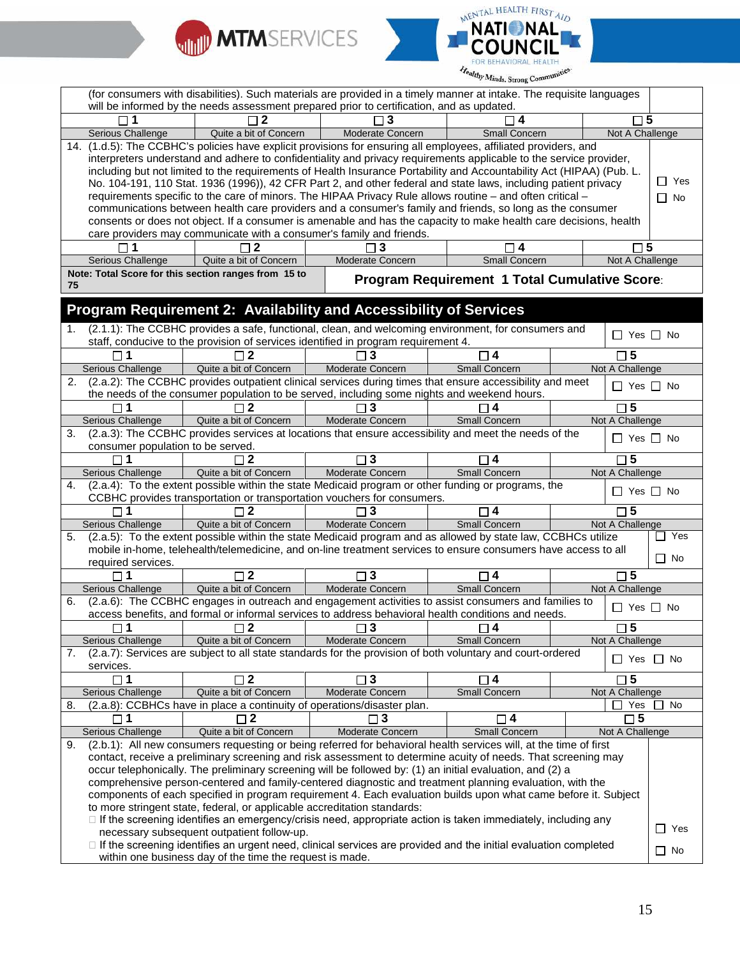



| (for consumers with disabilities). Such materials are provided in a timely manner at intake. The requisite languages<br>will be informed by the needs assessment prepared prior to certification, and as updated. |                                                                                                                                                                                                                                                                                                                                                                                                                                                                                                                                                                                                                                                                                                               |                            |                                               |                      |                         |  |  |
|-------------------------------------------------------------------------------------------------------------------------------------------------------------------------------------------------------------------|---------------------------------------------------------------------------------------------------------------------------------------------------------------------------------------------------------------------------------------------------------------------------------------------------------------------------------------------------------------------------------------------------------------------------------------------------------------------------------------------------------------------------------------------------------------------------------------------------------------------------------------------------------------------------------------------------------------|----------------------------|-----------------------------------------------|----------------------|-------------------------|--|--|
| $\Box$ 1                                                                                                                                                                                                          | $\sqcap$ 2                                                                                                                                                                                                                                                                                                                                                                                                                                                                                                                                                                                                                                                                                                    | 3                          |                                               | $\square$ 5          |                         |  |  |
| Serious Challenge                                                                                                                                                                                                 | Quite a bit of Concern                                                                                                                                                                                                                                                                                                                                                                                                                                                                                                                                                                                                                                                                                        | Moderate Concern           | Small Concern                                 | Not A Challenge      |                         |  |  |
|                                                                                                                                                                                                                   | 14. (1.d.5): The CCBHC's policies have explicit provisions for ensuring all employees, affiliated providers, and                                                                                                                                                                                                                                                                                                                                                                                                                                                                                                                                                                                              |                            |                                               |                      |                         |  |  |
|                                                                                                                                                                                                                   | interpreters understand and adhere to confidentiality and privacy requirements applicable to the service provider,<br>including but not limited to the requirements of Health Insurance Portability and Accountability Act (HIPAA) (Pub. L.<br>No. 104-191, 110 Stat. 1936 (1996)), 42 CFR Part 2, and other federal and state laws, including patient privacy<br>requirements specific to the care of minors. The HIPAA Privacy Rule allows routine – and often critical –<br>communications between health care providers and a consumer's family and friends, so long as the consumer<br>consents or does not object. If a consumer is amenable and has the capacity to make health care decisions, health |                            |                                               |                      | $\Box$ Yes<br>$\Box$ No |  |  |
|                                                                                                                                                                                                                   | care providers may communicate with a consumer's family and friends.                                                                                                                                                                                                                                                                                                                                                                                                                                                                                                                                                                                                                                          |                            |                                               |                      |                         |  |  |
|                                                                                                                                                                                                                   | $\mathbf 2$                                                                                                                                                                                                                                                                                                                                                                                                                                                                                                                                                                                                                                                                                                   |                            | 4                                             | $\Box$ 5             |                         |  |  |
| Serious Challenge                                                                                                                                                                                                 | Quite a bit of Concern                                                                                                                                                                                                                                                                                                                                                                                                                                                                                                                                                                                                                                                                                        | Moderate Concern           | <b>Small Concern</b>                          | Not A Challenge      |                         |  |  |
| 75                                                                                                                                                                                                                | Note: Total Score for this section ranges from 15 to                                                                                                                                                                                                                                                                                                                                                                                                                                                                                                                                                                                                                                                          |                            | Program Requirement 1 Total Cumulative Score: |                      |                         |  |  |
|                                                                                                                                                                                                                   | Program Requirement 2: Availability and Accessibility of Services                                                                                                                                                                                                                                                                                                                                                                                                                                                                                                                                                                                                                                             |                            |                                               |                      |                         |  |  |
| 1.                                                                                                                                                                                                                | (2.1.1): The CCBHC provides a safe, functional, clean, and welcoming environment, for consumers and<br>staff, conducive to the provision of services identified in program requirement 4.                                                                                                                                                                                                                                                                                                                                                                                                                                                                                                                     |                            |                                               | $\Box$ Yes $\Box$ No |                         |  |  |
|                                                                                                                                                                                                                   | $\sqcap$ 2                                                                                                                                                                                                                                                                                                                                                                                                                                                                                                                                                                                                                                                                                                    |                            | $\sqcap$ 4                                    | $\square$ 5          |                         |  |  |
| Serious Challenge                                                                                                                                                                                                 | Quite a bit of Concern                                                                                                                                                                                                                                                                                                                                                                                                                                                                                                                                                                                                                                                                                        | Moderate Concern           | <b>Small Concern</b>                          | Not A Challenge      |                         |  |  |
| 2.                                                                                                                                                                                                                | (2.a.2): The CCBHC provides outpatient clinical services during times that ensure accessibility and meet                                                                                                                                                                                                                                                                                                                                                                                                                                                                                                                                                                                                      |                            |                                               | $\Box$ Yes $\Box$ No |                         |  |  |
|                                                                                                                                                                                                                   | the needs of the consumer population to be served, including some nights and weekend hours.<br>ر 1                                                                                                                                                                                                                                                                                                                                                                                                                                                                                                                                                                                                            | 3                          | 4                                             | $\square$ 5          |                         |  |  |
| Serious Challenge                                                                                                                                                                                                 | Quite a bit of Concern                                                                                                                                                                                                                                                                                                                                                                                                                                                                                                                                                                                                                                                                                        | Moderate Concern           | <b>Small Concern</b>                          | Not A Challenge      |                         |  |  |
| 3.                                                                                                                                                                                                                | (2.a.3): The CCBHC provides services at locations that ensure accessibility and meet the needs of the                                                                                                                                                                                                                                                                                                                                                                                                                                                                                                                                                                                                         |                            |                                               |                      |                         |  |  |
| consumer population to be served.                                                                                                                                                                                 |                                                                                                                                                                                                                                                                                                                                                                                                                                                                                                                                                                                                                                                                                                               |                            |                                               | $\Box$ Yes $\Box$ No |                         |  |  |
| $\Box$ 1                                                                                                                                                                                                          | $\overline{1}$ 2                                                                                                                                                                                                                                                                                                                                                                                                                                                                                                                                                                                                                                                                                              | $\mathbf{3}$               | $\Box$ 4                                      | $\Box$ 5             |                         |  |  |
| Serious Challenge                                                                                                                                                                                                 | Quite a bit of Concern                                                                                                                                                                                                                                                                                                                                                                                                                                                                                                                                                                                                                                                                                        | Moderate Concern           | <b>Small Concern</b>                          | Not A Challenge      |                         |  |  |
| 4.                                                                                                                                                                                                                | (2.a.4): To the extent possible within the state Medicaid program or other funding or programs, the<br>CCBHC provides transportation or transportation vouchers for consumers.                                                                                                                                                                                                                                                                                                                                                                                                                                                                                                                                |                            |                                               | $\Box$ Yes $\Box$ No |                         |  |  |
| $\Box$ 1                                                                                                                                                                                                          | $\Box$ 2                                                                                                                                                                                                                                                                                                                                                                                                                                                                                                                                                                                                                                                                                                      | $\Box$ 3                   | $\Box$ 4                                      | $\square$ 5          |                         |  |  |
| Serious Challenge                                                                                                                                                                                                 | Quite a bit of Concern                                                                                                                                                                                                                                                                                                                                                                                                                                                                                                                                                                                                                                                                                        | Moderate Concern           | Small Concern                                 | Not A Challenge      |                         |  |  |
| 5.<br>required services.                                                                                                                                                                                          | (2.a.5): To the extent possible within the state Medicaid program and as allowed by state law, CCBHCs utilize<br>mobile in-home, telehealth/telemedicine, and on-line treatment services to ensure consumers have access to all                                                                                                                                                                                                                                                                                                                                                                                                                                                                               |                            |                                               |                      | $\Box$ Yes<br>$\Box$ No |  |  |
| $\square$ 1                                                                                                                                                                                                       | $\Box$ 2                                                                                                                                                                                                                                                                                                                                                                                                                                                                                                                                                                                                                                                                                                      | $\square$ 3                | $\Box$ 4                                      | $\square$ 5          |                         |  |  |
| Serious Challenge                                                                                                                                                                                                 | Quite a bit of Concern                                                                                                                                                                                                                                                                                                                                                                                                                                                                                                                                                                                                                                                                                        | Moderate Concern           | <b>Small Concern</b>                          | Not A Challenge      |                         |  |  |
| 6.                                                                                                                                                                                                                | (2.a.6): The CCBHC engages in outreach and engagement activities to assist consumers and families to<br>access benefits, and formal or informal services to address behavioral health conditions and needs.                                                                                                                                                                                                                                                                                                                                                                                                                                                                                                   |                            |                                               | $\Box$ Yes $\Box$ No |                         |  |  |
| $\square$ 1                                                                                                                                                                                                       |                                                                                                                                                                                                                                                                                                                                                                                                                                                                                                                                                                                                                                                                                                               |                            | $\square$ 4                                   | $\square$ 5          |                         |  |  |
| Serious Challenge                                                                                                                                                                                                 | Quite a bit of Concern                                                                                                                                                                                                                                                                                                                                                                                                                                                                                                                                                                                                                                                                                        | Moderate Concern           | <b>Small Concern</b>                          | Not A Challenge      |                         |  |  |
| 7.<br>services.                                                                                                                                                                                                   | (2.a.7): Services are subject to all state standards for the provision of both voluntary and court-ordered                                                                                                                                                                                                                                                                                                                                                                                                                                                                                                                                                                                                    |                            |                                               |                      | $\Box$ Yes $\Box$ No    |  |  |
| $\Box$ 1                                                                                                                                                                                                          | $\Box$ 2                                                                                                                                                                                                                                                                                                                                                                                                                                                                                                                                                                                                                                                                                                      | $\overline{\phantom{0}}$ 3 | $\Box$ 4                                      | $\square$ 5          |                         |  |  |
| Serious Challenge                                                                                                                                                                                                 | Quite a bit of Concern                                                                                                                                                                                                                                                                                                                                                                                                                                                                                                                                                                                                                                                                                        | Moderate Concern           | <b>Small Concern</b>                          | Not A Challenge      |                         |  |  |
| 8.                                                                                                                                                                                                                | (2.a.8): CCBHCs have in place a continuity of operations/disaster plan.                                                                                                                                                                                                                                                                                                                                                                                                                                                                                                                                                                                                                                       |                            |                                               | Yes<br>$\perp$       | No                      |  |  |
| $\square$ 1                                                                                                                                                                                                       | $\overline{2}$                                                                                                                                                                                                                                                                                                                                                                                                                                                                                                                                                                                                                                                                                                | $\Box$ 3                   | $\Box$ 4                                      | $\square$ 5          |                         |  |  |
| <b>Serious Challenge</b>                                                                                                                                                                                          | Quite a bit of Concern                                                                                                                                                                                                                                                                                                                                                                                                                                                                                                                                                                                                                                                                                        | Moderate Concern           | Small Concern                                 | Not A Challenge      |                         |  |  |
| 9.                                                                                                                                                                                                                | (2.b.1): All new consumers requesting or being referred for behavioral health services will, at the time of first<br>contact, receive a preliminary screening and risk assessment to determine acuity of needs. That screening may<br>occur telephonically. The preliminary screening will be followed by: (1) an initial evaluation, and (2) a<br>comprehensive person-centered and family-centered diagnostic and treatment planning evaluation, with the<br>components of each specified in program requirement 4. Each evaluation builds upon what came before it. Subject<br>to more stringent state, federal, or applicable accreditation standards:                                                    |                            |                                               |                      |                         |  |  |
|                                                                                                                                                                                                                   | $\Box$ If the screening identifies an emergency/crisis need, appropriate action is taken immediately, including any<br>necessary subsequent outpatient follow-up.                                                                                                                                                                                                                                                                                                                                                                                                                                                                                                                                             |                            |                                               |                      | $\Box$ Yes              |  |  |
|                                                                                                                                                                                                                   | □ If the screening identifies an urgent need, clinical services are provided and the initial evaluation completed<br>within one business day of the time the request is made.                                                                                                                                                                                                                                                                                                                                                                                                                                                                                                                                 |                            |                                               |                      | $\Box$ No               |  |  |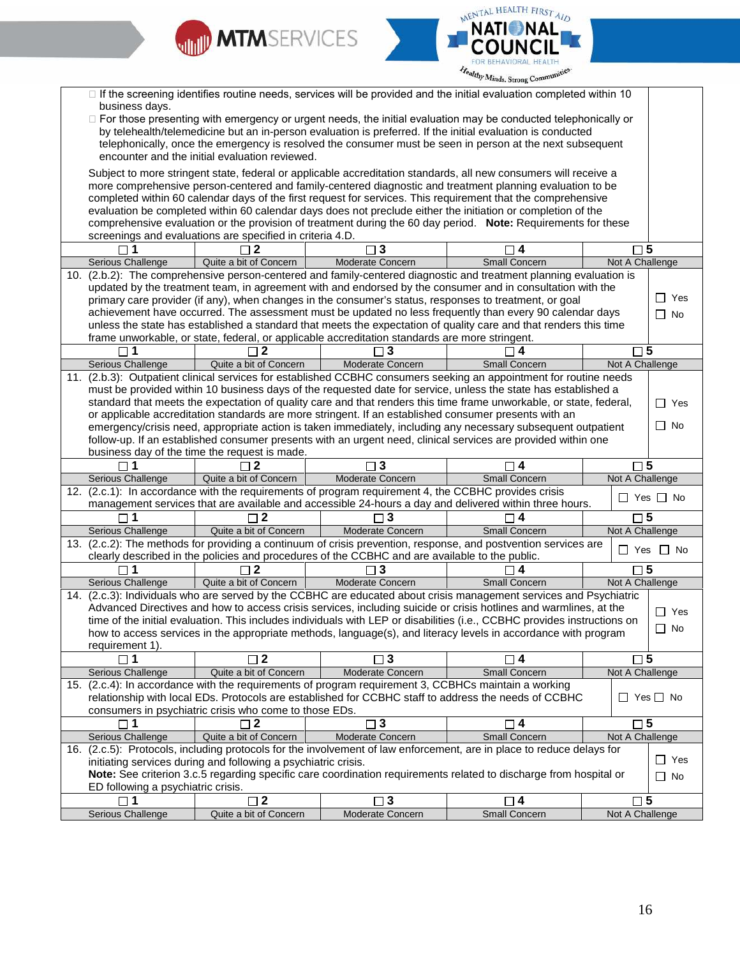



|     | □ If the screening identifies routine needs, services will be provided and the initial evaluation completed within 10<br>business days.<br>□ For those presenting with emergency or urgent needs, the initial evaluation may be conducted telephonically or<br>by telehealth/telemedicine but an in-person evaluation is preferred. If the initial evaluation is conducted<br>telephonically, once the emergency is resolved the consumer must be seen in person at the next subsequent<br>encounter and the initial evaluation reviewed. |                                                                |                                                                                                       |                                                                                                                                                                                                                                            |                      |  |
|-----|-------------------------------------------------------------------------------------------------------------------------------------------------------------------------------------------------------------------------------------------------------------------------------------------------------------------------------------------------------------------------------------------------------------------------------------------------------------------------------------------------------------------------------------------|----------------------------------------------------------------|-------------------------------------------------------------------------------------------------------|--------------------------------------------------------------------------------------------------------------------------------------------------------------------------------------------------------------------------------------------|----------------------|--|
|     | Subject to more stringent state, federal or applicable accreditation standards, all new consumers will receive a                                                                                                                                                                                                                                                                                                                                                                                                                          |                                                                |                                                                                                       |                                                                                                                                                                                                                                            |                      |  |
|     |                                                                                                                                                                                                                                                                                                                                                                                                                                                                                                                                           |                                                                |                                                                                                       | more comprehensive person-centered and family-centered diagnostic and treatment planning evaluation to be                                                                                                                                  |                      |  |
|     |                                                                                                                                                                                                                                                                                                                                                                                                                                                                                                                                           |                                                                |                                                                                                       | completed within 60 calendar days of the first request for services. This requirement that the comprehensive                                                                                                                               |                      |  |
|     |                                                                                                                                                                                                                                                                                                                                                                                                                                                                                                                                           |                                                                |                                                                                                       | evaluation be completed within 60 calendar days does not preclude either the initiation or completion of the                                                                                                                               |                      |  |
|     |                                                                                                                                                                                                                                                                                                                                                                                                                                                                                                                                           |                                                                |                                                                                                       | comprehensive evaluation or the provision of treatment during the 60 day period. Note: Requirements for these                                                                                                                              |                      |  |
|     |                                                                                                                                                                                                                                                                                                                                                                                                                                                                                                                                           | screenings and evaluations are specified in criteria 4.D.      |                                                                                                       |                                                                                                                                                                                                                                            |                      |  |
|     |                                                                                                                                                                                                                                                                                                                                                                                                                                                                                                                                           | 2                                                              | $\sqsupset$ 3                                                                                         | 4                                                                                                                                                                                                                                          | ٦5                   |  |
|     | Serious Challenge                                                                                                                                                                                                                                                                                                                                                                                                                                                                                                                         | Quite a bit of Concern                                         | Moderate Concern                                                                                      | Small Concern                                                                                                                                                                                                                              | Not A Challenge      |  |
| 10. |                                                                                                                                                                                                                                                                                                                                                                                                                                                                                                                                           |                                                                |                                                                                                       | (2.b.2): The comprehensive person-centered and family-centered diagnostic and treatment planning evaluation is                                                                                                                             |                      |  |
|     |                                                                                                                                                                                                                                                                                                                                                                                                                                                                                                                                           |                                                                |                                                                                                       | updated by the treatment team, in agreement with and endorsed by the consumer and in consultation with the                                                                                                                                 |                      |  |
|     |                                                                                                                                                                                                                                                                                                                                                                                                                                                                                                                                           |                                                                |                                                                                                       | primary care provider (if any), when changes in the consumer's status, responses to treatment, or goal                                                                                                                                     | $\Box$ Yes           |  |
|     |                                                                                                                                                                                                                                                                                                                                                                                                                                                                                                                                           |                                                                |                                                                                                       | achievement have occurred. The assessment must be updated no less frequently than every 90 calendar days                                                                                                                                   | $\Box$ No            |  |
|     |                                                                                                                                                                                                                                                                                                                                                                                                                                                                                                                                           |                                                                |                                                                                                       | unless the state has established a standard that meets the expectation of quality care and that renders this time                                                                                                                          |                      |  |
|     |                                                                                                                                                                                                                                                                                                                                                                                                                                                                                                                                           |                                                                | frame unworkable, or state, federal, or applicable accreditation standards are more stringent.        |                                                                                                                                                                                                                                            |                      |  |
|     | $\Box$ 1                                                                                                                                                                                                                                                                                                                                                                                                                                                                                                                                  | 2                                                              | $\Box$ 3                                                                                              | $\Box$ 4                                                                                                                                                                                                                                   | $\square$ 5          |  |
|     | Serious Challenge                                                                                                                                                                                                                                                                                                                                                                                                                                                                                                                         | Quite a bit of Concern                                         | Moderate Concern                                                                                      | <b>Small Concern</b>                                                                                                                                                                                                                       | Not A Challenge      |  |
| 11. |                                                                                                                                                                                                                                                                                                                                                                                                                                                                                                                                           |                                                                |                                                                                                       | (2.b.3): Outpatient clinical services for established CCBHC consumers seeking an appointment for routine needs                                                                                                                             |                      |  |
|     |                                                                                                                                                                                                                                                                                                                                                                                                                                                                                                                                           |                                                                |                                                                                                       | must be provided within 10 business days of the requested date for service, unless the state has established a                                                                                                                             |                      |  |
|     |                                                                                                                                                                                                                                                                                                                                                                                                                                                                                                                                           |                                                                |                                                                                                       | standard that meets the expectation of quality care and that renders this time frame unworkable, or state, federal,                                                                                                                        | $\Box$ Yes           |  |
|     |                                                                                                                                                                                                                                                                                                                                                                                                                                                                                                                                           |                                                                | or applicable accreditation standards are more stringent. If an established consumer presents with an | emergency/crisis need, appropriate action is taken immediately, including any necessary subsequent outpatient                                                                                                                              | $\Box$ No            |  |
|     |                                                                                                                                                                                                                                                                                                                                                                                                                                                                                                                                           |                                                                |                                                                                                       | follow-up. If an established consumer presents with an urgent need, clinical services are provided within one                                                                                                                              |                      |  |
|     |                                                                                                                                                                                                                                                                                                                                                                                                                                                                                                                                           | business day of the time the request is made.                  |                                                                                                       |                                                                                                                                                                                                                                            |                      |  |
|     | $\sqcap$ 1                                                                                                                                                                                                                                                                                                                                                                                                                                                                                                                                | $\Box$ 2                                                       | $\Box$ 3                                                                                              | ∏ 4                                                                                                                                                                                                                                        | $\square$ 5          |  |
|     | Serious Challenge                                                                                                                                                                                                                                                                                                                                                                                                                                                                                                                         | Quite a bit of Concern                                         | Moderate Concern                                                                                      | Small Concern                                                                                                                                                                                                                              | Not A Challenge      |  |
|     |                                                                                                                                                                                                                                                                                                                                                                                                                                                                                                                                           |                                                                | 12. (2.c.1): In accordance with the requirements of program requirement 4, the CCBHC provides crisis  |                                                                                                                                                                                                                                            |                      |  |
|     |                                                                                                                                                                                                                                                                                                                                                                                                                                                                                                                                           |                                                                |                                                                                                       | management services that are available and accessible 24-hours a day and delivered within three hours.                                                                                                                                     | $\Box$ Yes $\Box$ No |  |
|     | $\Box$ 1                                                                                                                                                                                                                                                                                                                                                                                                                                                                                                                                  | $\Box$ 2                                                       | $\Box$ 3                                                                                              | $\Box$ 4                                                                                                                                                                                                                                   | $\square$ 5          |  |
|     | Serious Challenge                                                                                                                                                                                                                                                                                                                                                                                                                                                                                                                         | Quite a bit of Concern                                         | Moderate Concern                                                                                      | <b>Small Concern</b>                                                                                                                                                                                                                       | Not A Challenge      |  |
|     |                                                                                                                                                                                                                                                                                                                                                                                                                                                                                                                                           |                                                                |                                                                                                       | 13. (2.c.2): The methods for providing a continuum of crisis prevention, response, and postvention services are                                                                                                                            | $\Box$ Yes $\Box$ No |  |
|     |                                                                                                                                                                                                                                                                                                                                                                                                                                                                                                                                           |                                                                | clearly described in the policies and procedures of the CCBHC and are available to the public.        |                                                                                                                                                                                                                                            |                      |  |
|     |                                                                                                                                                                                                                                                                                                                                                                                                                                                                                                                                           | $\sqcap$ 2                                                     | 3                                                                                                     | 4                                                                                                                                                                                                                                          | $\sqcap 5$           |  |
|     | Serious Challenge                                                                                                                                                                                                                                                                                                                                                                                                                                                                                                                         | Quite a bit of Concern                                         | Moderate Concern                                                                                      | <b>Small Concern</b>                                                                                                                                                                                                                       | Not A Challenge      |  |
|     |                                                                                                                                                                                                                                                                                                                                                                                                                                                                                                                                           |                                                                |                                                                                                       | 14. (2.c.3): Individuals who are served by the CCBHC are educated about crisis management services and Psychiatric                                                                                                                         |                      |  |
|     |                                                                                                                                                                                                                                                                                                                                                                                                                                                                                                                                           |                                                                |                                                                                                       | Advanced Directives and how to access crisis services, including suicide or crisis hotlines and warmlines, at the                                                                                                                          | $\Box$ Yes           |  |
|     |                                                                                                                                                                                                                                                                                                                                                                                                                                                                                                                                           |                                                                |                                                                                                       | time of the initial evaluation. This includes individuals with LEP or disabilities (i.e., CCBHC provides instructions on<br>how to access services in the appropriate methods, language(s), and literacy levels in accordance with program | $\Box$ No            |  |
|     | requirement 1).                                                                                                                                                                                                                                                                                                                                                                                                                                                                                                                           |                                                                |                                                                                                       |                                                                                                                                                                                                                                            |                      |  |
|     | $\square$ 1                                                                                                                                                                                                                                                                                                                                                                                                                                                                                                                               | $\Box$ 2                                                       | $\square$ 3                                                                                           | □ 4                                                                                                                                                                                                                                        | $\square$ 5          |  |
|     | Serious Challenge                                                                                                                                                                                                                                                                                                                                                                                                                                                                                                                         | Quite a bit of Concern                                         | Moderate Concern                                                                                      | Small Concern                                                                                                                                                                                                                              | Not A Challenge      |  |
|     |                                                                                                                                                                                                                                                                                                                                                                                                                                                                                                                                           |                                                                | 15. (2.c.4): In accordance with the requirements of program requirement 3, CCBHCs maintain a working  |                                                                                                                                                                                                                                            |                      |  |
|     |                                                                                                                                                                                                                                                                                                                                                                                                                                                                                                                                           |                                                                |                                                                                                       | relationship with local EDs. Protocols are established for CCBHC staff to address the needs of CCBHC                                                                                                                                       | $\Box$ Yes $\Box$ No |  |
|     |                                                                                                                                                                                                                                                                                                                                                                                                                                                                                                                                           | consumers in psychiatric crisis who come to those EDs.         |                                                                                                       |                                                                                                                                                                                                                                            |                      |  |
|     |                                                                                                                                                                                                                                                                                                                                                                                                                                                                                                                                           |                                                                | 3                                                                                                     | ו4 ⊏                                                                                                                                                                                                                                       | $\Box$ 5             |  |
|     | Serious Challenge                                                                                                                                                                                                                                                                                                                                                                                                                                                                                                                         | Quite a bit of Concern                                         | Moderate Concern                                                                                      | <b>Small Concern</b>                                                                                                                                                                                                                       | Not A Challenge      |  |
|     |                                                                                                                                                                                                                                                                                                                                                                                                                                                                                                                                           |                                                                |                                                                                                       | 16. (2.c.5): Protocols, including protocols for the involvement of law enforcement, are in place to reduce delays for                                                                                                                      |                      |  |
|     |                                                                                                                                                                                                                                                                                                                                                                                                                                                                                                                                           | initiating services during and following a psychiatric crisis. |                                                                                                       |                                                                                                                                                                                                                                            | $\Box$ Yes           |  |
|     |                                                                                                                                                                                                                                                                                                                                                                                                                                                                                                                                           |                                                                |                                                                                                       | Note: See criterion 3.c.5 regarding specific care coordination requirements related to discharge from hospital or                                                                                                                          | $\Box$ No            |  |
|     | ED following a psychiatric crisis.                                                                                                                                                                                                                                                                                                                                                                                                                                                                                                        |                                                                |                                                                                                       |                                                                                                                                                                                                                                            |                      |  |
|     | $\Box$ 1                                                                                                                                                                                                                                                                                                                                                                                                                                                                                                                                  | $\square$ 2                                                    | $\square$ 3                                                                                           | $\square$ 4                                                                                                                                                                                                                                | $\square$ 5          |  |
|     | Serious Challenge                                                                                                                                                                                                                                                                                                                                                                                                                                                                                                                         | Quite a bit of Concern                                         | Moderate Concern                                                                                      | <b>Small Concern</b>                                                                                                                                                                                                                       | Not A Challenge      |  |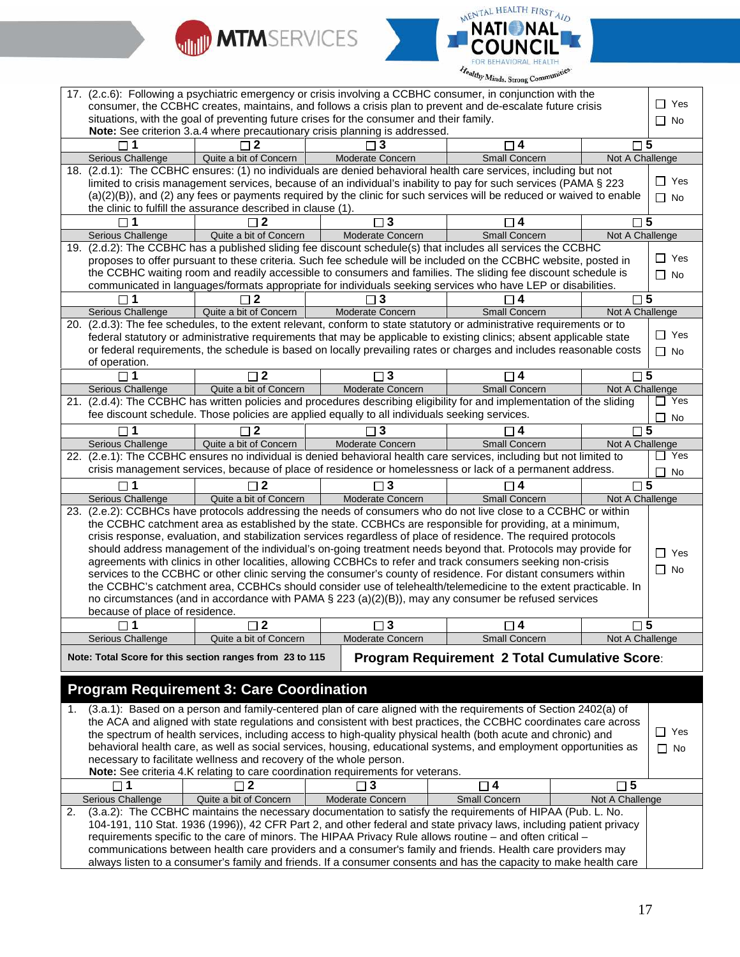



|                                                                                                              | ealthy Minds. Strong Communities |                                                                    |                                                                                                            |                                                                                                                                                                                                                                     |                 |               |
|--------------------------------------------------------------------------------------------------------------|----------------------------------|--------------------------------------------------------------------|------------------------------------------------------------------------------------------------------------|-------------------------------------------------------------------------------------------------------------------------------------------------------------------------------------------------------------------------------------|-----------------|---------------|
| 17. (2.c.6): Following a psychiatric emergency or crisis involving a CCBHC consumer, in conjunction with the |                                  |                                                                    |                                                                                                            |                                                                                                                                                                                                                                     |                 |               |
|                                                                                                              |                                  |                                                                    |                                                                                                            | consumer, the CCBHC creates, maintains, and follows a crisis plan to prevent and de-escalate future crisis                                                                                                                          |                 | ∏ Yes         |
|                                                                                                              |                                  |                                                                    | situations, with the goal of preventing future crises for the consumer and their family.                   |                                                                                                                                                                                                                                     |                 | $\Box$ No     |
|                                                                                                              |                                  |                                                                    | Note: See criterion 3.a.4 where precautionary crisis planning is addressed.                                |                                                                                                                                                                                                                                     |                 |               |
|                                                                                                              | $\sqcap$ 1                       | 2 ר                                                                | 3                                                                                                          | $\sqcap$ 4                                                                                                                                                                                                                          | $\sqcap$ 5      |               |
|                                                                                                              | Serious Challenge                | Quite a bit of Concern                                             | Moderate Concern                                                                                           | <b>Small Concern</b>                                                                                                                                                                                                                | Not A Challenge |               |
|                                                                                                              |                                  |                                                                    |                                                                                                            | 18. (2.d.1): The CCBHC ensures: (1) no individuals are denied behavioral health care services, including but not                                                                                                                    |                 |               |
|                                                                                                              |                                  |                                                                    |                                                                                                            | limited to crisis management services, because of an individual's inability to pay for such services (PAMA § 223                                                                                                                    |                 | Yes<br>$\Box$ |
|                                                                                                              |                                  |                                                                    |                                                                                                            | (a)(2)(B)), and (2) any fees or payments required by the clinic for such services will be reduced or waived to enable                                                                                                               |                 | $\Box$ No     |
|                                                                                                              |                                  | the clinic to fulfill the assurance described in clause (1).       |                                                                                                            |                                                                                                                                                                                                                                     |                 |               |
|                                                                                                              | $\sqcap$ 1                       | $\mathbf 2$                                                        | $\square$ 3                                                                                                | 4                                                                                                                                                                                                                                   | $\square$ 5     |               |
|                                                                                                              | <b>Serious Challenge</b>         | Quite a bit of Concern                                             | Moderate Concern                                                                                           | Small Concern                                                                                                                                                                                                                       | Not A Challenge |               |
|                                                                                                              |                                  |                                                                    |                                                                                                            | 19. (2.d.2): The CCBHC has a published sliding fee discount schedule(s) that includes all services the CCBHC                                                                                                                        |                 | $\Box$ Yes    |
|                                                                                                              |                                  |                                                                    |                                                                                                            | proposes to offer pursuant to these criteria. Such fee schedule will be included on the CCBHC website, posted in                                                                                                                    |                 |               |
|                                                                                                              |                                  |                                                                    |                                                                                                            | the CCBHC waiting room and readily accessible to consumers and families. The sliding fee discount schedule is                                                                                                                       |                 | $\Box$ No     |
|                                                                                                              |                                  |                                                                    |                                                                                                            | communicated in languages/formats appropriate for individuals seeking services who have LEP or disabilities.                                                                                                                        |                 | 5             |
|                                                                                                              | <b>Serious Challenge</b>         | Quite a bit of Concern                                             | 3<br>Moderate Concern                                                                                      | Small Concern                                                                                                                                                                                                                       | Not A Challenge |               |
|                                                                                                              |                                  |                                                                    |                                                                                                            | 20. (2.d.3): The fee schedules, to the extent relevant, conform to state statutory or administrative requirements or to                                                                                                             |                 |               |
|                                                                                                              |                                  |                                                                    |                                                                                                            | federal statutory or administrative requirements that may be applicable to existing clinics; absent applicable state                                                                                                                |                 | $\Box$ Yes    |
|                                                                                                              |                                  |                                                                    |                                                                                                            | or federal requirements, the schedule is based on locally prevailing rates or charges and includes reasonable costs                                                                                                                 |                 | $\Box$ No     |
|                                                                                                              | of operation.                    |                                                                    |                                                                                                            |                                                                                                                                                                                                                                     |                 |               |
|                                                                                                              | $\square$ 1                      | $\square$ 2                                                        | $\square$ 3                                                                                                | $\Box$ 4                                                                                                                                                                                                                            | $\square$ 5     |               |
|                                                                                                              | Serious Challenge                | Quite a bit of Concern                                             | Moderate Concern                                                                                           | Small Concern                                                                                                                                                                                                                       | Not A Challenge |               |
|                                                                                                              |                                  |                                                                    |                                                                                                            | 21. (2.d.4): The CCBHC has written policies and procedures describing eligibility for and implementation of the sliding                                                                                                             |                 | Yes           |
|                                                                                                              |                                  |                                                                    | fee discount schedule. Those policies are applied equally to all individuals seeking services.             |                                                                                                                                                                                                                                     |                 | No            |
|                                                                                                              |                                  | 2 ד                                                                | 3                                                                                                          | ヿ4                                                                                                                                                                                                                                  | $\sqcap 5$      |               |
|                                                                                                              | Serious Challenge                | Quite a bit of Concern                                             | Moderate Concern                                                                                           | Small Concern                                                                                                                                                                                                                       | Not A Challenge |               |
|                                                                                                              |                                  |                                                                    |                                                                                                            | 22. (2.e.1): The CCBHC ensures no individual is denied behavioral health care services, including but not limited to                                                                                                                |                 | Yes<br>$\Box$ |
|                                                                                                              |                                  |                                                                    |                                                                                                            | crisis management services, because of place of residence or homelessness or lack of a permanent address.                                                                                                                           |                 | No            |
|                                                                                                              | $\Box$ 1                         | $\sqcap$ 2                                                         | $\Box$ 3                                                                                                   | □ 4                                                                                                                                                                                                                                 | $\square$ 5     |               |
|                                                                                                              | Serious Challenge                | Quite a bit of Concern                                             | Moderate Concern                                                                                           | Small Concern                                                                                                                                                                                                                       | Not A Challenge |               |
| 23.                                                                                                          |                                  |                                                                    |                                                                                                            | (2.e.2): CCBHCs have protocols addressing the needs of consumers who do not live close to a CCBHC or within                                                                                                                         |                 |               |
|                                                                                                              |                                  |                                                                    |                                                                                                            | the CCBHC catchment area as established by the state. CCBHCs are responsible for providing, at a minimum,                                                                                                                           |                 |               |
|                                                                                                              |                                  |                                                                    |                                                                                                            | crisis response, evaluation, and stabilization services regardless of place of residence. The required protocols                                                                                                                    |                 |               |
|                                                                                                              |                                  |                                                                    |                                                                                                            | should address management of the individual's on-going treatment needs beyond that. Protocols may provide for                                                                                                                       |                 | Yes<br>$\Box$ |
|                                                                                                              |                                  |                                                                    |                                                                                                            | agreements with clinics in other localities, allowing CCBHCs to refer and track consumers seeking non-crisis                                                                                                                        |                 |               |
|                                                                                                              |                                  |                                                                    |                                                                                                            | services to the CCBHC or other clinic serving the consumer's county of residence. For distant consumers within                                                                                                                      |                 | $\Box$ No     |
|                                                                                                              |                                  |                                                                    |                                                                                                            | the CCBHC's catchment area, CCBHCs should consider use of telehealth/telemedicine to the extent practicable. In                                                                                                                     |                 |               |
|                                                                                                              |                                  |                                                                    |                                                                                                            | no circumstances (and in accordance with PAMA $\S$ 223 (a)(2)(B)), may any consumer be refused services                                                                                                                             |                 |               |
|                                                                                                              | because of place of residence.   |                                                                    |                                                                                                            |                                                                                                                                                                                                                                     |                 |               |
|                                                                                                              | 11                               | $\mathbf{2}$                                                       | $\square$ 3                                                                                                | 4                                                                                                                                                                                                                                   |                 | 5             |
|                                                                                                              | <b>Serious Challenge</b>         | Quite a bit of Concern                                             | Moderate Concern                                                                                           | Small Concern                                                                                                                                                                                                                       | Not A Challenge |               |
|                                                                                                              |                                  | Note: Total Score for this section ranges from 23 to 115           |                                                                                                            | <b>Program Requirement 2 Total Cumulative Score:</b>                                                                                                                                                                                |                 |               |
|                                                                                                              |                                  |                                                                    |                                                                                                            |                                                                                                                                                                                                                                     |                 |               |
|                                                                                                              |                                  | <b>Program Requirement 3: Care Coordination</b>                    |                                                                                                            |                                                                                                                                                                                                                                     |                 |               |
|                                                                                                              |                                  |                                                                    |                                                                                                            |                                                                                                                                                                                                                                     |                 |               |
| 1.                                                                                                           |                                  |                                                                    |                                                                                                            | (3.a.1): Based on a person and family-centered plan of care aligned with the requirements of Section 2402(a) of                                                                                                                     |                 |               |
|                                                                                                              |                                  |                                                                    |                                                                                                            | the ACA and aligned with state regulations and consistent with best practices, the CCBHC coordinates care across                                                                                                                    |                 | $\Box$ Yes    |
|                                                                                                              |                                  |                                                                    |                                                                                                            | the spectrum of health services, including access to high-quality physical health (both acute and chronic) and<br>behavioral health care, as well as social services, housing, educational systems, and employment opportunities as |                 |               |
|                                                                                                              |                                  | necessary to facilitate wellness and recovery of the whole person. |                                                                                                            |                                                                                                                                                                                                                                     |                 | $\Box$ No     |
|                                                                                                              |                                  |                                                                    | Note: See criteria 4.K relating to care coordination requirements for veterans.                            |                                                                                                                                                                                                                                     |                 |               |
|                                                                                                              |                                  | 2                                                                  | $\sqcap$ 3                                                                                                 | $\sqcap$ 4                                                                                                                                                                                                                          | $\square$ 5     |               |
|                                                                                                              | Serious Challenge                | Quite a bit of Concern                                             | Moderate Concern                                                                                           | Small Concern                                                                                                                                                                                                                       | Not A Challenge |               |
| 2.                                                                                                           |                                  |                                                                    |                                                                                                            |                                                                                                                                                                                                                                     |                 |               |
|                                                                                                              |                                  |                                                                    |                                                                                                            |                                                                                                                                                                                                                                     |                 |               |
|                                                                                                              |                                  |                                                                    | (3.a.2): The CCBHC maintains the necessary documentation to satisfy the requirements of HIPAA (Pub. L. No. |                                                                                                                                                                                                                                     |                 |               |
|                                                                                                              |                                  |                                                                    |                                                                                                            | 104-191, 110 Stat. 1936 (1996)), 42 CFR Part 2, and other federal and state privacy laws, including patient privacy                                                                                                                 |                 |               |
|                                                                                                              |                                  |                                                                    |                                                                                                            | requirements specific to the care of minors. The HIPAA Privacy Rule allows routine - and often critical -<br>communications between health care providers and a consumer's family and friends. Health care providers may            |                 |               |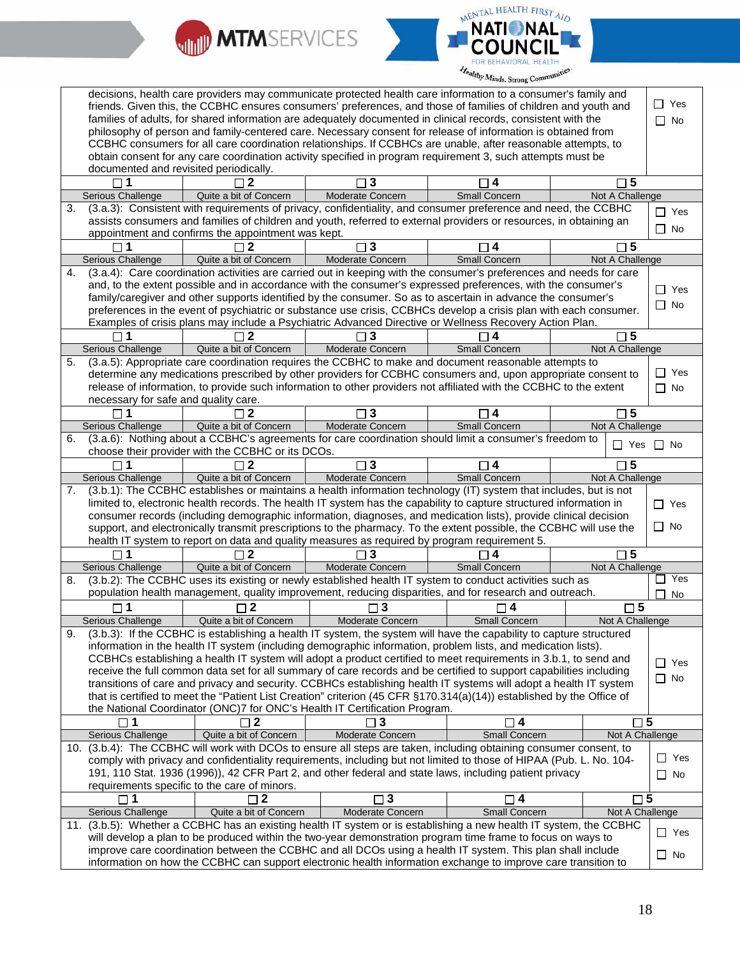



|     |                                              |                                                    | decisions, health care providers may communicate protected health care information to a consumer's family and<br>friends. Given this, the CCBHC ensures consumers' preferences, and those of families of children and youth and<br>families of adults, for shared information are adequately documented in clinical records, consistent with the<br>philosophy of person and family-centered care. Necessary consent for release of information is obtained from |                      |                      | $\Box$ Yes<br>$\Box$ No |
|-----|----------------------------------------------|----------------------------------------------------|------------------------------------------------------------------------------------------------------------------------------------------------------------------------------------------------------------------------------------------------------------------------------------------------------------------------------------------------------------------------------------------------------------------------------------------------------------------|----------------------|----------------------|-------------------------|
|     |                                              |                                                    | CCBHC consumers for all care coordination relationships. If CCBHCs are unable, after reasonable attempts, to                                                                                                                                                                                                                                                                                                                                                     |                      |                      |                         |
|     | documented and revisited periodically.       |                                                    | obtain consent for any care coordination activity specified in program requirement 3, such attempts must be                                                                                                                                                                                                                                                                                                                                                      |                      |                      |                         |
|     |                                              |                                                    | 3                                                                                                                                                                                                                                                                                                                                                                                                                                                                | $\Box$ 4             | $\sqcap$ 5           |                         |
|     | Serious Challenge                            | Quite a bit of Concern                             | Moderate Concern                                                                                                                                                                                                                                                                                                                                                                                                                                                 | <b>Small Concern</b> | Not A Challenge      |                         |
| 3.  |                                              |                                                    | (3.a.3): Consistent with requirements of privacy, confidentiality, and consumer preference and need, the CCBHC                                                                                                                                                                                                                                                                                                                                                   |                      |                      | $\Box$ Yes              |
|     |                                              |                                                    | assists consumers and families of children and youth, referred to external providers or resources, in obtaining an                                                                                                                                                                                                                                                                                                                                               |                      |                      |                         |
|     |                                              | appointment and confirms the appointment was kept. |                                                                                                                                                                                                                                                                                                                                                                                                                                                                  |                      |                      | $\Box$ No               |
|     | $\Box$ 1                                     | $\Box$ 2                                           | 3                                                                                                                                                                                                                                                                                                                                                                                                                                                                | $\sqcap$ 4           | $\square$ 5          |                         |
|     | Serious Challenge                            | Quite a bit of Concern                             | Moderate Concern                                                                                                                                                                                                                                                                                                                                                                                                                                                 | <b>Small Concern</b> | Not A Challenge      |                         |
| 4.  |                                              |                                                    | (3.a.4): Care coordination activities are carried out in keeping with the consumer's preferences and needs for care                                                                                                                                                                                                                                                                                                                                              |                      |                      |                         |
|     |                                              |                                                    | and, to the extent possible and in accordance with the consumer's expressed preferences, with the consumer's                                                                                                                                                                                                                                                                                                                                                     |                      |                      |                         |
|     |                                              |                                                    | family/caregiver and other supports identified by the consumer. So as to ascertain in advance the consumer's                                                                                                                                                                                                                                                                                                                                                     |                      |                      | $\Box$ Yes              |
|     |                                              |                                                    | preferences in the event of psychiatric or substance use crisis, CCBHCs develop a crisis plan with each consumer.                                                                                                                                                                                                                                                                                                                                                |                      |                      | $\Box$ No               |
|     |                                              |                                                    | Examples of crisis plans may include a Psychiatric Advanced Directive or Wellness Recovery Action Plan.                                                                                                                                                                                                                                                                                                                                                          |                      |                      |                         |
|     |                                              |                                                    |                                                                                                                                                                                                                                                                                                                                                                                                                                                                  |                      | 5                    |                         |
|     | Serious Challenge                            | Quite a bit of Concern                             | Moderate Concern                                                                                                                                                                                                                                                                                                                                                                                                                                                 | <b>Small Concern</b> | Not A Challenge      |                         |
| 5.  |                                              |                                                    | (3.a.5): Appropriate care coordination requires the CCBHC to make and document reasonable attempts to                                                                                                                                                                                                                                                                                                                                                            |                      |                      |                         |
|     |                                              |                                                    | determine any medications prescribed by other providers for CCBHC consumers and, upon appropriate consent to                                                                                                                                                                                                                                                                                                                                                     |                      |                      | $\Box$ Yes              |
|     |                                              |                                                    | release of information, to provide such information to other providers not affiliated with the CCBHC to the extent                                                                                                                                                                                                                                                                                                                                               |                      |                      | $\Box$ No               |
|     | necessary for safe and quality care.         |                                                    |                                                                                                                                                                                                                                                                                                                                                                                                                                                                  |                      |                      |                         |
|     | $\square$ 1                                  | $\sqcap$ 2                                         | $\overline{\mathbf{3}}$<br>П                                                                                                                                                                                                                                                                                                                                                                                                                                     | $\square$ 4          | $\square$ 5          |                         |
|     | Serious Challenge                            | Quite a bit of Concern                             | <b>Moderate Concern</b>                                                                                                                                                                                                                                                                                                                                                                                                                                          | <b>Small Concern</b> | Not A Challenge      |                         |
| 6.  |                                              |                                                    | (3.a.6): Nothing about a CCBHC's agreements for care coordination should limit a consumer's freedom to                                                                                                                                                                                                                                                                                                                                                           |                      |                      |                         |
|     |                                              | choose their provider with the CCBHC or its DCOs.  |                                                                                                                                                                                                                                                                                                                                                                                                                                                                  |                      | $\Box$ Yes $\Box$ No |                         |
|     | $\Box$ 1                                     | $\sqcap 2$                                         | 3                                                                                                                                                                                                                                                                                                                                                                                                                                                                | $\Box$ 4             | $\square$ 5          |                         |
|     | Serious Challenge                            | Quite a bit of Concern                             | Moderate Concern                                                                                                                                                                                                                                                                                                                                                                                                                                                 | Small Concern        | Not A Challenge      |                         |
| 7.  |                                              |                                                    | (3.b.1): The CCBHC establishes or maintains a health information technology (IT) system that includes, but is not                                                                                                                                                                                                                                                                                                                                                |                      |                      |                         |
|     |                                              |                                                    | limited to, electronic health records. The health IT system has the capability to capture structured information in                                                                                                                                                                                                                                                                                                                                              |                      |                      | $\Box$ Yes              |
|     |                                              |                                                    | consumer records (including demographic information, diagnoses, and medication lists), provide clinical decision                                                                                                                                                                                                                                                                                                                                                 |                      |                      |                         |
|     |                                              |                                                    | support, and electronically transmit prescriptions to the pharmacy. To the extent possible, the CCBHC will use the                                                                                                                                                                                                                                                                                                                                               |                      |                      | $\Box$ No               |
|     |                                              |                                                    | health IT system to report on data and quality measures as required by program requirement 5.                                                                                                                                                                                                                                                                                                                                                                    |                      |                      |                         |
|     |                                              | 2                                                  | 3                                                                                                                                                                                                                                                                                                                                                                                                                                                                | 4                    | $\square$ 5          |                         |
|     | Serious Challenge                            | Quite a bit of Concern                             | Moderate Concern                                                                                                                                                                                                                                                                                                                                                                                                                                                 | Small Concern        | Not A Challenge      |                         |
| 8.  |                                              |                                                    | (3.b.2): The CCBHC uses its existing or newly established health IT system to conduct activities such as                                                                                                                                                                                                                                                                                                                                                         |                      |                      | Yes                     |
|     |                                              |                                                    | population health management, quality improvement, reducing disparities, and for research and outreach.                                                                                                                                                                                                                                                                                                                                                          |                      |                      | $\Box$ No               |
|     | $\Box$ 1                                     | 2                                                  | $\Box$ 3                                                                                                                                                                                                                                                                                                                                                                                                                                                         | $\Box$ 4             | $\square$ 5          |                         |
|     | Serious Challenge                            | Quite a bit of Concern                             | Moderate Concern                                                                                                                                                                                                                                                                                                                                                                                                                                                 | <b>Small Concern</b> | Not A Challenge      |                         |
| 9.  |                                              |                                                    | (3.b.3): If the CCBHC is establishing a health IT system, the system will have the capability to capture structured                                                                                                                                                                                                                                                                                                                                              |                      |                      |                         |
|     |                                              |                                                    | information in the health IT system (including demographic information, problem lists, and medication lists).                                                                                                                                                                                                                                                                                                                                                    |                      |                      |                         |
|     |                                              |                                                    | CCBHCs establishing a health IT system will adopt a product certified to meet requirements in 3.b.1, to send and                                                                                                                                                                                                                                                                                                                                                 |                      |                      | $\Box$ Yes              |
|     |                                              |                                                    | receive the full common data set for all summary of care records and be certified to support capabilities including                                                                                                                                                                                                                                                                                                                                              |                      |                      |                         |
|     |                                              |                                                    | transitions of care and privacy and security. CCBHCs establishing health IT systems will adopt a health IT system                                                                                                                                                                                                                                                                                                                                                |                      |                      | $\Box$ No               |
|     |                                              |                                                    | that is certified to meet the "Patient List Creation" criterion (45 CFR §170.314(a)(14)) established by the Office of                                                                                                                                                                                                                                                                                                                                            |                      |                      |                         |
|     |                                              |                                                    | the National Coordinator (ONC)7 for ONC's Health IT Certification Program.                                                                                                                                                                                                                                                                                                                                                                                       |                      |                      |                         |
|     | $\sqcap$ 1                                   | 2                                                  | $\Box$ 3                                                                                                                                                                                                                                                                                                                                                                                                                                                         | □ 4                  | $\square$ 5          |                         |
|     | Serious Challenge                            | Quite a bit of Concern                             | Moderate Concern                                                                                                                                                                                                                                                                                                                                                                                                                                                 | Small Concern        | Not A Challenge      |                         |
|     |                                              |                                                    | 10. (3.b.4): The CCBHC will work with DCOs to ensure all steps are taken, including obtaining consumer consent, to                                                                                                                                                                                                                                                                                                                                               |                      |                      |                         |
|     |                                              |                                                    | comply with privacy and confidentiality requirements, including but not limited to those of HIPAA (Pub. L. No. 104-                                                                                                                                                                                                                                                                                                                                              |                      |                      | $\Box$ Yes              |
|     |                                              |                                                    | 191, 110 Stat. 1936 (1996)), 42 CFR Part 2, and other federal and state laws, including patient privacy                                                                                                                                                                                                                                                                                                                                                          |                      |                      | $\Box$ No               |
|     |                                              |                                                    |                                                                                                                                                                                                                                                                                                                                                                                                                                                                  |                      |                      |                         |
|     | requirements specific to the care of minors. |                                                    |                                                                                                                                                                                                                                                                                                                                                                                                                                                                  |                      |                      |                         |
|     | $\Box$ 1                                     | $\square$ 2                                        | $\square$ 3                                                                                                                                                                                                                                                                                                                                                                                                                                                      | $\square$ 4          | $\square$ 5          |                         |
|     | Serious Challenge                            | Quite a bit of Concern                             | Moderate Concern                                                                                                                                                                                                                                                                                                                                                                                                                                                 | Small Concern        | Not A Challenge      |                         |
| 11. |                                              |                                                    | (3.b.5): Whether a CCBHC has an existing health IT system or is establishing a new health IT system, the CCBHC                                                                                                                                                                                                                                                                                                                                                   |                      |                      |                         |
|     |                                              |                                                    | will develop a plan to be produced within the two-year demonstration program time frame to focus on ways to                                                                                                                                                                                                                                                                                                                                                      |                      |                      | $\Box$ Yes              |
|     |                                              |                                                    | improve care coordination between the CCBHC and all DCOs using a health IT system. This plan shall include                                                                                                                                                                                                                                                                                                                                                       |                      |                      | $\Box$ No               |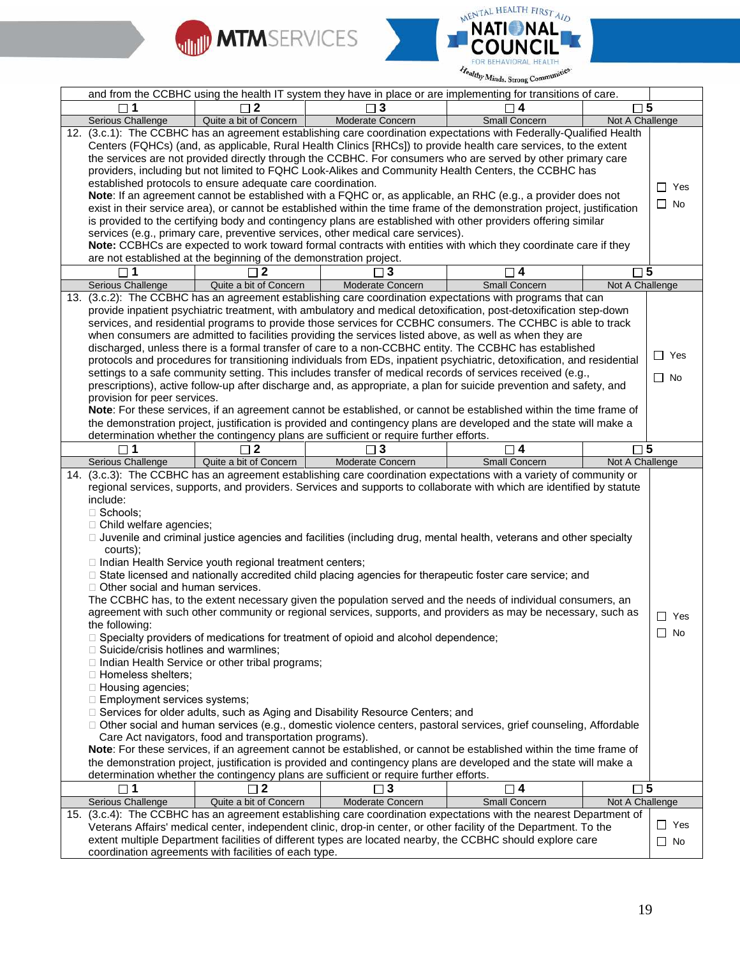



|                                                                                                                                                                                                                                                                          |                                                                                                                                                                           | and from the CCBHC using the health IT system they have in place or are implementing for transitions of care.                                                                                                                                                                                                                                                                                                                                                                                                                                                                                                                                                                                                                                                                                                                                                                                                                                                                                                      |                      |                 |                         |
|--------------------------------------------------------------------------------------------------------------------------------------------------------------------------------------------------------------------------------------------------------------------------|---------------------------------------------------------------------------------------------------------------------------------------------------------------------------|--------------------------------------------------------------------------------------------------------------------------------------------------------------------------------------------------------------------------------------------------------------------------------------------------------------------------------------------------------------------------------------------------------------------------------------------------------------------------------------------------------------------------------------------------------------------------------------------------------------------------------------------------------------------------------------------------------------------------------------------------------------------------------------------------------------------------------------------------------------------------------------------------------------------------------------------------------------------------------------------------------------------|----------------------|-----------------|-------------------------|
|                                                                                                                                                                                                                                                                          | $\Box$ 2                                                                                                                                                                  | $\Box$ 3                                                                                                                                                                                                                                                                                                                                                                                                                                                                                                                                                                                                                                                                                                                                                                                                                                                                                                                                                                                                           | $\Box$ 4             | $\sqcap 5$      |                         |
| Serious Challenge                                                                                                                                                                                                                                                        | Quite a bit of Concern                                                                                                                                                    | Moderate Concern                                                                                                                                                                                                                                                                                                                                                                                                                                                                                                                                                                                                                                                                                                                                                                                                                                                                                                                                                                                                   | Small Concern        | Not A Challenge |                         |
|                                                                                                                                                                                                                                                                          |                                                                                                                                                                           | 12. (3.c.1): The CCBHC has an agreement establishing care coordination expectations with Federally-Qualified Health                                                                                                                                                                                                                                                                                                                                                                                                                                                                                                                                                                                                                                                                                                                                                                                                                                                                                                |                      |                 |                         |
|                                                                                                                                                                                                                                                                          |                                                                                                                                                                           | Centers (FQHCs) (and, as applicable, Rural Health Clinics [RHCs]) to provide health care services, to the extent                                                                                                                                                                                                                                                                                                                                                                                                                                                                                                                                                                                                                                                                                                                                                                                                                                                                                                   |                      |                 |                         |
|                                                                                                                                                                                                                                                                          |                                                                                                                                                                           | the services are not provided directly through the CCBHC. For consumers who are served by other primary care                                                                                                                                                                                                                                                                                                                                                                                                                                                                                                                                                                                                                                                                                                                                                                                                                                                                                                       |                      |                 |                         |
|                                                                                                                                                                                                                                                                          |                                                                                                                                                                           | providers, including but not limited to FQHC Look-Alikes and Community Health Centers, the CCBHC has                                                                                                                                                                                                                                                                                                                                                                                                                                                                                                                                                                                                                                                                                                                                                                                                                                                                                                               |                      |                 |                         |
|                                                                                                                                                                                                                                                                          | established protocols to ensure adequate care coordination.                                                                                                               |                                                                                                                                                                                                                                                                                                                                                                                                                                                                                                                                                                                                                                                                                                                                                                                                                                                                                                                                                                                                                    |                      |                 | $\Box$ Yes              |
|                                                                                                                                                                                                                                                                          |                                                                                                                                                                           | Note: If an agreement cannot be established with a FQHC or, as applicable, an RHC (e.g., a provider does not<br>exist in their service area), or cannot be established within the time frame of the demonstration project, justification                                                                                                                                                                                                                                                                                                                                                                                                                                                                                                                                                                                                                                                                                                                                                                           |                      |                 | $\Box$ No               |
|                                                                                                                                                                                                                                                                          |                                                                                                                                                                           | is provided to the certifying body and contingency plans are established with other providers offering similar                                                                                                                                                                                                                                                                                                                                                                                                                                                                                                                                                                                                                                                                                                                                                                                                                                                                                                     |                      |                 |                         |
|                                                                                                                                                                                                                                                                          |                                                                                                                                                                           | services (e.g., primary care, preventive services, other medical care services).                                                                                                                                                                                                                                                                                                                                                                                                                                                                                                                                                                                                                                                                                                                                                                                                                                                                                                                                   |                      |                 |                         |
|                                                                                                                                                                                                                                                                          |                                                                                                                                                                           | Note: CCBHCs are expected to work toward formal contracts with entities with which they coordinate care if they                                                                                                                                                                                                                                                                                                                                                                                                                                                                                                                                                                                                                                                                                                                                                                                                                                                                                                    |                      |                 |                         |
|                                                                                                                                                                                                                                                                          | are not established at the beginning of the demonstration project.                                                                                                        |                                                                                                                                                                                                                                                                                                                                                                                                                                                                                                                                                                                                                                                                                                                                                                                                                                                                                                                                                                                                                    |                      |                 |                         |
| $\Box$ 1                                                                                                                                                                                                                                                                 | $\sqcap$ 2                                                                                                                                                                | $\overline{\mathbf{3}}$                                                                                                                                                                                                                                                                                                                                                                                                                                                                                                                                                                                                                                                                                                                                                                                                                                                                                                                                                                                            | $\square$ 4          | $\square$ 5     |                         |
| Serious Challenge                                                                                                                                                                                                                                                        | Quite a bit of Concern                                                                                                                                                    | Moderate Concern                                                                                                                                                                                                                                                                                                                                                                                                                                                                                                                                                                                                                                                                                                                                                                                                                                                                                                                                                                                                   | <b>Small Concern</b> | Not A Challenge |                         |
|                                                                                                                                                                                                                                                                          |                                                                                                                                                                           | 13. (3.c.2): The CCBHC has an agreement establishing care coordination expectations with programs that can                                                                                                                                                                                                                                                                                                                                                                                                                                                                                                                                                                                                                                                                                                                                                                                                                                                                                                         |                      |                 |                         |
|                                                                                                                                                                                                                                                                          |                                                                                                                                                                           | provide inpatient psychiatric treatment, with ambulatory and medical detoxification, post-detoxification step-down                                                                                                                                                                                                                                                                                                                                                                                                                                                                                                                                                                                                                                                                                                                                                                                                                                                                                                 |                      |                 |                         |
|                                                                                                                                                                                                                                                                          |                                                                                                                                                                           | services, and residential programs to provide those services for CCBHC consumers. The CCHBC is able to track                                                                                                                                                                                                                                                                                                                                                                                                                                                                                                                                                                                                                                                                                                                                                                                                                                                                                                       |                      |                 |                         |
|                                                                                                                                                                                                                                                                          |                                                                                                                                                                           | when consumers are admitted to facilities providing the services listed above, as well as when they are                                                                                                                                                                                                                                                                                                                                                                                                                                                                                                                                                                                                                                                                                                                                                                                                                                                                                                            |                      |                 |                         |
|                                                                                                                                                                                                                                                                          |                                                                                                                                                                           | discharged, unless there is a formal transfer of care to a non-CCBHC entity. The CCBHC has established                                                                                                                                                                                                                                                                                                                                                                                                                                                                                                                                                                                                                                                                                                                                                                                                                                                                                                             |                      |                 |                         |
|                                                                                                                                                                                                                                                                          |                                                                                                                                                                           | protocols and procedures for transitioning individuals from EDs, inpatient psychiatric, detoxification, and residential                                                                                                                                                                                                                                                                                                                                                                                                                                                                                                                                                                                                                                                                                                                                                                                                                                                                                            |                      |                 | $\Box$ Yes              |
|                                                                                                                                                                                                                                                                          |                                                                                                                                                                           | settings to a safe community setting. This includes transfer of medical records of services received (e.g.,                                                                                                                                                                                                                                                                                                                                                                                                                                                                                                                                                                                                                                                                                                                                                                                                                                                                                                        |                      |                 | $\Box$ No               |
|                                                                                                                                                                                                                                                                          |                                                                                                                                                                           | prescriptions), active follow-up after discharge and, as appropriate, a plan for suicide prevention and safety, and                                                                                                                                                                                                                                                                                                                                                                                                                                                                                                                                                                                                                                                                                                                                                                                                                                                                                                |                      |                 |                         |
| provision for peer services.                                                                                                                                                                                                                                             |                                                                                                                                                                           |                                                                                                                                                                                                                                                                                                                                                                                                                                                                                                                                                                                                                                                                                                                                                                                                                                                                                                                                                                                                                    |                      |                 |                         |
|                                                                                                                                                                                                                                                                          |                                                                                                                                                                           | Note: For these services, if an agreement cannot be established, or cannot be established within the time frame of                                                                                                                                                                                                                                                                                                                                                                                                                                                                                                                                                                                                                                                                                                                                                                                                                                                                                                 |                      |                 |                         |
|                                                                                                                                                                                                                                                                          |                                                                                                                                                                           | the demonstration project, justification is provided and contingency plans are developed and the state will make a                                                                                                                                                                                                                                                                                                                                                                                                                                                                                                                                                                                                                                                                                                                                                                                                                                                                                                 |                      |                 |                         |
|                                                                                                                                                                                                                                                                          |                                                                                                                                                                           | determination whether the contingency plans are sufficient or require further efforts.                                                                                                                                                                                                                                                                                                                                                                                                                                                                                                                                                                                                                                                                                                                                                                                                                                                                                                                             |                      |                 |                         |
|                                                                                                                                                                                                                                                                          |                                                                                                                                                                           |                                                                                                                                                                                                                                                                                                                                                                                                                                                                                                                                                                                                                                                                                                                                                                                                                                                                                                                                                                                                                    |                      |                 |                         |
| 1                                                                                                                                                                                                                                                                        | $\mathbf{2}$                                                                                                                                                              | 3                                                                                                                                                                                                                                                                                                                                                                                                                                                                                                                                                                                                                                                                                                                                                                                                                                                                                                                                                                                                                  | $\Box$ 4             | $\Box$ 5        |                         |
| Serious Challenge                                                                                                                                                                                                                                                        | Quite a bit of Concern                                                                                                                                                    | Moderate Concern<br>14. (3.c.3): The CCBHC has an agreement establishing care coordination expectations with a variety of community or<br>regional services, supports, and providers. Services and supports to collaborate with which are identified by statute                                                                                                                                                                                                                                                                                                                                                                                                                                                                                                                                                                                                                                                                                                                                                    | <b>Small Concern</b> | Not A Challenge |                         |
| include:<br>$\Box$ Schools;<br>$\Box$ Child welfare agencies;<br>courts);<br>$\Box$ Other social and human services.<br>the following:<br>□ Suicide/crisis hotlines and warmlines;<br>□ Homeless shelters;<br>$\Box$ Housing agencies;<br>□ Employment services systems; | □ Indian Health Service youth regional treatment centers;<br>□ Indian Health Service or other tribal programs;<br>Care Act navigators, food and transportation programs). | □ Juvenile and criminal justice agencies and facilities (including drug, mental health, veterans and other specialty<br>□ State licensed and nationally accredited child placing agencies for therapeutic foster care service; and<br>The CCBHC has, to the extent necessary given the population served and the needs of individual consumers, an<br>agreement with such other community or regional services, supports, and providers as may be necessary, such as<br>□ Specialty providers of medications for treatment of opioid and alcohol dependence;<br>□ Services for older adults, such as Aging and Disability Resource Centers; and<br>□ Other social and human services (e.g., domestic violence centers, pastoral services, grief counseling, Affordable<br>Note: For these services, if an agreement cannot be established, or cannot be established within the time frame of<br>the demonstration project, justification is provided and contingency plans are developed and the state will make a |                      |                 | $\Box$ Yes<br>$\Box$ No |
|                                                                                                                                                                                                                                                                          | $\sqcap$ 2                                                                                                                                                                | determination whether the contingency plans are sufficient or require further efforts.                                                                                                                                                                                                                                                                                                                                                                                                                                                                                                                                                                                                                                                                                                                                                                                                                                                                                                                             |                      |                 |                         |
| $\square$ 1                                                                                                                                                                                                                                                              | Quite a bit of Concern                                                                                                                                                    | $\Box$ 3                                                                                                                                                                                                                                                                                                                                                                                                                                                                                                                                                                                                                                                                                                                                                                                                                                                                                                                                                                                                           | $\square$ 4          | $\square$ 5     |                         |
| Serious Challenge                                                                                                                                                                                                                                                        |                                                                                                                                                                           | Moderate Concern<br>15. (3.c.4): The CCBHC has an agreement establishing care coordination expectations with the nearest Department of                                                                                                                                                                                                                                                                                                                                                                                                                                                                                                                                                                                                                                                                                                                                                                                                                                                                             | Small Concern        | Not A Challenge |                         |
|                                                                                                                                                                                                                                                                          |                                                                                                                                                                           | Veterans Affairs' medical center, independent clinic, drop-in center, or other facility of the Department. To the                                                                                                                                                                                                                                                                                                                                                                                                                                                                                                                                                                                                                                                                                                                                                                                                                                                                                                  |                      |                 | $\Box$ Yes              |
|                                                                                                                                                                                                                                                                          |                                                                                                                                                                           | extent multiple Department facilities of different types are located nearby, the CCBHC should explore care                                                                                                                                                                                                                                                                                                                                                                                                                                                                                                                                                                                                                                                                                                                                                                                                                                                                                                         |                      |                 | $\Box$ No               |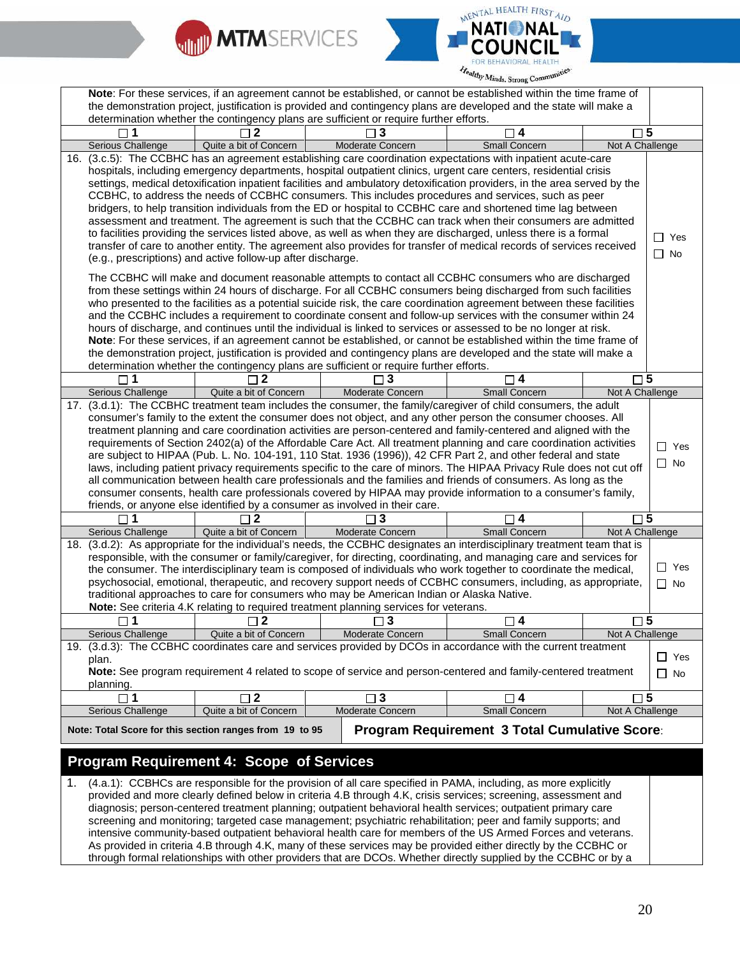



|     |                                  |                                                             | Note: For these services, if an agreement cannot be established, or cannot be established within the time frame of                                                                                                                     |                                                      |                 |            |
|-----|----------------------------------|-------------------------------------------------------------|----------------------------------------------------------------------------------------------------------------------------------------------------------------------------------------------------------------------------------------|------------------------------------------------------|-----------------|------------|
|     |                                  |                                                             | the demonstration project, justification is provided and contingency plans are developed and the state will make a                                                                                                                     |                                                      |                 |            |
|     |                                  |                                                             | determination whether the contingency plans are sufficient or require further efforts.                                                                                                                                                 |                                                      |                 |            |
|     |                                  | $\sqcap$ 2                                                  | $\Box$ 3                                                                                                                                                                                                                               | $\Box$ 4                                             | $\square$ 5     |            |
|     | Serious Challenge                | Quite a bit of Concern                                      | Moderate Concern                                                                                                                                                                                                                       | Small Concern                                        | Not A Challenge |            |
| 16. |                                  |                                                             | (3.c.5): The CCBHC has an agreement establishing care coordination expectations with inpatient acute-care                                                                                                                              |                                                      |                 |            |
|     |                                  |                                                             | hospitals, including emergency departments, hospital outpatient clinics, urgent care centers, residential crisis                                                                                                                       |                                                      |                 |            |
|     |                                  |                                                             | settings, medical detoxification inpatient facilities and ambulatory detoxification providers, in the area served by the                                                                                                               |                                                      |                 |            |
|     |                                  |                                                             | CCBHC, to address the needs of CCBHC consumers. This includes procedures and services, such as peer                                                                                                                                    |                                                      |                 |            |
|     |                                  |                                                             | bridgers, to help transition individuals from the ED or hospital to CCBHC care and shortened time lag between                                                                                                                          |                                                      |                 |            |
|     |                                  |                                                             | assessment and treatment. The agreement is such that the CCBHC can track when their consumers are admitted                                                                                                                             |                                                      |                 |            |
|     |                                  |                                                             | to facilities providing the services listed above, as well as when they are discharged, unless there is a formal                                                                                                                       |                                                      |                 | ∩ Yes      |
|     |                                  |                                                             | transfer of care to another entity. The agreement also provides for transfer of medical records of services received                                                                                                                   |                                                      |                 |            |
|     |                                  | (e.g., prescriptions) and active follow-up after discharge. |                                                                                                                                                                                                                                        |                                                      |                 | $\Box$ No  |
|     |                                  |                                                             |                                                                                                                                                                                                                                        |                                                      |                 |            |
|     |                                  |                                                             | The CCBHC will make and document reasonable attempts to contact all CCBHC consumers who are discharged                                                                                                                                 |                                                      |                 |            |
|     |                                  |                                                             | from these settings within 24 hours of discharge. For all CCBHC consumers being discharged from such facilities                                                                                                                        |                                                      |                 |            |
|     |                                  |                                                             | who presented to the facilities as a potential suicide risk, the care coordination agreement between these facilities<br>and the CCBHC includes a requirement to coordinate consent and follow-up services with the consumer within 24 |                                                      |                 |            |
|     |                                  |                                                             | hours of discharge, and continues until the individual is linked to services or assessed to be no longer at risk.                                                                                                                      |                                                      |                 |            |
|     |                                  |                                                             | Note: For these services, if an agreement cannot be established, or cannot be established within the time frame of                                                                                                                     |                                                      |                 |            |
|     |                                  |                                                             | the demonstration project, justification is provided and contingency plans are developed and the state will make a                                                                                                                     |                                                      |                 |            |
|     |                                  |                                                             | determination whether the contingency plans are sufficient or require further efforts.                                                                                                                                                 |                                                      |                 |            |
|     | $\sqcap$ 1                       | 2                                                           | $\Box$ 3                                                                                                                                                                                                                               | $\Box$ 4                                             | $\square$ 5     |            |
|     | Serious Challenge                | Quite a bit of Concern                                      | Moderate Concern                                                                                                                                                                                                                       | Small Concern                                        | Not A Challenge |            |
|     |                                  |                                                             | 17. (3.d.1): The CCBHC treatment team includes the consumer, the family/caregiver of child consumers, the adult                                                                                                                        |                                                      |                 |            |
|     |                                  |                                                             | consumer's family to the extent the consumer does not object, and any other person the consumer chooses. All                                                                                                                           |                                                      |                 |            |
|     |                                  |                                                             | treatment planning and care coordination activities are person-centered and family-centered and aligned with the                                                                                                                       |                                                      |                 |            |
|     |                                  |                                                             | requirements of Section 2402(a) of the Affordable Care Act. All treatment planning and care coordination activities                                                                                                                    |                                                      |                 | $\Box$ Yes |
|     |                                  |                                                             | are subject to HIPAA (Pub. L. No. 104-191, 110 Stat. 1936 (1996)), 42 CFR Part 2, and other federal and state                                                                                                                          |                                                      |                 |            |
|     |                                  |                                                             | laws, including patient privacy requirements specific to the care of minors. The HIPAA Privacy Rule does not cut off                                                                                                                   |                                                      |                 | $\Box$ No  |
|     |                                  |                                                             | all communication between health care professionals and the families and friends of consumers. As long as the                                                                                                                          |                                                      |                 |            |
|     |                                  |                                                             | consumer consents, health care professionals covered by HIPAA may provide information to a consumer's family,                                                                                                                          |                                                      |                 |            |
|     |                                  |                                                             | friends, or anyone else identified by a consumer as involved in their care.                                                                                                                                                            |                                                      |                 |            |
|     | $\Box$ 1                         | $\sqsupset$ 2                                               | $\Box$ 3                                                                                                                                                                                                                               | ן 4                                                  | $\square$ 5     |            |
|     | Serious Challenge                | Quite a bit of Concern                                      | Moderate Concern                                                                                                                                                                                                                       | Small Concern                                        | Not A Challenge |            |
|     |                                  |                                                             | 18. (3.d.2): As appropriate for the individual's needs, the CCBHC designates an interdisciplinary treatment team that is                                                                                                               |                                                      |                 |            |
|     |                                  |                                                             | responsible, with the consumer or family/caregiver, for directing, coordinating, and managing care and services for                                                                                                                    |                                                      |                 | $\Box$ Yes |
|     |                                  |                                                             | the consumer. The interdisciplinary team is composed of individuals who work together to coordinate the medical,                                                                                                                       |                                                      |                 |            |
|     |                                  |                                                             | psychosocial, emotional, therapeutic, and recovery support needs of CCBHC consumers, including, as appropriate,<br>traditional approaches to care for consumers who may be American Indian or Alaska Native.                           |                                                      |                 | $\Box$ No  |
|     |                                  |                                                             | Note: See criteria 4.K relating to required treatment planning services for veterans.                                                                                                                                                  |                                                      |                 |            |
|     |                                  |                                                             |                                                                                                                                                                                                                                        | $\square$ 4                                          | $\square$ 5     |            |
|     | $\square$ 1<br>Serious Challenge | $\square$ 2<br>Quite a bit of Concern                       | $\square$ 3<br>Moderate Concern                                                                                                                                                                                                        | Small Concern                                        | Not A Challenge |            |
|     |                                  |                                                             | 19. (3.d.3): The CCBHC coordinates care and services provided by DCOs in accordance with the current treatment                                                                                                                         |                                                      |                 |            |
|     | plan.                            |                                                             |                                                                                                                                                                                                                                        |                                                      |                 | $\Box$ Yes |
|     |                                  |                                                             | Note: See program requirement 4 related to scope of service and person-centered and family-centered treatment                                                                                                                          |                                                      |                 | $\Box$ No  |
|     | planning.                        |                                                             |                                                                                                                                                                                                                                        |                                                      |                 |            |
|     | $\sqcap$ 1                       | $\Box$ 2                                                    | $\square$ 3                                                                                                                                                                                                                            | $\neg$ 4                                             | $\square$ 5     |            |
|     | Serious Challenge                | Quite a bit of Concern                                      | Moderate Concern                                                                                                                                                                                                                       | Small Concern                                        | Not A Challenge |            |
|     |                                  |                                                             |                                                                                                                                                                                                                                        |                                                      |                 |            |
|     |                                  | Note: Total Score for this section ranges from 19 to 95     |                                                                                                                                                                                                                                        | <b>Program Requirement 3 Total Cumulative Score:</b> |                 |            |
|     |                                  |                                                             |                                                                                                                                                                                                                                        |                                                      |                 |            |
|     |                                  | <b>Program Requirement 4: Scope of Services</b>             |                                                                                                                                                                                                                                        |                                                      |                 |            |
| 1.  |                                  |                                                             | (4.a.1): CCBHCs are responsible for the provision of all care specified in PAMA, including, as more explicitly                                                                                                                         |                                                      |                 |            |
|     |                                  |                                                             | provided and more clearly defined below in criteria 4.B through 4.K, crisis services; screening, assessment and                                                                                                                        |                                                      |                 |            |
|     |                                  |                                                             | diagnosis; person-centered treatment planning; outpatient behavioral health services; outpatient primary care                                                                                                                          |                                                      |                 |            |
|     |                                  |                                                             | screening and monitoring; targeted case management; psychiatric rehabilitation; peer and family supports; and                                                                                                                          |                                                      |                 |            |
|     |                                  |                                                             | intensive community-based outpatient behavioral health care for members of the US Armed Forces and veterans.                                                                                                                           |                                                      |                 |            |
|     |                                  |                                                             | As provided in criteria 4.B through 4.K, many of these services may be provided either directly by the CCBHC or                                                                                                                        |                                                      |                 |            |

through formal relationships with other providers that are DCOs. Whether directly supplied by the CCBHC or by a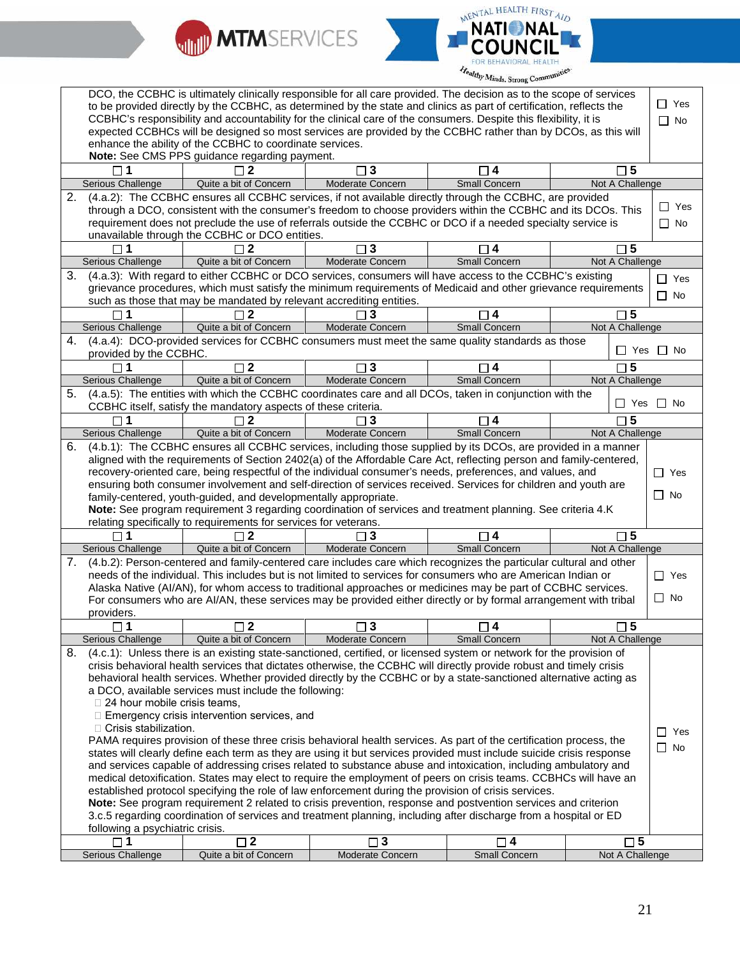



| DCO, the CCBHC is ultimately clinically responsible for all care provided. The decision as to the scope of services |                                     |                                                                      |                                                                                                                      |                      |                 |                      |
|---------------------------------------------------------------------------------------------------------------------|-------------------------------------|----------------------------------------------------------------------|----------------------------------------------------------------------------------------------------------------------|----------------------|-----------------|----------------------|
|                                                                                                                     |                                     |                                                                      | to be provided directly by the CCBHC, as determined by the state and clinics as part of certification, reflects the  |                      |                 | $\Box$ Yes           |
|                                                                                                                     |                                     |                                                                      | CCBHC's responsibility and accountability for the clinical care of the consumers. Despite this flexibility, it is    |                      |                 | $\Box$ No            |
|                                                                                                                     |                                     |                                                                      | expected CCBHCs will be designed so most services are provided by the CCBHC rather than by DCOs, as this will        |                      |                 |                      |
|                                                                                                                     |                                     | enhance the ability of the CCBHC to coordinate services.             |                                                                                                                      |                      |                 |                      |
|                                                                                                                     |                                     | Note: See CMS PPS guidance regarding payment.                        |                                                                                                                      |                      |                 |                      |
|                                                                                                                     |                                     |                                                                      | $\square$ 3                                                                                                          | □ 4                  | $\square$ 5     |                      |
|                                                                                                                     | Serious Challenge                   | Quite a bit of Concern                                               | Moderate Concern                                                                                                     | <b>Small Concern</b> | Not A Challenge |                      |
| 2.                                                                                                                  |                                     |                                                                      | (4.a.2): The CCBHC ensures all CCBHC services, if not available directly through the CCBHC, are provided             |                      |                 |                      |
|                                                                                                                     |                                     |                                                                      | through a DCO, consistent with the consumer's freedom to choose providers within the CCBHC and its DCOs. This        |                      |                 | $\Box$ Yes           |
|                                                                                                                     |                                     |                                                                      | requirement does not preclude the use of referrals outside the CCBHC or DCO if a needed specialty service is         |                      |                 | $\Box$ No            |
|                                                                                                                     |                                     | unavailable through the CCBHC or DCO entities.                       |                                                                                                                      |                      |                 |                      |
|                                                                                                                     |                                     |                                                                      | $\sqcap$ 3                                                                                                           | 4                    | $\Box$ 5        |                      |
|                                                                                                                     | Serious Challenge                   | Quite a bit of Concern                                               | Moderate Concern                                                                                                     | Small Concern        | Not A Challenge |                      |
| 3.                                                                                                                  |                                     |                                                                      | (4.a.3): With regard to either CCBHC or DCO services, consumers will have access to the CCBHC's existing             |                      |                 |                      |
|                                                                                                                     |                                     |                                                                      | grievance procedures, which must satisfy the minimum requirements of Medicaid and other grievance requirements       |                      |                 | $\Box$ Yes           |
|                                                                                                                     |                                     | such as those that may be mandated by relevant accrediting entities. |                                                                                                                      |                      |                 | $\Box$ No            |
|                                                                                                                     |                                     |                                                                      | $\sqcap$ 3                                                                                                           | ㄱ4                   | $\square$ 5     |                      |
|                                                                                                                     | Serious Challenge                   | Quite a bit of Concern                                               | <b>Moderate Concern</b>                                                                                              | <b>Small Concern</b> | Not A Challenge |                      |
| 4.                                                                                                                  |                                     |                                                                      | (4.a.4): DCO-provided services for CCBHC consumers must meet the same quality standards as those                     |                      |                 |                      |
|                                                                                                                     |                                     |                                                                      |                                                                                                                      |                      |                 | $\Box$ Yes $\Box$ No |
|                                                                                                                     | provided by the CCBHC.              |                                                                      |                                                                                                                      |                      |                 |                      |
|                                                                                                                     | 1                                   | $\mathbf{2}$                                                         | $\square$ 3                                                                                                          | $\Box$ 4             | $\square$ 5     |                      |
|                                                                                                                     | Serious Challenge                   | Quite a bit of Concern                                               | Moderate Concern                                                                                                     | Small Concern        | Not A Challenge |                      |
| 5.                                                                                                                  |                                     |                                                                      | (4.a.5): The entities with which the CCBHC coordinates care and all DCOs, taken in conjunction with the              |                      |                 | $\Box$ Yes $\Box$ No |
|                                                                                                                     |                                     | CCBHC itself, satisfy the mandatory aspects of these criteria.       |                                                                                                                      |                      |                 |                      |
|                                                                                                                     | $\sqcap$ 1                          | $\sqcap$ 2                                                           | $\Box$ 3                                                                                                             | $\Box$ 4             | $\Box$ 5        |                      |
|                                                                                                                     | Serious Challenge                   | Quite a bit of Concern                                               | Moderate Concern                                                                                                     | Small Concern        | Not A Challenge |                      |
| 6.                                                                                                                  |                                     |                                                                      | (4.b.1): The CCBHC ensures all CCBHC services, including those supplied by its DCOs, are provided in a manner        |                      |                 |                      |
|                                                                                                                     |                                     |                                                                      | aligned with the requirements of Section 2402(a) of the Affordable Care Act, reflecting person and family-centered,  |                      |                 |                      |
|                                                                                                                     |                                     |                                                                      | recovery-oriented care, being respectful of the individual consumer's needs, preferences, and values, and            |                      |                 | $\Box$ Yes           |
|                                                                                                                     |                                     |                                                                      | ensuring both consumer involvement and self-direction of services received. Services for children and youth are      |                      |                 |                      |
|                                                                                                                     |                                     | family-centered, youth-guided, and developmentally appropriate.      |                                                                                                                      |                      |                 | $\Box$ No            |
|                                                                                                                     |                                     |                                                                      | Note: See program requirement 3 regarding coordination of services and treatment planning. See criteria 4.K          |                      |                 |                      |
|                                                                                                                     |                                     | relating specifically to requirements for services for veterans.     |                                                                                                                      |                      |                 |                      |
|                                                                                                                     | $\Box$ 1                            | $\Box$ 2                                                             | $\Box$ 3                                                                                                             | $\Box$ 4             | $\square$ 5     |                      |
|                                                                                                                     | Serious Challenge                   | Quite a bit of Concern                                               | Moderate Concern                                                                                                     | Small Concern        | Not A Challenge |                      |
| 7.                                                                                                                  |                                     |                                                                      | (4.b.2): Person-centered and family-centered care includes care which recognizes the particular cultural and other   |                      |                 |                      |
|                                                                                                                     |                                     |                                                                      | needs of the individual. This includes but is not limited to services for consumers who are American Indian or       |                      |                 | $\Box$ Yes           |
|                                                                                                                     |                                     |                                                                      | Alaska Native (AI/AN), for whom access to traditional approaches or medicines may be part of CCBHC services.         |                      |                 |                      |
|                                                                                                                     |                                     |                                                                      | For consumers who are AI/AN, these services may be provided either directly or by formal arrangement with tribal     |                      |                 | $\Box$ No            |
|                                                                                                                     | providers.                          |                                                                      |                                                                                                                      |                      |                 |                      |
|                                                                                                                     | 1                                   | 2                                                                    | 3                                                                                                                    | 4                    | 5               |                      |
|                                                                                                                     | Serious Challenge                   | Quite a bit of Concern                                               | Moderate Concern                                                                                                     | Small Concern        | Not A Challenge |                      |
| 8.                                                                                                                  |                                     |                                                                      | (4.c.1): Unless there is an existing state-sanctioned, certified, or licensed system or network for the provision of |                      |                 |                      |
|                                                                                                                     |                                     |                                                                      | crisis behavioral health services that dictates otherwise, the CCBHC will directly provide robust and timely crisis  |                      |                 |                      |
|                                                                                                                     |                                     |                                                                      | behavioral health services. Whether provided directly by the CCBHC or by a state-sanctioned alternative acting as    |                      |                 |                      |
|                                                                                                                     |                                     | a DCO, available services must include the following:                |                                                                                                                      |                      |                 |                      |
|                                                                                                                     | $\Box$ 24 hour mobile crisis teams, |                                                                      |                                                                                                                      |                      |                 |                      |
|                                                                                                                     |                                     | □ Emergency crisis intervention services, and                        |                                                                                                                      |                      |                 |                      |
|                                                                                                                     | $\Box$ Crisis stabilization.        |                                                                      |                                                                                                                      |                      |                 |                      |
|                                                                                                                     |                                     |                                                                      | PAMA requires provision of these three crisis behavioral health services. As part of the certification process, the  |                      |                 | $\Box$ Yes           |
|                                                                                                                     |                                     |                                                                      | states will clearly define each term as they are using it but services provided must include suicide crisis response |                      |                 | $\Box$ No            |
|                                                                                                                     |                                     |                                                                      | and services capable of addressing crises related to substance abuse and intoxication, including ambulatory and      |                      |                 |                      |
|                                                                                                                     |                                     |                                                                      |                                                                                                                      |                      |                 |                      |
|                                                                                                                     |                                     |                                                                      | medical detoxification. States may elect to require the employment of peers on crisis teams. CCBHCs will have an     |                      |                 |                      |
|                                                                                                                     |                                     |                                                                      | established protocol specifying the role of law enforcement during the provision of crisis services.                 |                      |                 |                      |
|                                                                                                                     |                                     |                                                                      | Note: See program requirement 2 related to crisis prevention, response and postvention services and criterion        |                      |                 |                      |
|                                                                                                                     |                                     |                                                                      | 3.c.5 regarding coordination of services and treatment planning, including after discharge from a hospital or ED     |                      |                 |                      |
|                                                                                                                     | following a psychiatric crisis.     |                                                                      |                                                                                                                      |                      |                 |                      |
|                                                                                                                     | $\Box$ 1                            | $\square$ 2                                                          | $\square$ 3                                                                                                          | $\square$ 4          | $\square$ 5     |                      |
|                                                                                                                     | Serious Challenge                   | Quite a bit of Concern                                               | Moderate Concern                                                                                                     | <b>Small Concern</b> | Not A Challenge |                      |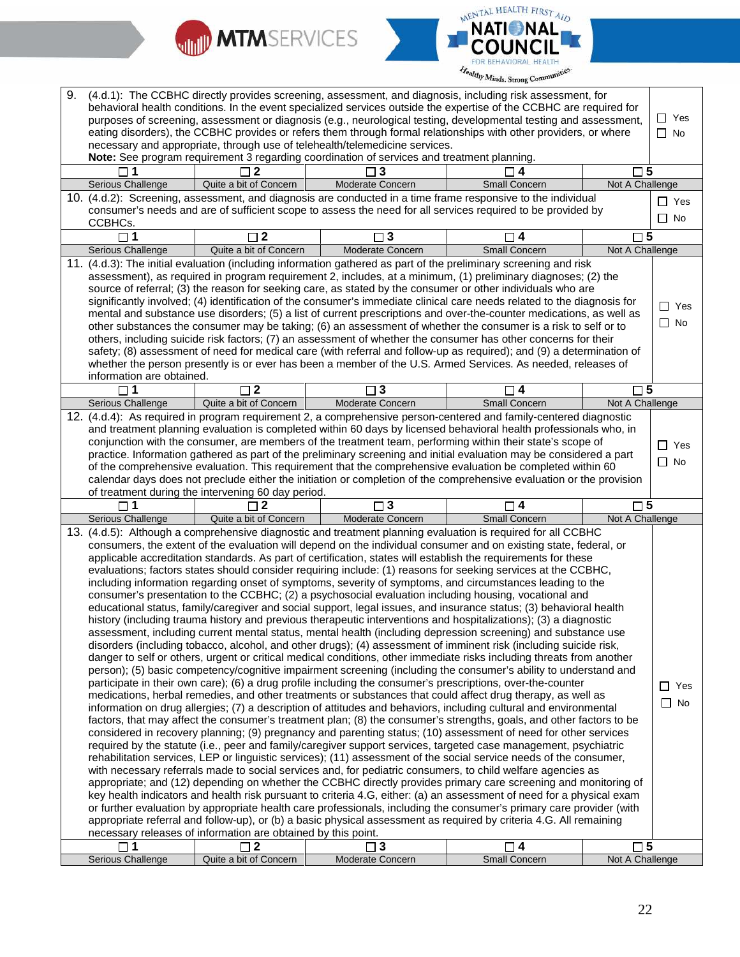



| 9. |                           |                                                               | (4.d.1): The CCBHC directly provides screening, assessment, and diagnosis, including risk assessment, for                                                                                                                       |                      |                 |              |
|----|---------------------------|---------------------------------------------------------------|---------------------------------------------------------------------------------------------------------------------------------------------------------------------------------------------------------------------------------|----------------------|-----------------|--------------|
|    |                           |                                                               | behavioral health conditions. In the event specialized services outside the expertise of the CCBHC are required for                                                                                                             |                      |                 |              |
|    |                           |                                                               | purposes of screening, assessment or diagnosis (e.g., neurological testing, developmental testing and assessment,                                                                                                               |                      |                 | $\Box$ Yes   |
|    |                           |                                                               | eating disorders), the CCBHC provides or refers them through formal relationships with other providers, or where                                                                                                                |                      |                 | $\Box$ No    |
|    |                           |                                                               | necessary and appropriate, through use of telehealth/telemedicine services.                                                                                                                                                     |                      |                 |              |
|    |                           |                                                               | Note: See program requirement 3 regarding coordination of services and treatment planning.                                                                                                                                      |                      |                 |              |
|    |                           | $\mathbf 2$                                                   | 3                                                                                                                                                                                                                               | $\Box$ 4             | $\square$ 5     |              |
|    | Serious Challenge         | Quite a bit of Concern                                        | Moderate Concern                                                                                                                                                                                                                | <b>Small Concern</b> | Not A Challenge |              |
|    |                           |                                                               | 10. (4.d.2): Screening, assessment, and diagnosis are conducted in a time frame responsive to the individual                                                                                                                    |                      |                 | $\Box$ Yes   |
|    |                           |                                                               | consumer's needs and are of sufficient scope to assess the need for all services required to be provided by                                                                                                                     |                      |                 |              |
|    | CCBHCs.                   |                                                               |                                                                                                                                                                                                                                 |                      |                 | $\square$ No |
|    | 1                         | $\square$ 2                                                   | $\square$ 3                                                                                                                                                                                                                     | $\Box$ 4             | $\square$ 5     |              |
|    | Serious Challenge         | Quite a bit of Concern                                        | Moderate Concern                                                                                                                                                                                                                | <b>Small Concern</b> | Not A Challenge |              |
|    |                           |                                                               | 11. (4.d.3): The initial evaluation (including information gathered as part of the preliminary screening and risk                                                                                                               |                      |                 |              |
|    |                           |                                                               | assessment), as required in program requirement 2, includes, at a minimum, (1) preliminary diagnoses; (2) the                                                                                                                   |                      |                 |              |
|    |                           |                                                               | source of referral; (3) the reason for seeking care, as stated by the consumer or other individuals who are                                                                                                                     |                      |                 |              |
|    |                           |                                                               | significantly involved; (4) identification of the consumer's immediate clinical care needs related to the diagnosis for                                                                                                         |                      |                 |              |
|    |                           |                                                               | mental and substance use disorders; (5) a list of current prescriptions and over-the-counter medications, as well as                                                                                                            |                      |                 | $\Box$ Yes   |
|    |                           |                                                               | other substances the consumer may be taking; (6) an assessment of whether the consumer is a risk to self or to                                                                                                                  |                      |                 | $\Box$ No    |
|    |                           |                                                               | others, including suicide risk factors; (7) an assessment of whether the consumer has other concerns for their                                                                                                                  |                      |                 |              |
|    |                           |                                                               | safety; (8) assessment of need for medical care (with referral and follow-up as required); and (9) a determination of                                                                                                           |                      |                 |              |
|    |                           |                                                               | whether the person presently is or ever has been a member of the U.S. Armed Services. As needed, releases of                                                                                                                    |                      |                 |              |
|    | information are obtained. |                                                               |                                                                                                                                                                                                                                 |                      |                 |              |
|    | П<br>1                    | $\square$ 2                                                   | 3                                                                                                                                                                                                                               | ∏ 4                  | $\square$ 5     |              |
|    | Serious Challenge         | Quite a bit of Concern                                        | Moderate Concern                                                                                                                                                                                                                | Small Concern        | Not A Challenge |              |
|    |                           |                                                               | 12. (4.d.4): As required in program requirement 2, a comprehensive person-centered and family-centered diagnostic                                                                                                               |                      |                 |              |
|    |                           |                                                               | and treatment planning evaluation is completed within 60 days by licensed behavioral health professionals who, in                                                                                                               |                      |                 |              |
|    |                           |                                                               | conjunction with the consumer, are members of the treatment team, performing within their state's scope of                                                                                                                      |                      |                 |              |
|    |                           |                                                               | practice. Information gathered as part of the preliminary screening and initial evaluation may be considered a part                                                                                                             |                      |                 | $\Box$ Yes   |
|    |                           |                                                               | of the comprehensive evaluation. This requirement that the comprehensive evaluation be completed within 60                                                                                                                      |                      |                 | $\square$ No |
|    |                           |                                                               | calendar days does not preclude either the initiation or completion of the comprehensive evaluation or the provision                                                                                                            |                      |                 |              |
|    |                           |                                                               |                                                                                                                                                                                                                                 |                      |                 |              |
|    |                           | of treatment during the intervening 60 day period.<br>2       | $\square$ 3                                                                                                                                                                                                                     |                      | $\square$ 5     |              |
|    | Serious Challenge         | Quite a bit of Concern                                        | Moderate Concern                                                                                                                                                                                                                | □ 4<br>Small Concern | Not A Challenge |              |
|    |                           |                                                               |                                                                                                                                                                                                                                 |                      |                 |              |
|    |                           |                                                               | 13. (4.d.5): Although a comprehensive diagnostic and treatment planning evaluation is required for all CCBHC                                                                                                                    |                      |                 |              |
|    |                           |                                                               | consumers, the extent of the evaluation will depend on the individual consumer and on existing state, federal, or                                                                                                               |                      |                 |              |
|    |                           |                                                               | applicable accreditation standards. As part of certification, states will establish the requirements for these<br>evaluations; factors states should consider requiring include: (1) reasons for seeking services at the CCBHC, |                      |                 |              |
|    |                           |                                                               | including information regarding onset of symptoms, severity of symptoms, and circumstances leading to the                                                                                                                       |                      |                 |              |
|    |                           |                                                               | consumer's presentation to the CCBHC; (2) a psychosocial evaluation including housing, vocational and                                                                                                                           |                      |                 |              |
|    |                           |                                                               | educational status, family/caregiver and social support, legal issues, and insurance status; (3) behavioral health                                                                                                              |                      |                 |              |
|    |                           |                                                               | history (including trauma history and previous therapeutic interventions and hospitalizations); (3) a diagnostic                                                                                                                |                      |                 |              |
|    |                           |                                                               | assessment, including current mental status, mental health (including depression screening) and substance use                                                                                                                   |                      |                 |              |
|    |                           |                                                               | disorders (including tobacco, alcohol, and other drugs); (4) assessment of imminent risk (including suicide risk,                                                                                                               |                      |                 |              |
|    |                           |                                                               | danger to self or others, urgent or critical medical conditions, other immediate risks including threats from another                                                                                                           |                      |                 |              |
|    |                           |                                                               | person); (5) basic competency/cognitive impairment screening (including the consumer's ability to understand and                                                                                                                |                      |                 |              |
|    |                           |                                                               | participate in their own care); (6) a drug profile including the consumer's prescriptions, over-the-counter                                                                                                                     |                      |                 |              |
|    |                           |                                                               | medications, herbal remedies, and other treatments or substances that could affect drug therapy, as well as                                                                                                                     |                      |                 | ∐ Yes        |
|    |                           |                                                               | information on drug allergies; (7) a description of attitudes and behaviors, including cultural and environmental                                                                                                               |                      |                 | $\Box$ No    |
|    |                           |                                                               | factors, that may affect the consumer's treatment plan; (8) the consumer's strengths, goals, and other factors to be                                                                                                            |                      |                 |              |
|    |                           |                                                               | considered in recovery planning; (9) pregnancy and parenting status; (10) assessment of need for other services                                                                                                                 |                      |                 |              |
|    |                           |                                                               | required by the statute (i.e., peer and family/caregiver support services, targeted case management, psychiatric                                                                                                                |                      |                 |              |
|    |                           |                                                               | rehabilitation services, LEP or linguistic services); (11) assessment of the social service needs of the consumer,                                                                                                              |                      |                 |              |
|    |                           |                                                               | with necessary referrals made to social services and, for pediatric consumers, to child welfare agencies as                                                                                                                     |                      |                 |              |
|    |                           |                                                               | appropriate; and (12) depending on whether the CCBHC directly provides primary care screening and monitoring of                                                                                                                 |                      |                 |              |
|    |                           |                                                               | key health indicators and health risk pursuant to criteria 4.G, either: (a) an assessment of need for a physical exam                                                                                                           |                      |                 |              |
|    |                           |                                                               | or further evaluation by appropriate health care professionals, including the consumer's primary care provider (with                                                                                                            |                      |                 |              |
|    |                           |                                                               | appropriate referral and follow-up), or (b) a basic physical assessment as required by criteria 4.G. All remaining                                                                                                              |                      |                 |              |
|    |                           | necessary releases of information are obtained by this point. |                                                                                                                                                                                                                                 |                      |                 |              |
|    | 1                         | $\Box$ 2                                                      | $\square$ 3                                                                                                                                                                                                                     | $\Box$ 4             | $\square$ 5     |              |
|    | Serious Challenge         | Quite a bit of Concern                                        | Moderate Concern                                                                                                                                                                                                                | Small Concern        | Not A Challenge |              |
|    |                           |                                                               |                                                                                                                                                                                                                                 |                      |                 |              |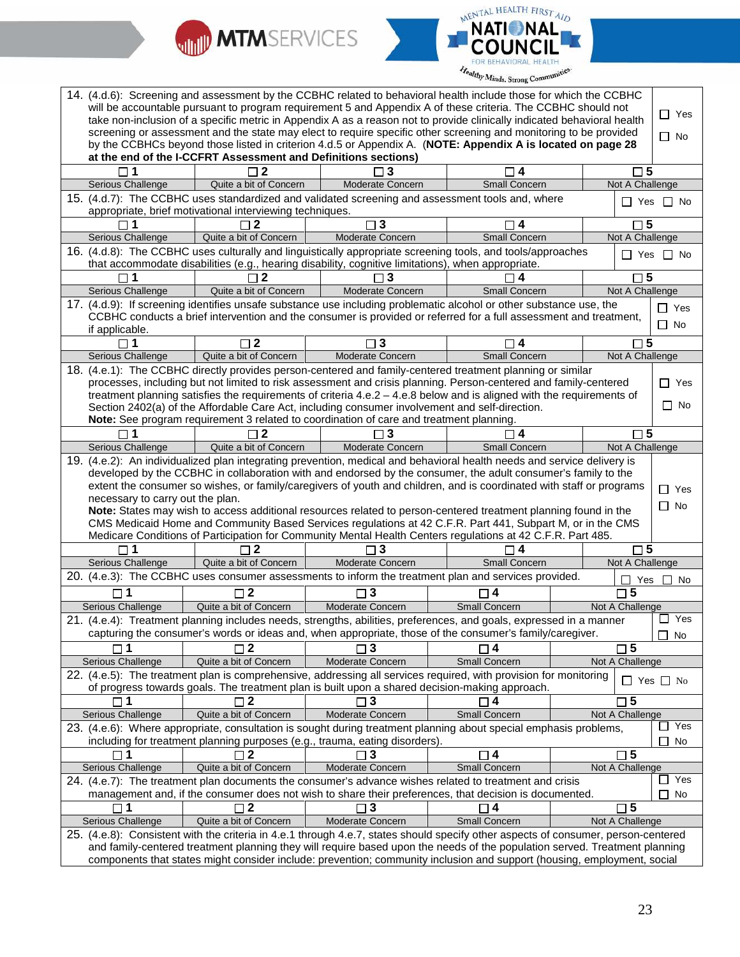



|                                                                                                                                                                                                                                                       |                                                                | 14. (4.d.6): Screening and assessment by the CCBHC related to behavioral health include those for which the CCBHC                                                                                                                        |                           |  |                                |                      |
|-------------------------------------------------------------------------------------------------------------------------------------------------------------------------------------------------------------------------------------------------------|----------------------------------------------------------------|------------------------------------------------------------------------------------------------------------------------------------------------------------------------------------------------------------------------------------------|---------------------------|--|--------------------------------|----------------------|
| will be accountable pursuant to program requirement 5 and Appendix A of these criteria. The CCBHC should not<br>$\Box$ Yes<br>take non-inclusion of a specific metric in Appendix A as a reason not to provide clinically indicated behavioral health |                                                                |                                                                                                                                                                                                                                          |                           |  |                                |                      |
|                                                                                                                                                                                                                                                       |                                                                | screening or assessment and the state may elect to require specific other screening and monitoring to be provided                                                                                                                        |                           |  |                                |                      |
|                                                                                                                                                                                                                                                       |                                                                | by the CCBHCs beyond those listed in criterion 4.d.5 or Appendix A. (NOTE: Appendix A is located on page 28                                                                                                                              |                           |  |                                | $\Box$ No            |
|                                                                                                                                                                                                                                                       | at the end of the I-CCFRT Assessment and Definitions sections) |                                                                                                                                                                                                                                          |                           |  |                                |                      |
|                                                                                                                                                                                                                                                       |                                                                |                                                                                                                                                                                                                                          | 4                         |  | $\sqcap 5$                     |                      |
| Serious Challenge                                                                                                                                                                                                                                     | Quite a bit of Concern                                         | Moderate Concern                                                                                                                                                                                                                         | <b>Small Concern</b>      |  | Not A Challenge                |                      |
|                                                                                                                                                                                                                                                       |                                                                | 15. (4.d.7): The CCBHC uses standardized and validated screening and assessment tools and, where                                                                                                                                         |                           |  |                                | $\Box$ Yes $\Box$ No |
|                                                                                                                                                                                                                                                       | appropriate, brief motivational interviewing techniques.       |                                                                                                                                                                                                                                          |                           |  |                                |                      |
| $\Box$ 1                                                                                                                                                                                                                                              | $\Box$ 2                                                       | $\square$ 3                                                                                                                                                                                                                              | $\square$ 4               |  | $\square$ 5                    |                      |
| Serious Challenge                                                                                                                                                                                                                                     | Quite a bit of Concern                                         | Moderate Concern                                                                                                                                                                                                                         | <b>Small Concern</b>      |  | Not A Challenge                |                      |
|                                                                                                                                                                                                                                                       |                                                                | 16. (4.d.8): The CCBHC uses culturally and linguistically appropriate screening tools, and tools/approaches                                                                                                                              |                           |  |                                | $\Box$ Yes $\Box$ No |
|                                                                                                                                                                                                                                                       |                                                                | that accommodate disabilities (e.g., hearing disability, cognitive limitations), when appropriate.                                                                                                                                       |                           |  |                                |                      |
| Serious Challenge                                                                                                                                                                                                                                     |                                                                | Moderate Concern                                                                                                                                                                                                                         | 4<br><b>Small Concern</b> |  | $\square$ 5<br>Not A Challenge |                      |
|                                                                                                                                                                                                                                                       | Quite a bit of Concern                                         | 17. (4.d.9): If screening identifies unsafe substance use including problematic alcohol or other substance use, the                                                                                                                      |                           |  |                                |                      |
|                                                                                                                                                                                                                                                       |                                                                | CCBHC conducts a brief intervention and the consumer is provided or referred for a full assessment and treatment,                                                                                                                        |                           |  |                                | $\Box$ Yes           |
| if applicable.                                                                                                                                                                                                                                        |                                                                |                                                                                                                                                                                                                                          |                           |  |                                | $\Box$ No            |
|                                                                                                                                                                                                                                                       | $\Box$ 2                                                       | ٦3                                                                                                                                                                                                                                       |                           |  | $\Box$ 5                       |                      |
| Serious Challenge                                                                                                                                                                                                                                     | Quite a bit of Concern                                         | Moderate Concern                                                                                                                                                                                                                         | <b>Small Concern</b>      |  | Not A Challenge                |                      |
|                                                                                                                                                                                                                                                       |                                                                | 18. (4.e.1): The CCBHC directly provides person-centered and family-centered treatment planning or similar                                                                                                                               |                           |  |                                |                      |
|                                                                                                                                                                                                                                                       |                                                                | processes, including but not limited to risk assessment and crisis planning. Person-centered and family-centered                                                                                                                         |                           |  |                                | $\Box$ Yes           |
|                                                                                                                                                                                                                                                       |                                                                | treatment planning satisfies the requirements of criteria 4.e.2 - 4.e.8 below and is aligned with the requirements of                                                                                                                    |                           |  |                                |                      |
|                                                                                                                                                                                                                                                       |                                                                | Section 2402(a) of the Affordable Care Act, including consumer involvement and self-direction.                                                                                                                                           |                           |  |                                | $\Box$ No            |
|                                                                                                                                                                                                                                                       |                                                                | Note: See program requirement 3 related to coordination of care and treatment planning.                                                                                                                                                  |                           |  |                                |                      |
|                                                                                                                                                                                                                                                       | 2                                                              | 3                                                                                                                                                                                                                                        |                           |  | $\square$ 5                    |                      |
| Serious Challenge                                                                                                                                                                                                                                     | Quite a bit of Concern                                         | Moderate Concern                                                                                                                                                                                                                         | Small Concern             |  | Not A Challenge                |                      |
|                                                                                                                                                                                                                                                       |                                                                | 19. (4.e.2): An individualized plan integrating prevention, medical and behavioral health needs and service delivery is<br>developed by the CCBHC in collaboration with and endorsed by the consumer, the adult consumer's family to the |                           |  |                                |                      |
|                                                                                                                                                                                                                                                       |                                                                |                                                                                                                                                                                                                                          |                           |  |                                |                      |
|                                                                                                                                                                                                                                                       |                                                                |                                                                                                                                                                                                                                          |                           |  |                                |                      |
|                                                                                                                                                                                                                                                       |                                                                | extent the consumer so wishes, or family/caregivers of youth and children, and is coordinated with staff or programs                                                                                                                     |                           |  |                                | $\Box$ Yes           |
| necessary to carry out the plan.                                                                                                                                                                                                                      |                                                                |                                                                                                                                                                                                                                          |                           |  |                                | $\Box$ No            |
|                                                                                                                                                                                                                                                       |                                                                | Note: States may wish to access additional resources related to person-centered treatment planning found in the<br>CMS Medicaid Home and Community Based Services regulations at 42 C.F.R. Part 441, Subpart M, or in the CMS            |                           |  |                                |                      |
|                                                                                                                                                                                                                                                       |                                                                | Medicare Conditions of Participation for Community Mental Health Centers regulations at 42 C.F.R. Part 485.                                                                                                                              |                           |  |                                |                      |
|                                                                                                                                                                                                                                                       | $\sqcap$ 2                                                     | 3                                                                                                                                                                                                                                        |                           |  | $\sqcap$ 5                     |                      |
| Serious Challenge                                                                                                                                                                                                                                     | Quite a bit of Concern                                         | Moderate Concern                                                                                                                                                                                                                         | Small Concern             |  | Not A Challenge                |                      |
|                                                                                                                                                                                                                                                       |                                                                | 20. (4.e.3): The CCBHC uses consumer assessments to inform the treatment plan and services provided.                                                                                                                                     |                           |  | П<br>Yes                       | No                   |
|                                                                                                                                                                                                                                                       | $\square$ 2                                                    | $\Box$ 3                                                                                                                                                                                                                                 | 4                         |  | $\square$ 5                    |                      |
| Serious Challenge                                                                                                                                                                                                                                     | Quite a bit of Concern                                         | Moderate Concern                                                                                                                                                                                                                         | Small Concern             |  | Not A Challenge                |                      |
|                                                                                                                                                                                                                                                       |                                                                | 21. (4.e.4): Treatment planning includes needs, strengths, abilities, preferences, and goals, expressed in a manner                                                                                                                      |                           |  |                                | Yes                  |
|                                                                                                                                                                                                                                                       |                                                                | capturing the consumer's words or ideas and, when appropriate, those of the consumer's family/caregiver.                                                                                                                                 |                           |  |                                | П<br>No              |
|                                                                                                                                                                                                                                                       |                                                                |                                                                                                                                                                                                                                          |                           |  | 5                              |                      |
| Serious Challenge                                                                                                                                                                                                                                     | Quite a bit of Concern                                         | Moderate Concern                                                                                                                                                                                                                         | <b>Small Concern</b>      |  | Not A Challenge                |                      |
|                                                                                                                                                                                                                                                       |                                                                | 22. (4.e.5): The treatment plan is comprehensive, addressing all services required, with provision for monitoring                                                                                                                        |                           |  |                                | $\Box$ Yes $\Box$ No |
|                                                                                                                                                                                                                                                       |                                                                | of progress towards goals. The treatment plan is built upon a shared decision-making approach.                                                                                                                                           |                           |  |                                |                      |
| $\Box$ 1                                                                                                                                                                                                                                              | $\sqcap$ 2                                                     |                                                                                                                                                                                                                                          | 4                         |  | 5                              |                      |
| Serious Challenge                                                                                                                                                                                                                                     | Quite a bit of Concern                                         | Moderate Concern                                                                                                                                                                                                                         | Small Concern             |  | Not A Challenge                |                      |
|                                                                                                                                                                                                                                                       |                                                                | 23. (4.e.6): Where appropriate, consultation is sought during treatment planning about special emphasis problems,                                                                                                                        |                           |  |                                | Yes                  |
|                                                                                                                                                                                                                                                       |                                                                | including for treatment planning purposes (e.g., trauma, eating disorders).                                                                                                                                                              |                           |  |                                | No                   |
| $\Box$ 1                                                                                                                                                                                                                                              | $\Box$ 2                                                       | $\overline{\phantom{a}}$ 3                                                                                                                                                                                                               | $\Box$ 4                  |  | $\square$ 5                    |                      |
| Serious Challenge                                                                                                                                                                                                                                     | Quite a bit of Concern                                         | Moderate Concern                                                                                                                                                                                                                         | Small Concern             |  | Not A Challenge                | $\Box$ Yes           |
|                                                                                                                                                                                                                                                       |                                                                | 24. (4.e.7): The treatment plan documents the consumer's advance wishes related to treatment and crisis                                                                                                                                  |                           |  |                                | $\perp$              |
|                                                                                                                                                                                                                                                       | $\Box$ 2                                                       | management and, if the consumer does not wish to share their preferences, that decision is documented.<br>З                                                                                                                              |                           |  | $\Box$ 5                       | No                   |
| Serious Challenge                                                                                                                                                                                                                                     | Quite a bit of Concern                                         | Moderate Concern                                                                                                                                                                                                                         | Small Concern             |  | Not A Challenge                |                      |
|                                                                                                                                                                                                                                                       |                                                                | 25. (4.e.8): Consistent with the criteria in 4.e.1 through 4.e.7, states should specify other aspects of consumer, person-centered                                                                                                       |                           |  |                                |                      |
|                                                                                                                                                                                                                                                       |                                                                | and family-centered treatment planning they will require based upon the needs of the population served. Treatment planning                                                                                                               |                           |  |                                |                      |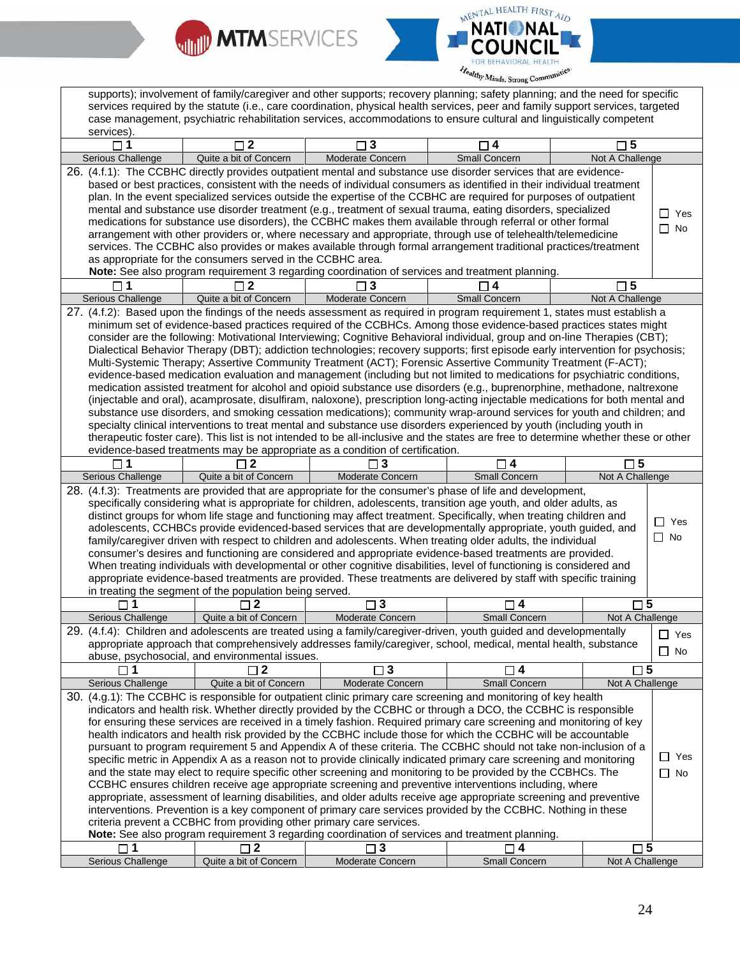



supports); involvement of family/caregiver and other supports; recovery planning; safety planning; and the need for specific services required by the statute (i.e., care coordination, physical health services, peer and family support services, targeted case management, psychiatric rehabilitation services, accommodations to ensure cultural and linguistically competent services). **1 2 3 4 5** Serious Challenge Quite a bit of Concern Moderate Concern Small Concern Not A Challenge 26. (4.f.1): The CCBHC directly provides outpatient mental and substance use disorder services that are evidencebased or best practices, consistent with the needs of individual consumers as identified in their individual treatment plan. In the event specialized services outside the expertise of the CCBHC are required for purposes of outpatient mental and substance use disorder treatment (e.g., treatment of sexual trauma, eating disorders, specialized medications for substance use disorders), the CCBHC makes them available through referral or other formal arrangement with other providers or, where necessary and appropriate, through use of telehealth/telemedicine services. The CCBHC also provides or makes available through formal arrangement traditional practices/treatment as appropriate for the consumers served in the CCBHC area. **Note:** See also program requirement 3 regarding coordination of services and treatment planning. □ Yes □ No **1 2 3 4 5** Serious Challenge Quite a bit of Concern Moderate Concern Small Concern Not A Challenge 27. (4.f.2): Based upon the findings of the needs assessment as required in program requirement 1, states must establish a minimum set of evidence-based practices required of the CCBHCs. Among those evidence-based practices states might consider are the following: Motivational Interviewing; Cognitive Behavioral individual, group and on-line Therapies (CBT); Dialectical Behavior Therapy (DBT); addiction technologies; recovery supports; first episode early intervention for psychosis; Multi-Systemic Therapy; Assertive Community Treatment (ACT); Forensic Assertive Community Treatment (F-ACT); evidence-based medication evaluation and management (including but not limited to medications for psychiatric conditions, medication assisted treatment for alcohol and opioid substance use disorders (e.g., buprenorphine, methadone, naltrexone (injectable and oral), acamprosate, disulfiram, naloxone), prescription long-acting injectable medications for both mental and substance use disorders, and smoking cessation medications); community wrap-around services for youth and children; and specialty clinical interventions to treat mental and substance use disorders experienced by youth (including youth in therapeutic foster care). This list is not intended to be all-inclusive and the states are free to determine whether these or other evidence-based treatments may be appropriate as a condition of certification. **1 2 3 4 5** Serious Challenge | Quite a bit of Concern | Moderate Concern | Small Concern | Not A Challenge 28. (4.f.3): Treatments are provided that are appropriate for the consumer's phase of life and development, specifically considering what is appropriate for children, adolescents, transition age youth, and older adults, as distinct groups for whom life stage and functioning may affect treatment. Specifically, when treating children and adolescents, CCHBCs provide evidenced-based services that are developmentally appropriate, youth guided, and family/caregiver driven with respect to children and adolescents. When treating older adults, the individual consumer's desires and functioning are considered and appropriate evidence-based treatments are provided. When treating individuals with developmental or other cognitive disabilities, level of functioning is considered and appropriate evidence-based treatments are provided. These treatments are delivered by staff with specific training in treating the segment of the population being served. □ Yes  $\Box$  No **1 2 3 4 5** Serious Challenge | Quite a bit of Concern | Moderate Concern | Small Concern | Not A Challenge 29. (4.f.4): Children and adolescents are treated using a family/caregiver-driven, youth guided and developmentally appropriate approach that comprehensively addresses family/caregiver, school, medical, mental health, substance abuse, psychosocial, and environmental issues. □ Yes  $\Box$  No **1 2 3 4 5** Serious Challenge Quite a bit of Concern Moderate Concern Small Concern Not A Challenge 30. (4.g.1): The CCBHC is responsible for outpatient clinic primary care screening and monitoring of key health indicators and health risk. Whether directly provided by the CCBHC or through a DCO, the CCBHC is responsible for ensuring these services are received in a timely fashion. Required primary care screening and monitoring of key health indicators and health risk provided by the CCBHC include those for which the CCBHC will be accountable pursuant to program requirement 5 and Appendix A of these criteria. The CCBHC should not take non-inclusion of a specific metric in Appendix A as a reason not to provide clinically indicated primary care screening and monitoring and the state may elect to require specific other screening and monitoring to be provided by the CCBHCs. The CCBHC ensures children receive age appropriate screening and preventive interventions including, where appropriate, assessment of learning disabilities, and older adults receive age appropriate screening and preventive interventions. Prevention is a key component of primary care services provided by the CCBHC. Nothing in these criteria prevent a CCBHC from providing other primary care services. **Note:** See also program requirement 3 regarding coordination of services and treatment planning. □ Yes □ No **1 2 3 4 5** Serious Challenge Quite a bit of Concern Moderate Concern Small Concern Not A Challenge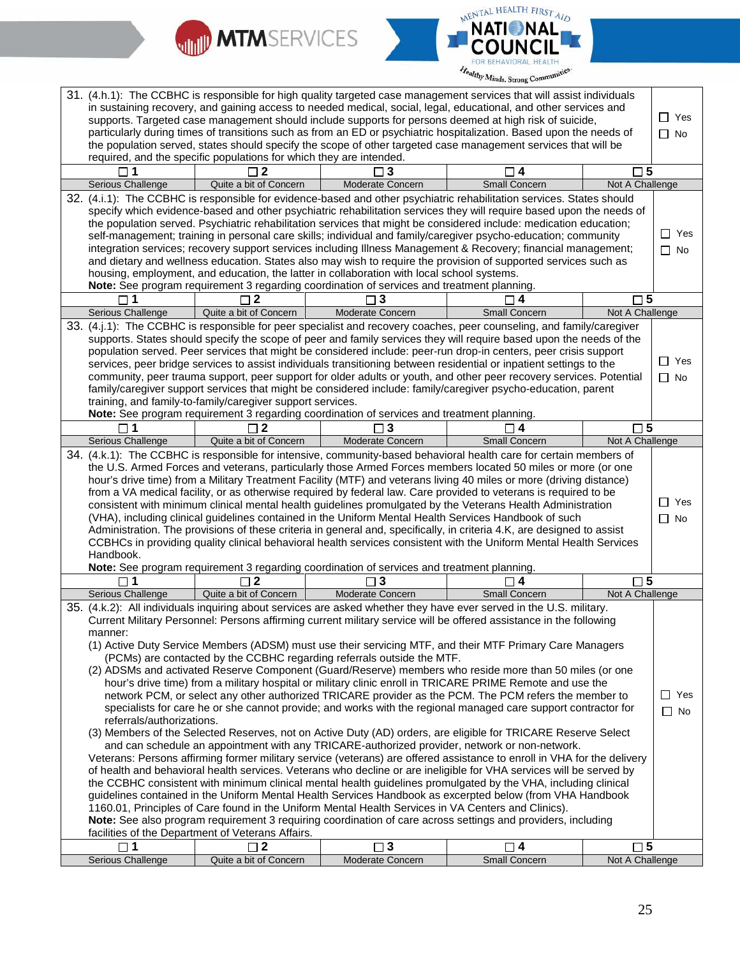



|                                                                                                                  |                           |                                                                     |                                                                                                                                                                                          | 31. (4.h.1): The CCBHC is responsible for high quality targeted case management services that will assist individuals                                                                                                                        |                                |               |
|------------------------------------------------------------------------------------------------------------------|---------------------------|---------------------------------------------------------------------|------------------------------------------------------------------------------------------------------------------------------------------------------------------------------------------|----------------------------------------------------------------------------------------------------------------------------------------------------------------------------------------------------------------------------------------------|--------------------------------|---------------|
| in sustaining recovery, and gaining access to needed medical, social, legal, educational, and other services and |                           |                                                                     |                                                                                                                                                                                          |                                                                                                                                                                                                                                              |                                |               |
|                                                                                                                  |                           |                                                                     |                                                                                                                                                                                          | supports. Targeted case management should include supports for persons deemed at high risk of suicide,                                                                                                                                       |                                | $\Box$ Yes    |
|                                                                                                                  |                           |                                                                     |                                                                                                                                                                                          | particularly during times of transitions such as from an ED or psychiatric hospitalization. Based upon the needs of                                                                                                                          |                                | $\Box$ No     |
|                                                                                                                  |                           | required, and the specific populations for which they are intended. |                                                                                                                                                                                          | the population served, states should specify the scope of other targeted case management services that will be                                                                                                                               |                                |               |
|                                                                                                                  |                           |                                                                     |                                                                                                                                                                                          |                                                                                                                                                                                                                                              | $\square$ 5                    |               |
|                                                                                                                  | Serious Challenge         | Quite a bit of Concern                                              | Moderate Concern                                                                                                                                                                         | Small Concern                                                                                                                                                                                                                                | Not A Challenge                |               |
|                                                                                                                  |                           |                                                                     |                                                                                                                                                                                          | 32. (4.i.1): The CCBHC is responsible for evidence-based and other psychiatric rehabilitation services. States should                                                                                                                        |                                |               |
|                                                                                                                  |                           |                                                                     |                                                                                                                                                                                          | specify which evidence-based and other psychiatric rehabilitation services they will require based upon the needs of                                                                                                                         |                                |               |
|                                                                                                                  |                           |                                                                     |                                                                                                                                                                                          | the population served. Psychiatric rehabilitation services that might be considered include: medication education;                                                                                                                           |                                |               |
|                                                                                                                  |                           |                                                                     |                                                                                                                                                                                          | self-management; training in personal care skills; individual and family/caregiver psycho-education; community                                                                                                                               |                                | $\Box$ Yes    |
|                                                                                                                  |                           |                                                                     |                                                                                                                                                                                          | integration services; recovery support services including Illness Management & Recovery; financial management;                                                                                                                               |                                | $\Box$ No     |
|                                                                                                                  |                           |                                                                     |                                                                                                                                                                                          | and dietary and wellness education. States also may wish to require the provision of supported services such as                                                                                                                              |                                |               |
|                                                                                                                  |                           |                                                                     | housing, employment, and education, the latter in collaboration with local school systems.<br>Note: See program requirement 3 regarding coordination of services and treatment planning. |                                                                                                                                                                                                                                              |                                |               |
|                                                                                                                  | $\sqcap$ 1                | ٦2                                                                  | 3                                                                                                                                                                                        | 4                                                                                                                                                                                                                                            | $\square$ 5                    |               |
|                                                                                                                  | Serious Challenge         | Quite a bit of Concern                                              | <b>Moderate Concern</b>                                                                                                                                                                  | <b>Small Concern</b>                                                                                                                                                                                                                         | Not A Challenge                |               |
|                                                                                                                  |                           |                                                                     |                                                                                                                                                                                          | 33. (4.j.1): The CCBHC is responsible for peer specialist and recovery coaches, peer counseling, and family/caregiver                                                                                                                        |                                |               |
|                                                                                                                  |                           |                                                                     |                                                                                                                                                                                          | supports. States should specify the scope of peer and family services they will require based upon the needs of the                                                                                                                          |                                |               |
|                                                                                                                  |                           |                                                                     |                                                                                                                                                                                          | population served. Peer services that might be considered include: peer-run drop-in centers, peer crisis support                                                                                                                             |                                |               |
|                                                                                                                  |                           |                                                                     |                                                                                                                                                                                          | services, peer bridge services to assist individuals transitioning between residential or inpatient settings to the                                                                                                                          |                                | $\Box$ Yes    |
|                                                                                                                  |                           |                                                                     |                                                                                                                                                                                          | community, peer trauma support, peer support for older adults or youth, and other peer recovery services. Potential                                                                                                                          |                                | $\Box$ No     |
|                                                                                                                  |                           |                                                                     |                                                                                                                                                                                          | family/caregiver support services that might be considered include: family/caregiver psycho-education, parent                                                                                                                                |                                |               |
|                                                                                                                  |                           | training, and family-to-family/caregiver support services.          |                                                                                                                                                                                          |                                                                                                                                                                                                                                              |                                |               |
|                                                                                                                  | 1                         | $\mathbf{2}$                                                        | Note: See program requirement 3 regarding coordination of services and treatment planning.<br>$\overline{\mathbf{3}}$                                                                    | 4                                                                                                                                                                                                                                            | $\square$ 5                    |               |
|                                                                                                                  | <b>Serious Challenge</b>  | Quite a bit of Concern                                              | Moderate Concern                                                                                                                                                                         | <b>Small Concern</b>                                                                                                                                                                                                                         | Not A Challenge                |               |
|                                                                                                                  |                           |                                                                     |                                                                                                                                                                                          | 34. (4.k.1): The CCBHC is responsible for intensive, community-based behavioral health care for certain members of                                                                                                                           |                                |               |
|                                                                                                                  |                           |                                                                     |                                                                                                                                                                                          | the U.S. Armed Forces and veterans, particularly those Armed Forces members located 50 miles or more (or one                                                                                                                                 |                                |               |
|                                                                                                                  |                           |                                                                     |                                                                                                                                                                                          | hour's drive time) from a Military Treatment Facility (MTF) and veterans living 40 miles or more (driving distance)                                                                                                                          |                                |               |
|                                                                                                                  |                           |                                                                     |                                                                                                                                                                                          | from a VA medical facility, or as otherwise required by federal law. Care provided to veterans is required to be                                                                                                                             |                                |               |
|                                                                                                                  |                           |                                                                     |                                                                                                                                                                                          | consistent with minimum clinical mental health guidelines promulgated by the Veterans Health Administration                                                                                                                                  |                                | $\Box$<br>Yes |
|                                                                                                                  |                           |                                                                     |                                                                                                                                                                                          | (VHA), including clinical guidelines contained in the Uniform Mental Health Services Handbook of such                                                                                                                                        |                                | $\Box$ No     |
|                                                                                                                  |                           |                                                                     |                                                                                                                                                                                          | Administration. The provisions of these criteria in general and, specifically, in criteria 4.K, are designed to assist<br>CCBHCs in providing quality clinical behavioral health services consistent with the Uniform Mental Health Services |                                |               |
|                                                                                                                  | Handbook.                 |                                                                     |                                                                                                                                                                                          |                                                                                                                                                                                                                                              |                                |               |
|                                                                                                                  |                           |                                                                     | Note: See program requirement 3 regarding coordination of services and treatment planning.                                                                                               |                                                                                                                                                                                                                                              |                                |               |
|                                                                                                                  | $\Box$ 1                  | $\Box$ 2                                                            | $\Box$ 3                                                                                                                                                                                 | $\overline{\mathbf{4}}$<br>П                                                                                                                                                                                                                 | $\square$ 5                    |               |
|                                                                                                                  | <b>Serious Challenge</b>  | Quite a bit of Concern                                              | Moderate Concern                                                                                                                                                                         | <b>Small Concern</b>                                                                                                                                                                                                                         | Not A Challenge                |               |
|                                                                                                                  |                           |                                                                     |                                                                                                                                                                                          | 35. (4.k.2): All individuals inquiring about services are asked whether they have ever served in the U.S. military.                                                                                                                          |                                |               |
|                                                                                                                  |                           |                                                                     |                                                                                                                                                                                          | Current Military Personnel: Persons affirming current military service will be offered assistance in the following                                                                                                                           |                                |               |
|                                                                                                                  | manner:                   |                                                                     |                                                                                                                                                                                          |                                                                                                                                                                                                                                              |                                |               |
|                                                                                                                  |                           |                                                                     | (PCMs) are contacted by the CCBHC regarding referrals outside the MTF.                                                                                                                   | (1) Active Duty Service Members (ADSM) must use their servicing MTF, and their MTF Primary Care Managers                                                                                                                                     |                                |               |
|                                                                                                                  |                           |                                                                     |                                                                                                                                                                                          | (2) ADSMs and activated Reserve Component (Guard/Reserve) members who reside more than 50 miles (or one                                                                                                                                      |                                |               |
|                                                                                                                  |                           |                                                                     |                                                                                                                                                                                          | hour's drive time) from a military hospital or military clinic enroll in TRICARE PRIME Remote and use the                                                                                                                                    |                                |               |
|                                                                                                                  |                           |                                                                     |                                                                                                                                                                                          | network PCM, or select any other authorized TRICARE provider as the PCM. The PCM refers the member to                                                                                                                                        |                                | $\sqcup$ Yes  |
|                                                                                                                  |                           |                                                                     |                                                                                                                                                                                          | specialists for care he or she cannot provide; and works with the regional managed care support contractor for                                                                                                                               |                                | $\Box$<br>No  |
|                                                                                                                  | referrals/authorizations. |                                                                     |                                                                                                                                                                                          |                                                                                                                                                                                                                                              |                                |               |
|                                                                                                                  |                           |                                                                     |                                                                                                                                                                                          | (3) Members of the Selected Reserves, not on Active Duty (AD) orders, are eligible for TRICARE Reserve Select                                                                                                                                |                                |               |
|                                                                                                                  |                           |                                                                     |                                                                                                                                                                                          | and can schedule an appointment with any TRICARE-authorized provider, network or non-network.<br>Veterans: Persons affirming former military service (veterans) are offered assistance to enroll in VHA for the delivery                     |                                |               |
|                                                                                                                  |                           |                                                                     |                                                                                                                                                                                          | of health and behavioral health services. Veterans who decline or are ineligible for VHA services will be served by                                                                                                                          |                                |               |
|                                                                                                                  |                           |                                                                     |                                                                                                                                                                                          | the CCBHC consistent with minimum clinical mental health guidelines promulgated by the VHA, including clinical                                                                                                                               |                                |               |
|                                                                                                                  |                           |                                                                     |                                                                                                                                                                                          | guidelines contained in the Uniform Mental Health Services Handbook as excerpted below (from VHA Handbook                                                                                                                                    |                                |               |
|                                                                                                                  |                           |                                                                     | 1160.01, Principles of Care found in the Uniform Mental Health Services in VA Centers and Clinics).                                                                                      |                                                                                                                                                                                                                                              |                                |               |
|                                                                                                                  |                           |                                                                     |                                                                                                                                                                                          | Note: See also program requirement 3 requiring coordination of care across settings and providers, including                                                                                                                                 |                                |               |
|                                                                                                                  |                           | facilities of the Department of Veterans Affairs.                   |                                                                                                                                                                                          |                                                                                                                                                                                                                                              |                                |               |
|                                                                                                                  | 1<br>Serious Challenge    | $\mathbf{2}$<br>Quite a bit of Concern                              | $\square$ 3<br>Moderate Concern                                                                                                                                                          | $\square$ 4<br>Small Concern                                                                                                                                                                                                                 | $\square$ 5<br>Not A Challenge |               |
|                                                                                                                  |                           |                                                                     |                                                                                                                                                                                          |                                                                                                                                                                                                                                              |                                |               |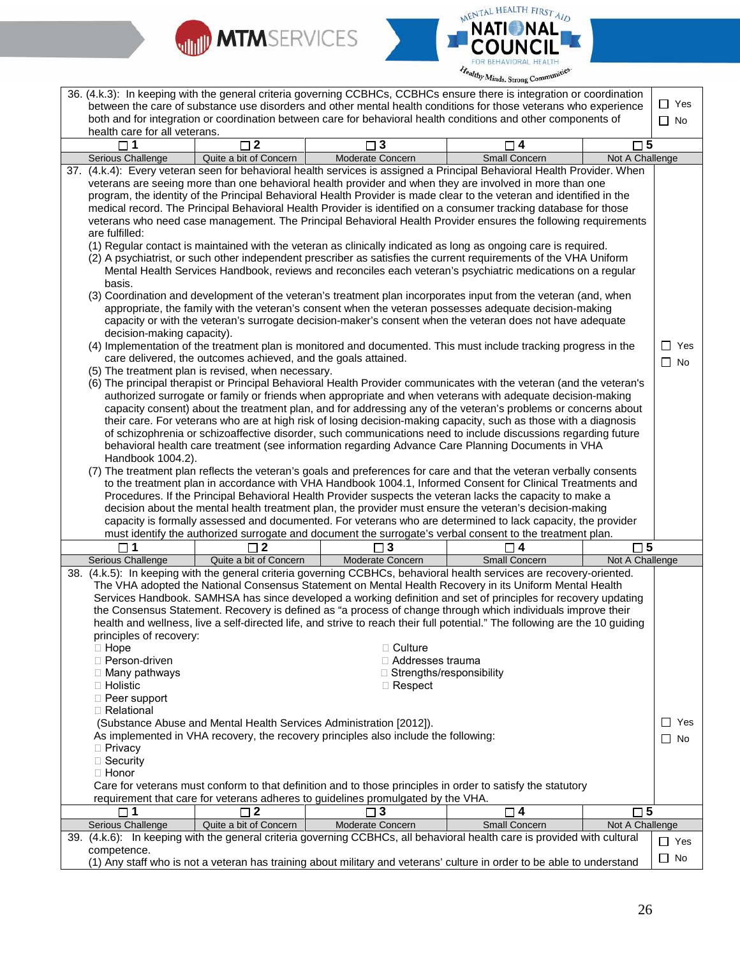



|                               |                                                                     |                                                                                     | 36. (4.k.3): In keeping with the general criteria governing CCBHCs, CCBHCs ensure there is integration or coordination      |                 |            |
|-------------------------------|---------------------------------------------------------------------|-------------------------------------------------------------------------------------|-----------------------------------------------------------------------------------------------------------------------------|-----------------|------------|
|                               |                                                                     |                                                                                     | between the care of substance use disorders and other mental health conditions for those veterans who experience            |                 | $\Box$ Yes |
|                               |                                                                     |                                                                                     | both and for integration or coordination between care for behavioral health conditions and other components of              |                 | $\Box$ No  |
| health care for all veterans. |                                                                     |                                                                                     |                                                                                                                             |                 |            |
| $\Box$ 1                      | $\Box$ 2                                                            | $\square$ 3                                                                         | $\overline{\mathbf{4}}$                                                                                                     | $\square$ 5     |            |
| Serious Challenge             | Quite a bit of Concern                                              | Moderate Concern                                                                    | Small Concern                                                                                                               | Not A Challenge |            |
|                               |                                                                     |                                                                                     | 37. (4.k.4): Every veteran seen for behavioral health services is assigned a Principal Behavioral Health Provider. When     |                 |            |
|                               |                                                                     |                                                                                     | veterans are seeing more than one behavioral health provider and when they are involved in more than one                    |                 |            |
|                               |                                                                     |                                                                                     | program, the identity of the Principal Behavioral Health Provider is made clear to the veteran and identified in the        |                 |            |
|                               |                                                                     |                                                                                     |                                                                                                                             |                 |            |
|                               |                                                                     |                                                                                     | medical record. The Principal Behavioral Health Provider is identified on a consumer tracking database for those            |                 |            |
|                               |                                                                     |                                                                                     | veterans who need case management. The Principal Behavioral Health Provider ensures the following requirements              |                 |            |
| are fulfilled:                |                                                                     |                                                                                     |                                                                                                                             |                 |            |
|                               |                                                                     |                                                                                     | (1) Regular contact is maintained with the veteran as clinically indicated as long as ongoing care is required.             |                 |            |
|                               |                                                                     |                                                                                     | (2) A psychiatrist, or such other independent prescriber as satisfies the current requirements of the VHA Uniform           |                 |            |
|                               |                                                                     |                                                                                     | Mental Health Services Handbook, reviews and reconciles each veteran's psychiatric medications on a regular                 |                 |            |
| basis.                        |                                                                     |                                                                                     |                                                                                                                             |                 |            |
|                               |                                                                     |                                                                                     | (3) Coordination and development of the veteran's treatment plan incorporates input from the veteran (and, when             |                 |            |
|                               |                                                                     |                                                                                     | appropriate, the family with the veteran's consent when the veteran possesses adequate decision-making                      |                 |            |
|                               |                                                                     |                                                                                     | capacity or with the veteran's surrogate decision-maker's consent when the veteran does not have adequate                   |                 |            |
| decision-making capacity).    |                                                                     |                                                                                     |                                                                                                                             |                 |            |
|                               |                                                                     |                                                                                     |                                                                                                                             |                 |            |
|                               |                                                                     |                                                                                     | (4) Implementation of the treatment plan is monitored and documented. This must include tracking progress in the            |                 | $\Box$ Yes |
|                               | care delivered, the outcomes achieved, and the goals attained.      |                                                                                     |                                                                                                                             |                 | $\Box$ No  |
|                               | (5) The treatment plan is revised, when necessary.                  |                                                                                     |                                                                                                                             |                 |            |
|                               |                                                                     |                                                                                     | (6) The principal therapist or Principal Behavioral Health Provider communicates with the veteran (and the veteran's        |                 |            |
|                               |                                                                     |                                                                                     | authorized surrogate or family or friends when appropriate and when veterans with adequate decision-making                  |                 |            |
|                               |                                                                     |                                                                                     | capacity consent) about the treatment plan, and for addressing any of the veteran's problems or concerns about              |                 |            |
|                               |                                                                     |                                                                                     | their care. For veterans who are at high risk of losing decision-making capacity, such as those with a diagnosis            |                 |            |
|                               |                                                                     |                                                                                     | of schizophrenia or schizoaffective disorder, such communications need to include discussions regarding future              |                 |            |
|                               |                                                                     |                                                                                     | behavioral health care treatment (see information regarding Advance Care Planning Documents in VHA                          |                 |            |
| Handbook 1004.2).             |                                                                     |                                                                                     |                                                                                                                             |                 |            |
|                               |                                                                     |                                                                                     | (7) The treatment plan reflects the veteran's goals and preferences for care and that the veteran verbally consents         |                 |            |
|                               |                                                                     |                                                                                     | to the treatment plan in accordance with VHA Handbook 1004.1, Informed Consent for Clinical Treatments and                  |                 |            |
|                               |                                                                     |                                                                                     | Procedures. If the Principal Behavioral Health Provider suspects the veteran lacks the capacity to make a                   |                 |            |
|                               |                                                                     |                                                                                     | decision about the mental health treatment plan, the provider must ensure the veteran's decision-making                     |                 |            |
|                               |                                                                     |                                                                                     |                                                                                                                             |                 |            |
|                               |                                                                     |                                                                                     | capacity is formally assessed and documented. For veterans who are determined to lack capacity, the provider                |                 |            |
|                               |                                                                     |                                                                                     | must identify the authorized surrogate and document the surrogate's verbal consent to the treatment plan.                   |                 |            |
| $\sqcap$ 1                    | 2 ר                                                                 | 3 ⊤                                                                                 |                                                                                                                             | $\square$ 5     |            |
| Serious Challenge             | Quite a bit of Concern                                              | <b>Moderate Concern</b>                                                             | <b>Small Concern</b>                                                                                                        | Not A Challenge |            |
|                               |                                                                     |                                                                                     | 38. (4.k.5): In keeping with the general criteria governing CCBHCs, behavioral health services are recovery-oriented.       |                 |            |
|                               |                                                                     |                                                                                     | The VHA adopted the National Consensus Statement on Mental Health Recovery in its Uniform Mental Health                     |                 |            |
|                               |                                                                     |                                                                                     | Services Handbook. SAMHSA has since developed a working definition and set of principles for recovery updating              |                 |            |
|                               |                                                                     |                                                                                     | the Consensus Statement. Recovery is defined as "a process of change through which individuals improve their                |                 |            |
|                               |                                                                     |                                                                                     | health and wellness, live a self-directed life, and strive to reach their full potential." The following are the 10 guiding |                 |            |
| principles of recovery:       |                                                                     |                                                                                     |                                                                                                                             |                 |            |
| $\Box$ Hope                   |                                                                     | $\Box$ Culture                                                                      |                                                                                                                             |                 |            |
| □ Person-driven               |                                                                     | □ Addresses trauma                                                                  |                                                                                                                             |                 |            |
|                               |                                                                     | □ Strengths/responsibility                                                          |                                                                                                                             |                 |            |
| □ Many pathways               |                                                                     |                                                                                     |                                                                                                                             |                 |            |
| $\Box$ Holistic               |                                                                     | $\Box$ Respect                                                                      |                                                                                                                             |                 |            |
| □ Peer support                |                                                                     |                                                                                     |                                                                                                                             |                 |            |
| □ Relational                  |                                                                     |                                                                                     |                                                                                                                             |                 |            |
|                               | (Substance Abuse and Mental Health Services Administration [2012]). |                                                                                     |                                                                                                                             |                 | □ Yes      |
|                               |                                                                     | As implemented in VHA recovery, the recovery principles also include the following: |                                                                                                                             |                 | ∣ No       |
| $\Box$ Privacy                |                                                                     |                                                                                     |                                                                                                                             |                 |            |
| □ Security                    |                                                                     |                                                                                     |                                                                                                                             |                 |            |
| $\Box$ Honor                  |                                                                     |                                                                                     |                                                                                                                             |                 |            |
|                               |                                                                     |                                                                                     | Care for veterans must conform to that definition and to those principles in order to satisfy the statutory                 |                 |            |
|                               |                                                                     | requirement that care for veterans adheres to guidelines promulgated by the VHA.    |                                                                                                                             |                 |            |
| $\square$ 1                   | $\square$ 2                                                         | $\square$ 3                                                                         | $\square$ 4                                                                                                                 | $\square$ 5     |            |
| Serious Challenge             | Quite a bit of Concern                                              | Moderate Concern                                                                    | Small Concern                                                                                                               | Not A Challenge |            |
|                               |                                                                     |                                                                                     | 39. (4.k.6): In keeping with the general criteria governing CCBHCs, all behavioral health care is provided with cultural    |                 |            |
|                               |                                                                     |                                                                                     |                                                                                                                             |                 | $\Box$ Yes |
|                               |                                                                     |                                                                                     |                                                                                                                             |                 |            |
| competence.                   |                                                                     |                                                                                     | (1) Any staff who is not a veteran has training about military and veterans' culture in order to be able to understand      |                 | $\Box$ No  |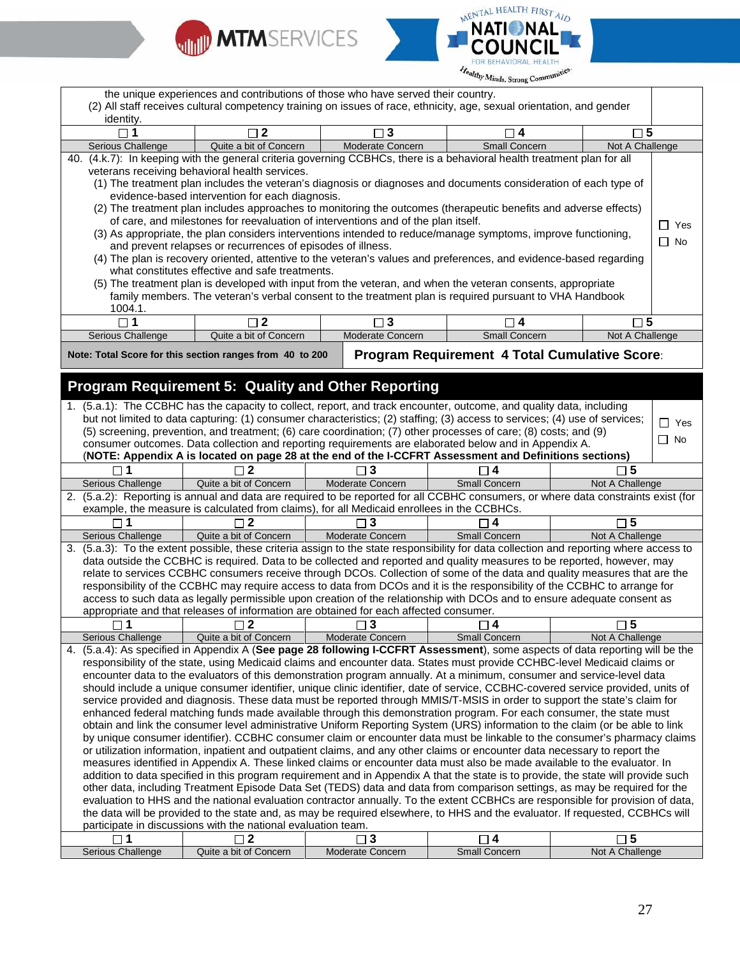



|                                                                                                                          |                                                                                                                                                                                                                           |                                 | <b><i>Partitions</i></b> , <i>Strong</i> Company     |                                |            |
|--------------------------------------------------------------------------------------------------------------------------|---------------------------------------------------------------------------------------------------------------------------------------------------------------------------------------------------------------------------|---------------------------------|------------------------------------------------------|--------------------------------|------------|
|                                                                                                                          | the unique experiences and contributions of those who have served their country.<br>(2) All staff receives cultural competency training on issues of race, ethnicity, age, sexual orientation, and gender                 |                                 |                                                      |                                |            |
| identity.                                                                                                                |                                                                                                                                                                                                                           |                                 |                                                      |                                |            |
|                                                                                                                          | 2                                                                                                                                                                                                                         | 3                               | ו4 ⊏                                                 | $\sqcap$ 5                     |            |
| Serious Challenge                                                                                                        | Quite a bit of Concern                                                                                                                                                                                                    | Moderate Concern                | Small Concern                                        | Not A Challenge                |            |
|                                                                                                                          | 40. (4.k.7): In keeping with the general criteria governing CCBHCs, there is a behavioral health treatment plan for all                                                                                                   |                                 |                                                      |                                |            |
|                                                                                                                          | veterans receiving behavioral health services.                                                                                                                                                                            |                                 |                                                      |                                |            |
|                                                                                                                          | (1) The treatment plan includes the veteran's diagnosis or diagnoses and documents consideration of each type of                                                                                                          |                                 |                                                      |                                |            |
|                                                                                                                          | evidence-based intervention for each diagnosis.                                                                                                                                                                           |                                 |                                                      |                                |            |
|                                                                                                                          | (2) The treatment plan includes approaches to monitoring the outcomes (therapeutic benefits and adverse effects)                                                                                                          |                                 |                                                      |                                |            |
|                                                                                                                          | of care, and milestones for reevaluation of interventions and of the plan itself.                                                                                                                                         |                                 |                                                      |                                | $\Box$ Yes |
|                                                                                                                          | (3) As appropriate, the plan considers interventions intended to reduce/manage symptoms, improve functioning,                                                                                                             |                                 |                                                      |                                |            |
|                                                                                                                          | and prevent relapses or recurrences of episodes of illness.                                                                                                                                                               |                                 |                                                      |                                | $\Box$ No  |
|                                                                                                                          | (4) The plan is recovery oriented, attentive to the veteran's values and preferences, and evidence-based regarding                                                                                                        |                                 |                                                      |                                |            |
|                                                                                                                          | what constitutes effective and safe treatments.                                                                                                                                                                           |                                 |                                                      |                                |            |
|                                                                                                                          | (5) The treatment plan is developed with input from the veteran, and when the veteran consents, appropriate                                                                                                               |                                 |                                                      |                                |            |
|                                                                                                                          | family members. The veteran's verbal consent to the treatment plan is required pursuant to VHA Handbook                                                                                                                   |                                 |                                                      |                                |            |
| 1004.1.                                                                                                                  |                                                                                                                                                                                                                           |                                 |                                                      |                                |            |
| $\Box$ 1                                                                                                                 | $\Box$ 2                                                                                                                                                                                                                  | $\Box$ 3                        | $\Box$ 4                                             | $\square$ 5                    |            |
| Serious Challenge                                                                                                        | Quite a bit of Concern                                                                                                                                                                                                    | Moderate Concern                | Small Concern                                        | Not A Challenge                |            |
|                                                                                                                          |                                                                                                                                                                                                                           |                                 |                                                      |                                |            |
|                                                                                                                          | Note: Total Score for this section ranges from 40 to 200                                                                                                                                                                  |                                 | <b>Program Requirement 4 Total Cumulative Score:</b> |                                |            |
|                                                                                                                          | <b>Program Requirement 5: Quality and Other Reporting</b>                                                                                                                                                                 |                                 |                                                      |                                |            |
|                                                                                                                          | 1. (5.a.1): The CCBHC has the capacity to collect, report, and track encounter, outcome, and quality data, including                                                                                                      |                                 |                                                      |                                |            |
|                                                                                                                          | but not limited to data capturing: (1) consumer characteristics; (2) staffing; (3) access to services; (4) use of services;                                                                                               |                                 |                                                      |                                |            |
|                                                                                                                          |                                                                                                                                                                                                                           |                                 |                                                      |                                | $\Box$ Yes |
|                                                                                                                          | (5) screening, prevention, and treatment; (6) care coordination; (7) other processes of care; (8) costs; and (9)<br>consumer outcomes. Data collection and reporting requirements are elaborated below and in Appendix A. |                                 |                                                      |                                | $\Box$ No  |
|                                                                                                                          | (NOTE: Appendix A is located on page 28 at the end of the I-CCFRT Assessment and Definitions sections)                                                                                                                    |                                 |                                                      |                                |            |
| $\square$ 1                                                                                                              |                                                                                                                                                                                                                           |                                 |                                                      | $\square$ 5                    |            |
|                                                                                                                          | $\Box$ 2                                                                                                                                                                                                                  | $\exists$ 3                     | $\Box$ 4                                             |                                |            |
| Serious Challenge                                                                                                        | Quite a bit of Concern                                                                                                                                                                                                    | Moderate Concern                | Small Concern                                        | Not A Challenge                |            |
|                                                                                                                          | 2. (5.a.2): Reporting is annual and data are required to be reported for all CCBHC consumers, or where data constraints exist (for                                                                                        |                                 |                                                      |                                |            |
|                                                                                                                          | example, the measure is calculated from claims), for all Medicaid enrollees in the CCBHCs.                                                                                                                                |                                 |                                                      |                                |            |
| 1                                                                                                                        | $\sqcap$ 2                                                                                                                                                                                                                | ∃ 3                             | 4                                                    | $\square$ 5                    |            |
| Serious Challenge                                                                                                        | Quite a bit of Concern                                                                                                                                                                                                    | Moderate Concern                | <b>Small Concern</b>                                 | Not A Challenge                |            |
|                                                                                                                          | 3. (5.a.3): To the extent possible, these criteria assign to the state responsibility for data collection and reporting where access to                                                                                   |                                 |                                                      |                                |            |
|                                                                                                                          | data outside the CCBHC is required. Data to be collected and reported and quality measures to be reported, however, may                                                                                                   |                                 |                                                      |                                |            |
|                                                                                                                          | relate to services CCBHC consumers receive through DCOs. Collection of some of the data and quality measures that are the                                                                                                 |                                 |                                                      |                                |            |
|                                                                                                                          | responsibility of the CCBHC may require access to data from DCOs and it is the responsibility of the CCBHC to arrange for                                                                                                 |                                 |                                                      |                                |            |
| access to such data as legally permissible upon creation of the relationship with DCOs and to ensure adequate consent as |                                                                                                                                                                                                                           |                                 |                                                      |                                |            |
|                                                                                                                          |                                                                                                                                                                                                                           |                                 |                                                      |                                |            |
|                                                                                                                          | appropriate and that releases of information are obtained for each affected consumer.                                                                                                                                     |                                 |                                                      |                                |            |
| 1                                                                                                                        | 2                                                                                                                                                                                                                         | 3                               | 4                                                    | 5                              |            |
| Serious Challenge                                                                                                        | Quite a bit of Concern                                                                                                                                                                                                    | Moderate Concern                | <b>Small Concern</b>                                 | Not A Challenge                |            |
|                                                                                                                          | 4. (5.a.4): As specified in Appendix A (See page 28 following I-CCFRT Assessment), some aspects of data reporting will be the                                                                                             |                                 |                                                      |                                |            |
|                                                                                                                          | responsibility of the state, using Medicaid claims and encounter data. States must provide CCHBC-level Medicaid claims or                                                                                                 |                                 |                                                      |                                |            |
|                                                                                                                          | encounter data to the evaluators of this demonstration program annually. At a minimum, consumer and service-level data                                                                                                    |                                 |                                                      |                                |            |
|                                                                                                                          | should include a unique consumer identifier, unique clinic identifier, date of service, CCBHC-covered service provided, units of                                                                                          |                                 |                                                      |                                |            |
|                                                                                                                          | service provided and diagnosis. These data must be reported through MMIS/T-MSIS in order to support the state's claim for                                                                                                 |                                 |                                                      |                                |            |
|                                                                                                                          | enhanced federal matching funds made available through this demonstration program. For each consumer, the state must                                                                                                      |                                 |                                                      |                                |            |
|                                                                                                                          | obtain and link the consumer level administrative Uniform Reporting System (URS) information to the claim (or be able to link                                                                                             |                                 |                                                      |                                |            |
|                                                                                                                          | by unique consumer identifier). CCBHC consumer claim or encounter data must be linkable to the consumer's pharmacy claims                                                                                                 |                                 |                                                      |                                |            |
|                                                                                                                          | or utilization information, inpatient and outpatient claims, and any other claims or encounter data necessary to report the                                                                                               |                                 |                                                      |                                |            |
|                                                                                                                          | measures identified in Appendix A. These linked claims or encounter data must also be made available to the evaluator. In                                                                                                 |                                 |                                                      |                                |            |
|                                                                                                                          | addition to data specified in this program requirement and in Appendix A that the state is to provide, the state will provide such                                                                                        |                                 |                                                      |                                |            |
|                                                                                                                          | other data, including Treatment Episode Data Set (TEDS) data and data from comparison settings, as may be required for the                                                                                                |                                 |                                                      |                                |            |
|                                                                                                                          | evaluation to HHS and the national evaluation contractor annually. To the extent CCBHCs are responsible for provision of data,                                                                                            |                                 |                                                      |                                |            |
|                                                                                                                          | the data will be provided to the state and, as may be required elsewhere, to HHS and the evaluator. If requested, CCBHCs will                                                                                             |                                 |                                                      |                                |            |
|                                                                                                                          | participate in discussions with the national evaluation team.                                                                                                                                                             |                                 |                                                      |                                |            |
| $\square$ 1<br>Serious Challenge                                                                                         | $\square$ 2<br>Quite a bit of Concern                                                                                                                                                                                     | $\square$ 3<br>Moderate Concern | $\square$ 4<br>Small Concern                         | $\square$ 5<br>Not A Challenge |            |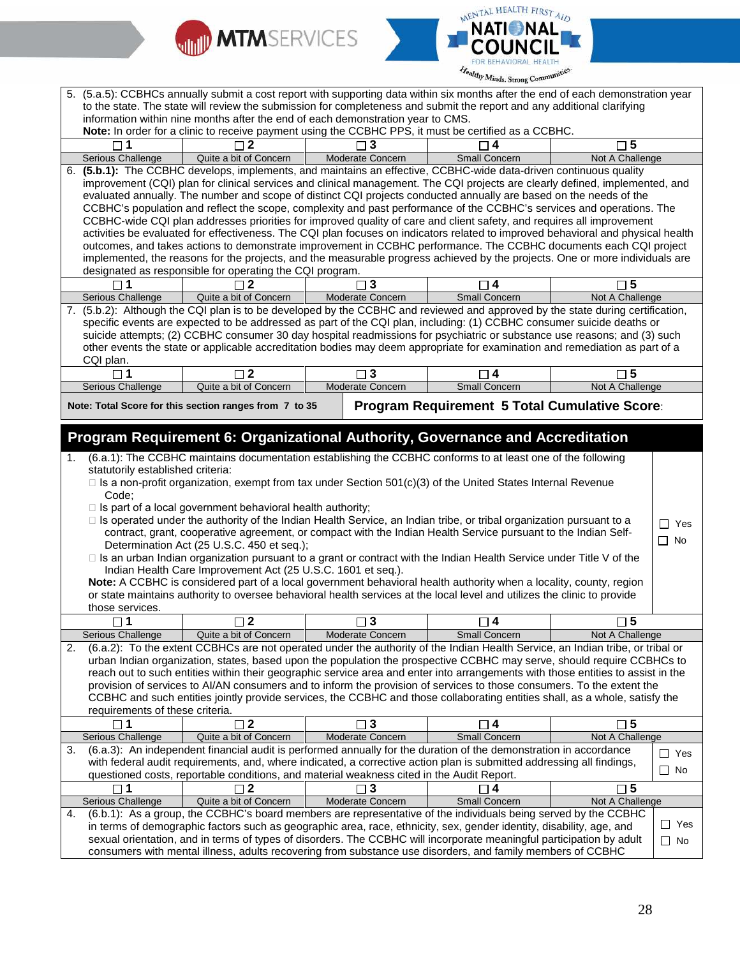



| information within nine months after the end of each demonstration year to CMS.<br>Note: In order for a clinic to receive payment using the CCBHC PPS, it must be certified as a CCBHC.                                                                                                                                                                                                                                                                                                                                                                                                                                                                                                                                                                                                                                                                                                                                                                                                                                                                                                                                                                                                                                                                                                                                                                                                                                                                                                                                                                                                                                                                                                                                                                                                                                                                    |                         |
|------------------------------------------------------------------------------------------------------------------------------------------------------------------------------------------------------------------------------------------------------------------------------------------------------------------------------------------------------------------------------------------------------------------------------------------------------------------------------------------------------------------------------------------------------------------------------------------------------------------------------------------------------------------------------------------------------------------------------------------------------------------------------------------------------------------------------------------------------------------------------------------------------------------------------------------------------------------------------------------------------------------------------------------------------------------------------------------------------------------------------------------------------------------------------------------------------------------------------------------------------------------------------------------------------------------------------------------------------------------------------------------------------------------------------------------------------------------------------------------------------------------------------------------------------------------------------------------------------------------------------------------------------------------------------------------------------------------------------------------------------------------------------------------------------------------------------------------------------------|-------------------------|
| $\Box$ 5<br>$\Box$ 1<br>$\sqcap$ 2<br>3<br>$\sqcap$ 4                                                                                                                                                                                                                                                                                                                                                                                                                                                                                                                                                                                                                                                                                                                                                                                                                                                                                                                                                                                                                                                                                                                                                                                                                                                                                                                                                                                                                                                                                                                                                                                                                                                                                                                                                                                                      |                         |
| <b>Small Concern</b><br>Not A Challenge                                                                                                                                                                                                                                                                                                                                                                                                                                                                                                                                                                                                                                                                                                                                                                                                                                                                                                                                                                                                                                                                                                                                                                                                                                                                                                                                                                                                                                                                                                                                                                                                                                                                                                                                                                                                                    |                         |
| Quite a bit of Concern<br>Moderate Concern<br>Serious Challenge<br>6. (5.b.1): The CCBHC develops, implements, and maintains an effective, CCBHC-wide data-driven continuous quality<br>improvement (CQI) plan for clinical services and clinical management. The CQI projects are clearly defined, implemented, and<br>evaluated annually. The number and scope of distinct CQI projects conducted annually are based on the needs of the<br>CCBHC's population and reflect the scope, complexity and past performance of the CCBHC's services and operations. The<br>CCBHC-wide CQI plan addresses priorities for improved quality of care and client safety, and requires all improvement<br>activities be evaluated for effectiveness. The CQI plan focuses on indicators related to improved behavioral and physical health<br>outcomes, and takes actions to demonstrate improvement in CCBHC performance. The CCBHC documents each CQI project<br>implemented, the reasons for the projects, and the measurable progress achieved by the projects. One or more individuals are<br>designated as responsible for operating the CQI program.<br>$\mathbf{3}$<br>$\square$ 1<br>$\mathbf{2}$<br>$\square$ 5<br>□ 4<br>Serious Challenge<br>Quite a bit of Concern<br>Moderate Concern<br><b>Small Concern</b><br>Not A Challenge<br>7. (5.b.2): Although the CQI plan is to be developed by the CCBHC and reviewed and approved by the state during certification,<br>specific events are expected to be addressed as part of the CQI plan, including: (1) CCBHC consumer suicide deaths or<br>suicide attempts; (2) CCBHC consumer 30 day hospital readmissions for psychiatric or substance use reasons; and (3) such<br>other events the state or applicable accreditation bodies may deem appropriate for examination and remediation as part of a |                         |
| CQI plan.                                                                                                                                                                                                                                                                                                                                                                                                                                                                                                                                                                                                                                                                                                                                                                                                                                                                                                                                                                                                                                                                                                                                                                                                                                                                                                                                                                                                                                                                                                                                                                                                                                                                                                                                                                                                                                                  |                         |
| $\Box$ 2<br>$\Box$ 1<br>$\square$ 3<br>$\square$ 5<br>$\Box$ 4                                                                                                                                                                                                                                                                                                                                                                                                                                                                                                                                                                                                                                                                                                                                                                                                                                                                                                                                                                                                                                                                                                                                                                                                                                                                                                                                                                                                                                                                                                                                                                                                                                                                                                                                                                                             |                         |
| Quite a bit of Concern<br>Moderate Concern<br><b>Small Concern</b><br>Not A Challenge<br>Serious Challenge                                                                                                                                                                                                                                                                                                                                                                                                                                                                                                                                                                                                                                                                                                                                                                                                                                                                                                                                                                                                                                                                                                                                                                                                                                                                                                                                                                                                                                                                                                                                                                                                                                                                                                                                                 |                         |
| <b>Program Requirement 5 Total Cumulative Score:</b><br>Note: Total Score for this section ranges from 7 to 35                                                                                                                                                                                                                                                                                                                                                                                                                                                                                                                                                                                                                                                                                                                                                                                                                                                                                                                                                                                                                                                                                                                                                                                                                                                                                                                                                                                                                                                                                                                                                                                                                                                                                                                                             |                         |
| Program Requirement 6: Organizational Authority, Governance and Accreditation<br>(6.a.1): The CCBHC maintains documentation establishing the CCBHC conforms to at least one of the following                                                                                                                                                                                                                                                                                                                                                                                                                                                                                                                                                                                                                                                                                                                                                                                                                                                                                                                                                                                                                                                                                                                                                                                                                                                                                                                                                                                                                                                                                                                                                                                                                                                               |                         |
| statutorily established criteria:<br>$\Box$ Is a non-profit organization, exempt from tax under Section 501(c)(3) of the United States Internal Revenue<br>Code:<br>$\Box$ Is part of a local government behavioral health authority;<br>□ Is operated under the authority of the Indian Health Service, an Indian tribe, or tribal organization pursuant to a<br>contract, grant, cooperative agreement, or compact with the Indian Health Service pursuant to the Indian Self-<br>Determination Act (25 U.S.C. 450 et seq.);<br>□ Is an urban Indian organization pursuant to a grant or contract with the Indian Health Service under Title V of the<br>Indian Health Care Improvement Act (25 U.S.C. 1601 et seq.).<br>Note: A CCBHC is considered part of a local government behavioral health authority when a locality, county, region<br>or state maintains authority to oversee behavioral health services at the local level and utilizes the clinic to provide<br>those services.                                                                                                                                                                                                                                                                                                                                                                                                                                                                                                                                                                                                                                                                                                                                                                                                                                                               | $\Box$ Yes<br>$\Box$ No |
| $\Box$ 2<br>$\square$ 5<br>$\square$ 1<br>$\square$ 3<br>$\sqsupset$ 4                                                                                                                                                                                                                                                                                                                                                                                                                                                                                                                                                                                                                                                                                                                                                                                                                                                                                                                                                                                                                                                                                                                                                                                                                                                                                                                                                                                                                                                                                                                                                                                                                                                                                                                                                                                     |                         |
| Moderate Concern<br>Serious Challenge<br>Quite a bit of Concern<br>Small Concern<br>Not A Challenge                                                                                                                                                                                                                                                                                                                                                                                                                                                                                                                                                                                                                                                                                                                                                                                                                                                                                                                                                                                                                                                                                                                                                                                                                                                                                                                                                                                                                                                                                                                                                                                                                                                                                                                                                        |                         |
| (6.a.2): To the extent CCBHCs are not operated under the authority of the Indian Health Service, an Indian tribe, or tribal or<br>2.<br>urban Indian organization, states, based upon the population the prospective CCBHC may serve, should require CCBHCs to<br>reach out to such entities within their geographic service area and enter into arrangements with those entities to assist in the<br>provision of services to AI/AN consumers and to inform the provision of services to those consumers. To the extent the<br>CCBHC and such entities jointly provide services, the CCBHC and those collaborating entities shall, as a whole, satisfy the<br>requirements of these criteria.                                                                                                                                                                                                                                                                                                                                                                                                                                                                                                                                                                                                                                                                                                                                                                                                                                                                                                                                                                                                                                                                                                                                                             |                         |
| $\square$ 5<br>  2<br>3<br>14                                                                                                                                                                                                                                                                                                                                                                                                                                                                                                                                                                                                                                                                                                                                                                                                                                                                                                                                                                                                                                                                                                                                                                                                                                                                                                                                                                                                                                                                                                                                                                                                                                                                                                                                                                                                                              |                         |
| Serious Challenge<br>Quite a bit of Concern<br>Moderate Concern<br>Not A Challenge<br>Small Concern                                                                                                                                                                                                                                                                                                                                                                                                                                                                                                                                                                                                                                                                                                                                                                                                                                                                                                                                                                                                                                                                                                                                                                                                                                                                                                                                                                                                                                                                                                                                                                                                                                                                                                                                                        |                         |
| (6.a.3): An independent financial audit is performed annually for the duration of the demonstration in accordance<br>3.<br>with federal audit requirements, and, where indicated, a corrective action plan is submitted addressing all findings,                                                                                                                                                                                                                                                                                                                                                                                                                                                                                                                                                                                                                                                                                                                                                                                                                                                                                                                                                                                                                                                                                                                                                                                                                                                                                                                                                                                                                                                                                                                                                                                                           | $\Box$ Yes<br>$\Box$ No |
| questioned costs, reportable conditions, and material weakness cited in the Audit Report.                                                                                                                                                                                                                                                                                                                                                                                                                                                                                                                                                                                                                                                                                                                                                                                                                                                                                                                                                                                                                                                                                                                                                                                                                                                                                                                                                                                                                                                                                                                                                                                                                                                                                                                                                                  |                         |
| $\square$ 1<br>$\square$ 2<br>$\square$ 3<br>$\square$ 4<br>$\square$ 5                                                                                                                                                                                                                                                                                                                                                                                                                                                                                                                                                                                                                                                                                                                                                                                                                                                                                                                                                                                                                                                                                                                                                                                                                                                                                                                                                                                                                                                                                                                                                                                                                                                                                                                                                                                    |                         |
| Quite a bit of Concern<br>Moderate Concern<br>Not A Challenge<br>Serious Challenge<br><b>Small Concern</b>                                                                                                                                                                                                                                                                                                                                                                                                                                                                                                                                                                                                                                                                                                                                                                                                                                                                                                                                                                                                                                                                                                                                                                                                                                                                                                                                                                                                                                                                                                                                                                                                                                                                                                                                                 |                         |
| (6.b.1): As a group, the CCBHC's board members are representative of the individuals being served by the CCBHC<br>4.<br>in terms of demographic factors such as geographic area, race, ethnicity, sex, gender identity, disability, age, and<br>sexual orientation, and in terms of types of disorders. The CCBHC will incorporate meaningful participation by adult<br>consumers with mental illness, adults recovering from substance use disorders, and family members of CCBHC                                                                                                                                                                                                                                                                                                                                                                                                                                                                                                                                                                                                                                                                                                                                                                                                                                                                                                                                                                                                                                                                                                                                                                                                                                                                                                                                                                         | $\Box$ Yes<br>$\Box$ No |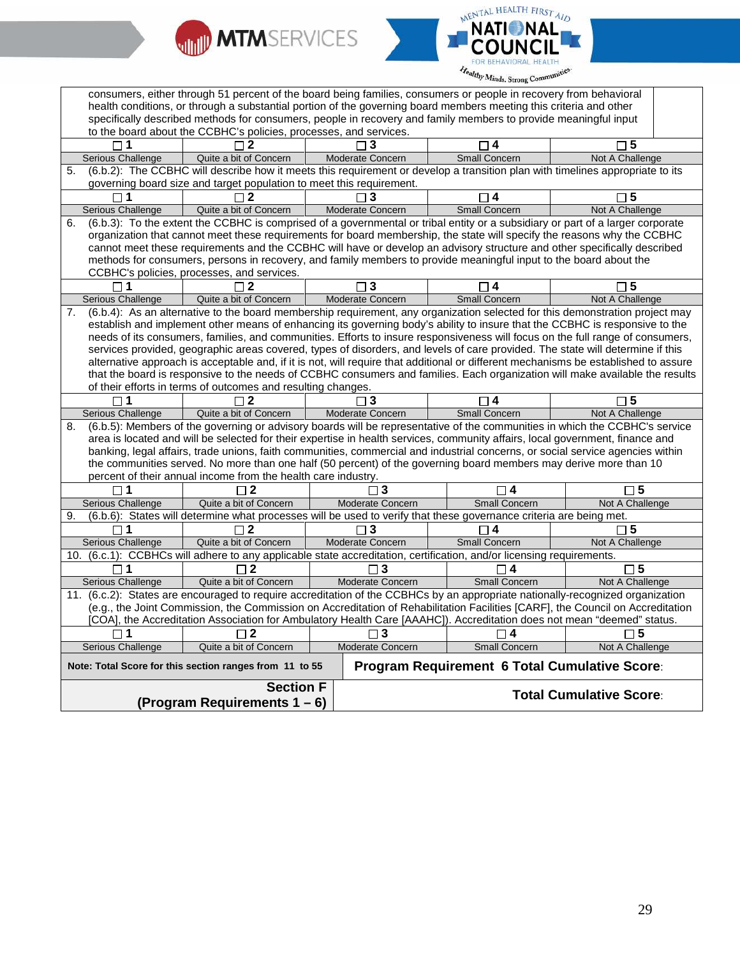



| consumers, either through 51 percent of the board being families, consumers or people in recovery from behavioral  |                                                                                                                                     |  |                  |                         |                  |                                               |  |
|--------------------------------------------------------------------------------------------------------------------|-------------------------------------------------------------------------------------------------------------------------------------|--|------------------|-------------------------|------------------|-----------------------------------------------|--|
| health conditions, or through a substantial portion of the governing board members meeting this criteria and other |                                                                                                                                     |  |                  |                         |                  |                                               |  |
| specifically described methods for consumers, people in recovery and family members to provide meaningful input    |                                                                                                                                     |  |                  |                         |                  |                                               |  |
|                                                                                                                    | to the board about the CCBHC's policies, processes, and services.                                                                   |  |                  |                         |                  |                                               |  |
|                                                                                                                    |                                                                                                                                     |  |                  |                         |                  | 5                                             |  |
| Serious Challenge                                                                                                  | Quite a bit of Concern                                                                                                              |  | Moderate Concern | <b>Small Concern</b>    |                  | Not A Challenge                               |  |
| $\overline{5}$ .                                                                                                   | (6.b.2): The CCBHC will describe how it meets this requirement or develop a transition plan with timelines appropriate to its       |  |                  |                         |                  |                                               |  |
|                                                                                                                    | governing board size and target population to meet this requirement.                                                                |  |                  |                         |                  |                                               |  |
|                                                                                                                    | $\mathbf{2}$                                                                                                                        |  | 3                | $\overline{\mathbf{4}}$ |                  | $\Box$ 5                                      |  |
| Serious Challenge                                                                                                  | Quite a bit of Concern                                                                                                              |  | Moderate Concern | Small Concern           |                  | Not A Challenge                               |  |
| 6.                                                                                                                 | (6.b.3): To the extent the CCBHC is comprised of a governmental or tribal entity or a subsidiary or part of a larger corporate      |  |                  |                         |                  |                                               |  |
|                                                                                                                    | organization that cannot meet these requirements for board membership, the state will specify the reasons why the CCBHC             |  |                  |                         |                  |                                               |  |
|                                                                                                                    | cannot meet these requirements and the CCBHC will have or develop an advisory structure and other specifically described            |  |                  |                         |                  |                                               |  |
|                                                                                                                    | methods for consumers, persons in recovery, and family members to provide meaningful input to the board about the                   |  |                  |                         |                  |                                               |  |
|                                                                                                                    | CCBHC's policies, processes, and services.                                                                                          |  |                  |                         |                  |                                               |  |
| □ 1                                                                                                                | $\sqcap$ 2                                                                                                                          |  | $\Box$ 3         | 4                       |                  | $\sqcap 5$                                    |  |
| Serious Challenge                                                                                                  | Quite a bit of Concern                                                                                                              |  | Moderate Concern | Small Concern           |                  | Not A Challenge                               |  |
| 7.                                                                                                                 | (6.b.4): As an alternative to the board membership requirement, any organization selected for this demonstration project may        |  |                  |                         |                  |                                               |  |
|                                                                                                                    | establish and implement other means of enhancing its governing body's ability to insure that the CCBHC is responsive to the         |  |                  |                         |                  |                                               |  |
|                                                                                                                    | needs of its consumers, families, and communities. Efforts to insure responsiveness will focus on the full range of consumers,      |  |                  |                         |                  |                                               |  |
|                                                                                                                    | services provided, geographic areas covered, types of disorders, and levels of care provided. The state will determine if this      |  |                  |                         |                  |                                               |  |
|                                                                                                                    | alternative approach is acceptable and, if it is not, will require that additional or different mechanisms be established to assure |  |                  |                         |                  |                                               |  |
|                                                                                                                    | that the board is responsive to the needs of CCBHC consumers and families. Each organization will make available the results        |  |                  |                         |                  |                                               |  |
|                                                                                                                    | of their efforts in terms of outcomes and resulting changes.                                                                        |  |                  |                         |                  |                                               |  |
|                                                                                                                    |                                                                                                                                     |  |                  |                         |                  |                                               |  |
| $\Box$ 1                                                                                                           | $\sqcap$ 2                                                                                                                          |  | 3 ا              | $\Box$ 4                |                  | $\square$ 5                                   |  |
| Serious Challenge                                                                                                  | Quite a bit of Concern                                                                                                              |  | Moderate Concern | Small Concern           |                  | Not A Challenge                               |  |
| 8.                                                                                                                 | (6.b.5): Members of the governing or advisory boards will be representative of the communities in which the CCBHC's service         |  |                  |                         |                  |                                               |  |
|                                                                                                                    | area is located and will be selected for their expertise in health services, community affairs, local government, finance and       |  |                  |                         |                  |                                               |  |
|                                                                                                                    | banking, legal affairs, trade unions, faith communities, commercial and industrial concerns, or social service agencies within      |  |                  |                         |                  |                                               |  |
|                                                                                                                    | the communities served. No more than one half (50 percent) of the governing board members may derive more than 10                   |  |                  |                         |                  |                                               |  |
|                                                                                                                    | percent of their annual income from the health care industry.                                                                       |  |                  |                         |                  |                                               |  |
| $\mathsf{L}$                                                                                                       | $\mathbf 2$                                                                                                                         |  | 3                |                         | 4                | $\Box$ 5                                      |  |
| <b>Serious Challenge</b>                                                                                           | Quite a bit of Concern                                                                                                              |  | Moderate Concern | Small Concern           |                  | Not A Challenge                               |  |
| 9.                                                                                                                 | (6.b.6): States will determine what processes will be used to verify that these governance criteria are being met.                  |  |                  |                         |                  |                                               |  |
|                                                                                                                    | $\mathbf{2}$                                                                                                                        |  | 3                | 4                       |                  | $\sqcap$ 5                                    |  |
| Serious Challenge                                                                                                  | Quite a bit of Concern                                                                                                              |  | Moderate Concern | Small Concern           |                  | Not A Challenge                               |  |
|                                                                                                                    | 10. (6.c.1): CCBHCs will adhere to any applicable state accreditation, certification, and/or licensing requirements.                |  |                  |                         |                  |                                               |  |
| $\Box$ 1                                                                                                           | $\overline{2}$                                                                                                                      |  | 3                |                         | $\boldsymbol{4}$ | $\square$ 5                                   |  |
| Serious Challenge                                                                                                  | Quite a bit of Concern                                                                                                              |  | Moderate Concern | <b>Small Concern</b>    |                  | Not A Challenge                               |  |
|                                                                                                                    | 11. (6.c.2): States are encouraged to require accreditation of the CCBHCs by an appropriate nationally-recognized organization      |  |                  |                         |                  |                                               |  |
|                                                                                                                    | (e.g., the Joint Commission, the Commission on Accreditation of Rehabilitation Facilities [CARF], the Council on Accreditation      |  |                  |                         |                  |                                               |  |
|                                                                                                                    | [COA], the Accreditation Association for Ambulatory Health Care [AAAHC]). Accreditation does not mean "deemed" status.              |  |                  |                         |                  |                                               |  |
| $\Box$ 1                                                                                                           | $\sqcap 2$                                                                                                                          |  | $\Box$ 3         | $\Box$ 4                |                  | $\Box$ 5                                      |  |
| Serious Challenge                                                                                                  | Quite a bit of Concern                                                                                                              |  | Moderate Concern | <b>Small Concern</b>    |                  | Not A Challenge                               |  |
|                                                                                                                    | Note: Total Score for this section ranges from 11 to 55                                                                             |  |                  |                         |                  | Program Requirement 6 Total Cumulative Score: |  |
|                                                                                                                    |                                                                                                                                     |  |                  |                         |                  |                                               |  |
|                                                                                                                    | <b>Section F</b><br>(Program Requirements $1 - 6$ )                                                                                 |  |                  |                         |                  | <b>Total Cumulative Score:</b>                |  |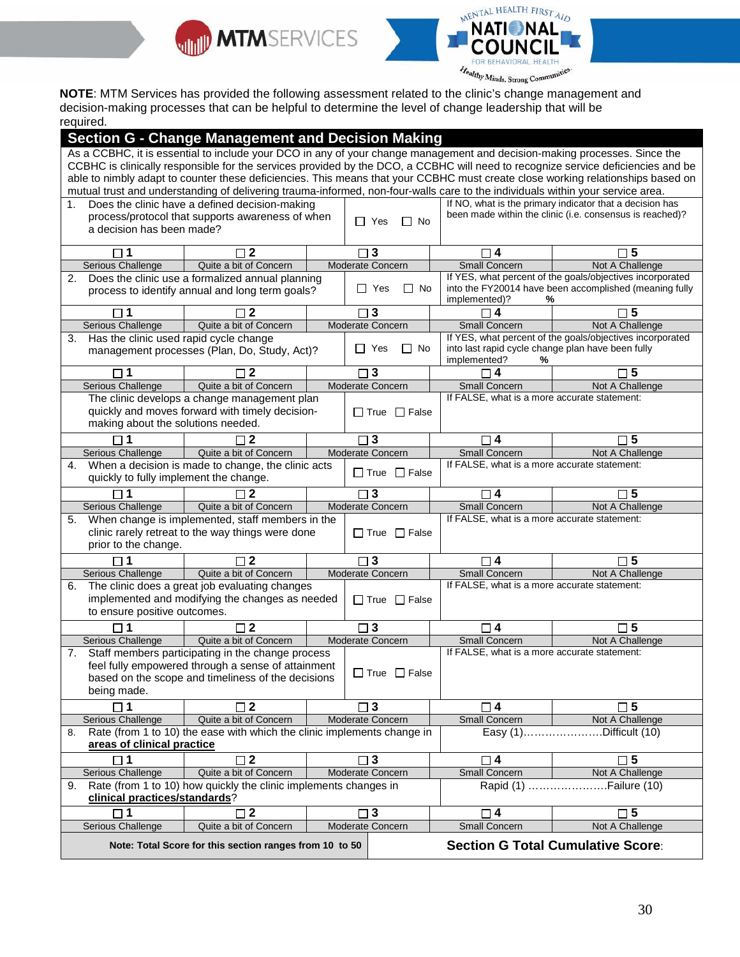



Treately Minds, Strong Community<br>**NOTE**: MTM Services has provided the following assessment related to the clinic's change management and decision-making processes that can be helpful to determine the level of change leadership that will be required.

|                                                                                                                                                                                                                                                                     | <b>Section G - Change Management and Decision Making</b>                                                                       |  |                          |                                                   |                                                                                                                           |
|---------------------------------------------------------------------------------------------------------------------------------------------------------------------------------------------------------------------------------------------------------------------|--------------------------------------------------------------------------------------------------------------------------------|--|--------------------------|---------------------------------------------------|---------------------------------------------------------------------------------------------------------------------------|
|                                                                                                                                                                                                                                                                     |                                                                                                                                |  |                          |                                                   | As a CCBHC, it is essential to include your DCO in any of your change management and decision-making processes. Since the |
|                                                                                                                                                                                                                                                                     |                                                                                                                                |  |                          |                                                   |                                                                                                                           |
| CCBHC is clinically responsible for the services provided by the DCO, a CCBHC will need to recognize service deficiencies and be<br>able to nimbly adapt to counter these deficiencies. This means that your CCBHC must create close working relationships based on |                                                                                                                                |  |                          |                                                   |                                                                                                                           |
|                                                                                                                                                                                                                                                                     | mutual trust and understanding of delivering trauma-informed, non-four-walls care to the individuals within your service area. |  |                          |                                                   |                                                                                                                           |
| 1.                                                                                                                                                                                                                                                                  | Does the clinic have a defined decision-making                                                                                 |  |                          |                                                   | If NO, what is the primary indicator that a decision has                                                                  |
|                                                                                                                                                                                                                                                                     | process/protocol that supports awareness of when                                                                               |  |                          |                                                   | been made within the clinic (i.e. consensus is reached)?                                                                  |
| a decision has been made?                                                                                                                                                                                                                                           |                                                                                                                                |  | $\Box$ Yes<br>$\Box$ No  |                                                   |                                                                                                                           |
|                                                                                                                                                                                                                                                                     |                                                                                                                                |  |                          |                                                   |                                                                                                                           |
| $\sqcap$ 1                                                                                                                                                                                                                                                          | $\mathbf{2}$                                                                                                                   |  | 3                        | $\Box$ 4                                          | $\Box$ 5                                                                                                                  |
| Serious Challenge                                                                                                                                                                                                                                                   | Quite a bit of Concern                                                                                                         |  | Moderate Concern         | <b>Small Concern</b>                              | Not A Challenge                                                                                                           |
| 2.                                                                                                                                                                                                                                                                  | Does the clinic use a formalized annual planning                                                                               |  |                          |                                                   | If YES, what percent of the goals/objectives incorporated                                                                 |
|                                                                                                                                                                                                                                                                     | process to identify annual and long term goals?                                                                                |  | No<br>$\Box$ Yes<br>ப    | implemented)?<br>%                                | into the FY20014 have been accomplished (meaning fully                                                                    |
| $\Box$ 1                                                                                                                                                                                                                                                            | $\Box$ 2                                                                                                                       |  | $\mathbf{3}$             | $\Box$ 4                                          | $\square$ 5                                                                                                               |
| Serious Challenge                                                                                                                                                                                                                                                   | Quite a bit of Concern                                                                                                         |  | Moderate Concern         | Small Concern                                     | Not A Challenge                                                                                                           |
| Has the clinic used rapid cycle change<br>3.                                                                                                                                                                                                                        |                                                                                                                                |  |                          |                                                   | If YES, what percent of the goals/objectives incorporated                                                                 |
|                                                                                                                                                                                                                                                                     | management processes (Plan, Do, Study, Act)?                                                                                   |  | $\Box$ No<br>$\Box$ Yes  | into last rapid cycle change plan have been fully |                                                                                                                           |
|                                                                                                                                                                                                                                                                     |                                                                                                                                |  |                          | implemented?<br>℅                                 |                                                                                                                           |
| □ 1                                                                                                                                                                                                                                                                 | 2                                                                                                                              |  | 3                        | 4                                                 | $\Box$ 5                                                                                                                  |
| <b>Serious Challenge</b>                                                                                                                                                                                                                                            | Quite a bit of Concern                                                                                                         |  | Moderate Concern         | Small Concern                                     | Not A Challenge                                                                                                           |
|                                                                                                                                                                                                                                                                     | The clinic develops a change management plan                                                                                   |  |                          | If FALSE, what is a more accurate statement:      |                                                                                                                           |
|                                                                                                                                                                                                                                                                     | quickly and moves forward with timely decision-                                                                                |  | $\Box$ True $\Box$ False |                                                   |                                                                                                                           |
| making about the solutions needed.                                                                                                                                                                                                                                  |                                                                                                                                |  |                          |                                                   |                                                                                                                           |
|                                                                                                                                                                                                                                                                     | 2                                                                                                                              |  | $\Box$ 3                 | $\Box$ 4                                          | $\square$ 5                                                                                                               |
| <b>Serious Challenge</b>                                                                                                                                                                                                                                            | Quite a bit of Concern                                                                                                         |  | Moderate Concern         | Small Concern                                     | Not A Challenge                                                                                                           |
| 4.                                                                                                                                                                                                                                                                  | When a decision is made to change, the clinic acts                                                                             |  |                          | If FALSE, what is a more accurate statement:      |                                                                                                                           |
| quickly to fully implement the change.                                                                                                                                                                                                                              |                                                                                                                                |  | $\Box$ True $\Box$ False |                                                   |                                                                                                                           |
| $\Box$ 1                                                                                                                                                                                                                                                            | $\sqcap$ 2                                                                                                                     |  | 3                        | $\Box$ 4                                          | $\Box$ 5                                                                                                                  |
| Serious Challenge                                                                                                                                                                                                                                                   | Quite a bit of Concern                                                                                                         |  | Moderate Concern         | <b>Small Concern</b>                              | Not A Challenge                                                                                                           |
| 5.                                                                                                                                                                                                                                                                  | When change is implemented, staff members in the                                                                               |  |                          | If FALSE, what is a more accurate statement:      |                                                                                                                           |
|                                                                                                                                                                                                                                                                     | clinic rarely retreat to the way things were done                                                                              |  | $\Box$ True $\Box$ False |                                                   |                                                                                                                           |
| prior to the change.                                                                                                                                                                                                                                                |                                                                                                                                |  |                          |                                                   |                                                                                                                           |
|                                                                                                                                                                                                                                                                     | $\mathbf{2}$                                                                                                                   |  | 3                        | $\boldsymbol{4}$                                  | $\Box$ 5                                                                                                                  |
|                                                                                                                                                                                                                                                                     |                                                                                                                                |  | Moderate Concern         | Small Concern                                     |                                                                                                                           |
| Serious Challenge                                                                                                                                                                                                                                                   | Quite a bit of Concern                                                                                                         |  |                          | If FALSE, what is a more accurate statement:      | Not A Challenge                                                                                                           |
| 6.                                                                                                                                                                                                                                                                  | The clinic does a great job evaluating changes                                                                                 |  |                          |                                                   |                                                                                                                           |
|                                                                                                                                                                                                                                                                     | implemented and modifying the changes as needed                                                                                |  | $\Box$ True $\Box$ False |                                                   |                                                                                                                           |
| to ensure positive outcomes.                                                                                                                                                                                                                                        |                                                                                                                                |  |                          |                                                   |                                                                                                                           |
|                                                                                                                                                                                                                                                                     | $\Box$ 2                                                                                                                       |  | $\square$ 3              | □ 4                                               | $\Box$ 5                                                                                                                  |
| Serious Challenge                                                                                                                                                                                                                                                   | Quite a bit of Concern                                                                                                         |  | Moderate Concern         | Small Concern                                     | Not A Challenge                                                                                                           |
| 7.                                                                                                                                                                                                                                                                  | Staff members participating in the change process                                                                              |  |                          | If FALSE, what is a more accurate statement:      |                                                                                                                           |
|                                                                                                                                                                                                                                                                     | feel fully empowered through a sense of attainment                                                                             |  | $\Box$ True $\Box$ False |                                                   |                                                                                                                           |
|                                                                                                                                                                                                                                                                     | based on the scope and timeliness of the decisions                                                                             |  |                          |                                                   |                                                                                                                           |
| being made.                                                                                                                                                                                                                                                         |                                                                                                                                |  |                          |                                                   |                                                                                                                           |
|                                                                                                                                                                                                                                                                     | $\Box$ 2                                                                                                                       |  | $\Box$ 3                 | $\Box$ 4                                          | $\square$ 5                                                                                                               |
| <b>Serious Challenge</b>                                                                                                                                                                                                                                            | Quite a bit of Concern                                                                                                         |  | Moderate Concern         | Small Concern                                     | Not A Challenge                                                                                                           |
| 8.                                                                                                                                                                                                                                                                  | Rate (from 1 to 10) the ease with which the clinic implements change in                                                        |  |                          | Easy (1)                                          | .Difficult (10)                                                                                                           |
| areas of clinical practice                                                                                                                                                                                                                                          |                                                                                                                                |  |                          |                                                   |                                                                                                                           |
| $\Box$ 1                                                                                                                                                                                                                                                            | $\overline{2}$<br>$\Box$                                                                                                       |  | $\square$ 3              | $\Box$ 4                                          | $\square$ 5                                                                                                               |
| <b>Serious Challenge</b>                                                                                                                                                                                                                                            | Quite a bit of Concern                                                                                                         |  | Moderate Concern         | Small Concern                                     | Not A Challenge                                                                                                           |
|                                                                                                                                                                                                                                                                     | Rate (from 1 to 10) how quickly the clinic implements changes in                                                               |  |                          | Rapid (1)                                         | .Failure (10)                                                                                                             |
| 9.<br>clinical practices/standards?                                                                                                                                                                                                                                 |                                                                                                                                |  |                          |                                                   |                                                                                                                           |
| $\Box$ 1                                                                                                                                                                                                                                                            | $\square$ 2                                                                                                                    |  | $\mathbf{3}$             | $\square$ 4                                       | $\square$ 5                                                                                                               |
| <b>Serious Challenge</b>                                                                                                                                                                                                                                            | Quite a bit of Concern                                                                                                         |  | Moderate Concern         | Small Concern                                     | Not A Challenge                                                                                                           |
|                                                                                                                                                                                                                                                                     | Note: Total Score for this section ranges from 10 to 50                                                                        |  |                          |                                                   | <b>Section G Total Cumulative Score:</b>                                                                                  |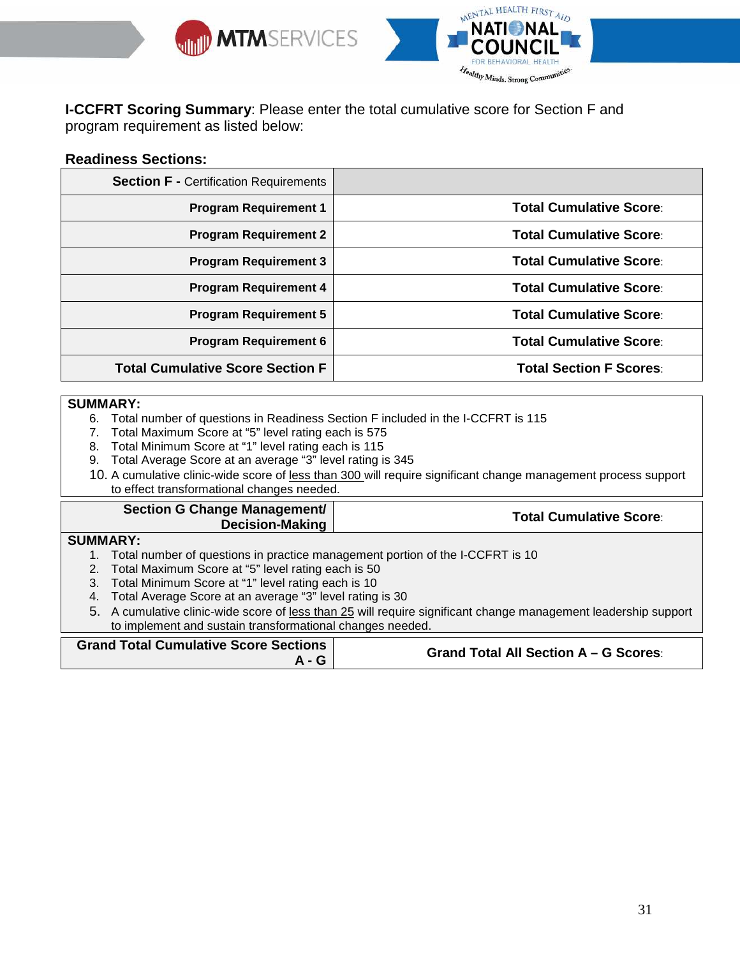



**I-CCFRT Scoring Summary**: Please enter the total cumulative score for Section F and program requirement as listed below:

## **Readiness Sections:**

| <b>Section F - Certification Requirements</b> |                                |
|-----------------------------------------------|--------------------------------|
| <b>Program Requirement 1</b>                  | <b>Total Cumulative Score:</b> |
| <b>Program Requirement 2</b>                  | <b>Total Cumulative Score:</b> |
| <b>Program Requirement 3</b>                  | <b>Total Cumulative Score:</b> |
| <b>Program Requirement 4</b>                  | <b>Total Cumulative Score:</b> |
| <b>Program Requirement 5</b>                  | <b>Total Cumulative Score:</b> |
| <b>Program Requirement 6</b>                  | <b>Total Cumulative Score:</b> |
| <b>Total Cumulative Score Section F</b>       | <b>Total Section F Scores:</b> |

#### **SUMMARY:**

- 6. Total number of questions in Readiness Section F included in the I-CCFRT is 115
- 7. Total Maximum Score at "5" level rating each is 575
- 8. Total Minimum Score at "1" level rating each is 115
- 9. Total Average Score at an average "3" level rating is 345
- 10. A cumulative clinic-wide score of less than 300 will require significant change management process support to effect transformational changes needed.

#### **Section G Change Management/ Decision-Making Total Cumulative Score**:

### **SUMMARY:**

- 1. Total number of questions in practice management portion of the I-CCFRT is 10
- 2. Total Maximum Score at "5" level rating each is 50
- 3. Total Minimum Score at "1" level rating each is 10
- 4. Total Average Score at an average "3" level rating is 30
- 5. A cumulative clinic-wide score of less than 25 will require significant change management leadership support to implement and sustain transformational changes needed.

|  | <b>Grand Total Cumulative Score Sections</b><br><b>A</b> - G | <b>Grand Total All Section A - G Scores:</b> |
|--|--------------------------------------------------------------|----------------------------------------------|
|--|--------------------------------------------------------------|----------------------------------------------|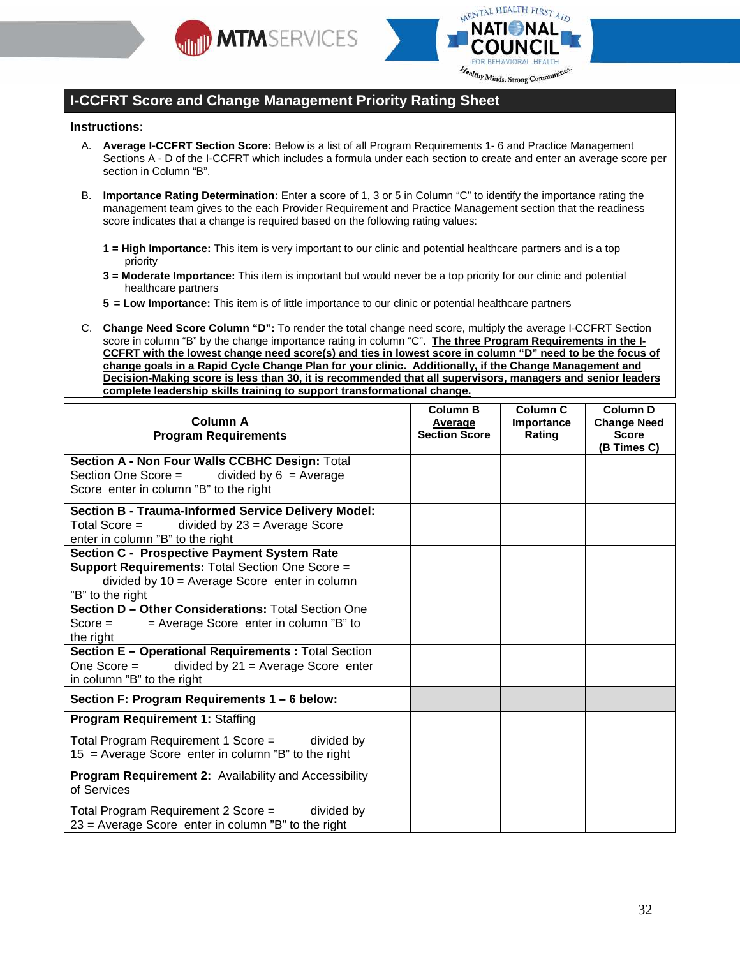



## **I-CCFRT Score and Change Management Priority Rating Sheet**

#### **Instructions:**

- A. **Average I-CCFRT Section Score:** Below is a list of all Program Requirements 1- 6 and Practice Management Sections A - D of the I-CCFRT which includes a formula under each section to create and enter an average score per section in Column "B".
- B. **Importance Rating Determination:** Enter a score of 1, 3 or 5 in Column "C" to identify the importance rating the management team gives to the each Provider Requirement and Practice Management section that the readiness score indicates that a change is required based on the following rating values:
	- **1 = High Importance:** This item is very important to our clinic and potential healthcare partners and is a top priority
	- **3 = Moderate Importance:** This item is important but would never be a top priority for our clinic and potential healthcare partners
	- **5 = Low Importance:** This item is of little importance to our clinic or potential healthcare partners
- C. **Change Need Score Column "D":** To render the total change need score, multiply the average I-CCFRT Section score in column "B" by the change importance rating in column "C". **The three Program Requirements in the I-CCFRT with the lowest change need score(s) and ties in lowest score in column "D" need to be the focus of change goals in a Rapid Cycle Change Plan for your clinic. Additionally, if the Change Management and Decision-Making score is less than 30, it is recommended that all supervisors, managers and senior leaders complete leadership skills training to support transformational change.**

| <b>Column A</b><br><b>Program Requirements</b>                                                                                                                               | <b>Column B</b><br>Average<br><b>Section Score</b> | Column <sub>C</sub><br>Importance<br>Rating | Column <sub>D</sub><br><b>Change Need</b><br><b>Score</b><br>(B Times C) |
|------------------------------------------------------------------------------------------------------------------------------------------------------------------------------|----------------------------------------------------|---------------------------------------------|--------------------------------------------------------------------------|
| Section A - Non Four Walls CCBHC Design: Total<br>Section One Score =<br>divided by $6 =$ Average<br>Score enter in column "B" to the right                                  |                                                    |                                             |                                                                          |
| <b>Section B - Trauma-Informed Service Delivery Model:</b><br>Total Score $=$<br>divided by $23$ = Average Score<br>enter in column "B" to the right                         |                                                    |                                             |                                                                          |
| Section C - Prospective Payment System Rate<br><b>Support Requirements: Total Section One Score =</b><br>divided by $10 =$ Average Score enter in column<br>"B" to the right |                                                    |                                             |                                                                          |
| Section D - Other Considerations: Total Section One<br>$Score =$<br>$=$ Average Score enter in column "B" to<br>the right                                                    |                                                    |                                             |                                                                          |
| Section E - Operational Requirements : Total Section<br>divided by $21$ = Average Score enter<br>One Score =<br>in column "B" to the right                                   |                                                    |                                             |                                                                          |
| Section F: Program Requirements 1 - 6 below:                                                                                                                                 |                                                    |                                             |                                                                          |
| <b>Program Requirement 1: Staffing</b>                                                                                                                                       |                                                    |                                             |                                                                          |
| Total Program Requirement 1 Score =<br>divided by<br>15 = Average Score enter in column "B" to the right                                                                     |                                                    |                                             |                                                                          |
| Program Requirement 2: Availability and Accessibility<br>of Services                                                                                                         |                                                    |                                             |                                                                          |
| Total Program Requirement 2 Score =<br>divided by<br>$23$ = Average Score enter in column "B" to the right                                                                   |                                                    |                                             |                                                                          |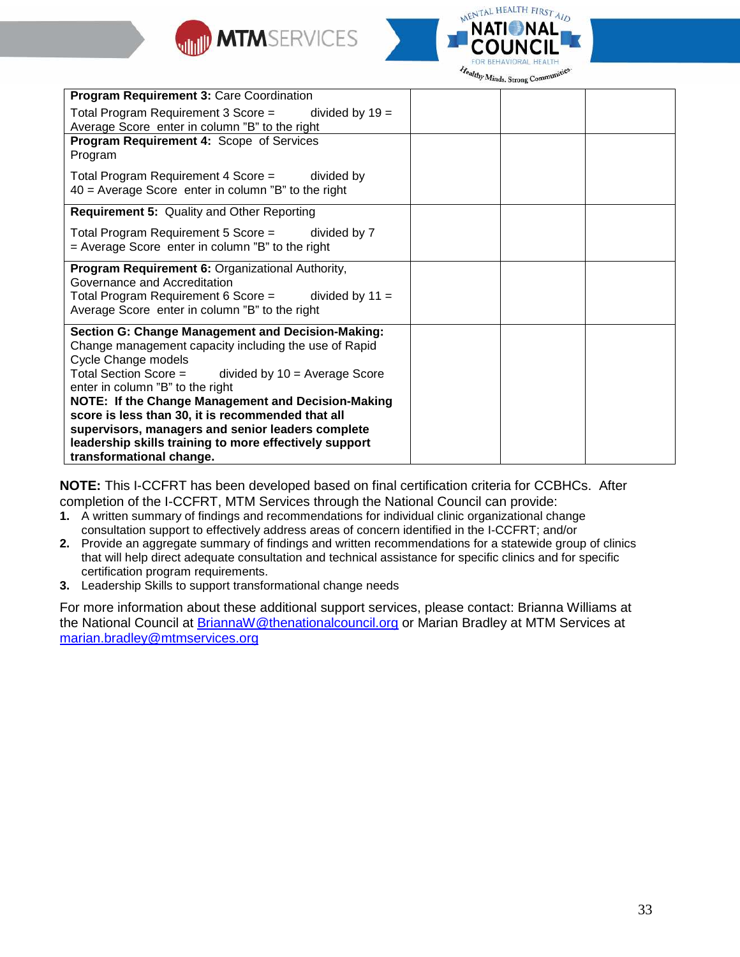



|                                                                                                                                                                                                                                                                                                                                                                                                                                                                                                | $-11018$ |
|------------------------------------------------------------------------------------------------------------------------------------------------------------------------------------------------------------------------------------------------------------------------------------------------------------------------------------------------------------------------------------------------------------------------------------------------------------------------------------------------|----------|
| Program Requirement 3: Care Coordination                                                                                                                                                                                                                                                                                                                                                                                                                                                       |          |
| Total Program Requirement 3 Score =<br>divided by $19 =$<br>Average Score enter in column "B" to the right                                                                                                                                                                                                                                                                                                                                                                                     |          |
| Program Requirement 4: Scope of Services<br>Program                                                                                                                                                                                                                                                                                                                                                                                                                                            |          |
| Total Program Requirement 4 Score = divided by<br>$40$ = Average Score enter in column "B" to the right                                                                                                                                                                                                                                                                                                                                                                                        |          |
| Requirement 5: Quality and Other Reporting                                                                                                                                                                                                                                                                                                                                                                                                                                                     |          |
| Total Program Requirement 5 Score =<br>divided by 7<br>$=$ Average Score enter in column "B" to the right                                                                                                                                                                                                                                                                                                                                                                                      |          |
| Program Requirement 6: Organizational Authority,<br>Governance and Accreditation<br>Total Program Requirement 6 Score = divided by $11 =$<br>Average Score enter in column "B" to the right                                                                                                                                                                                                                                                                                                    |          |
| <b>Section G: Change Management and Decision-Making:</b><br>Change management capacity including the use of Rapid<br>Cycle Change models<br>Total Section Score =<br>divided by $10 =$ Average Score<br>enter in column "B" to the right<br>NOTE: If the Change Management and Decision-Making<br>score is less than 30, it is recommended that all<br>supervisors, managers and senior leaders complete<br>leadership skills training to more effectively support<br>transformational change. |          |

**NOTE:** This I-CCFRT has been developed based on final certification criteria for CCBHCs. After completion of the I-CCFRT, MTM Services through the National Council can provide:

- **1.** A written summary of findings and recommendations for individual clinic organizational change consultation support to effectively address areas of concern identified in the I-CCFRT; and/or
- **2.** Provide an aggregate summary of findings and written recommendations for a statewide group of clinics that will help direct adequate consultation and technical assistance for specific clinics and for specific certification program requirements.
- **3.** Leadership Skills to support transformational change needs

For more information about these additional support services, please contact: Brianna Williams at the National Council at **BriannaW@thenationalcouncil.org or Marian Bradley at MTM Services at** marian.bradley@mtmservices.org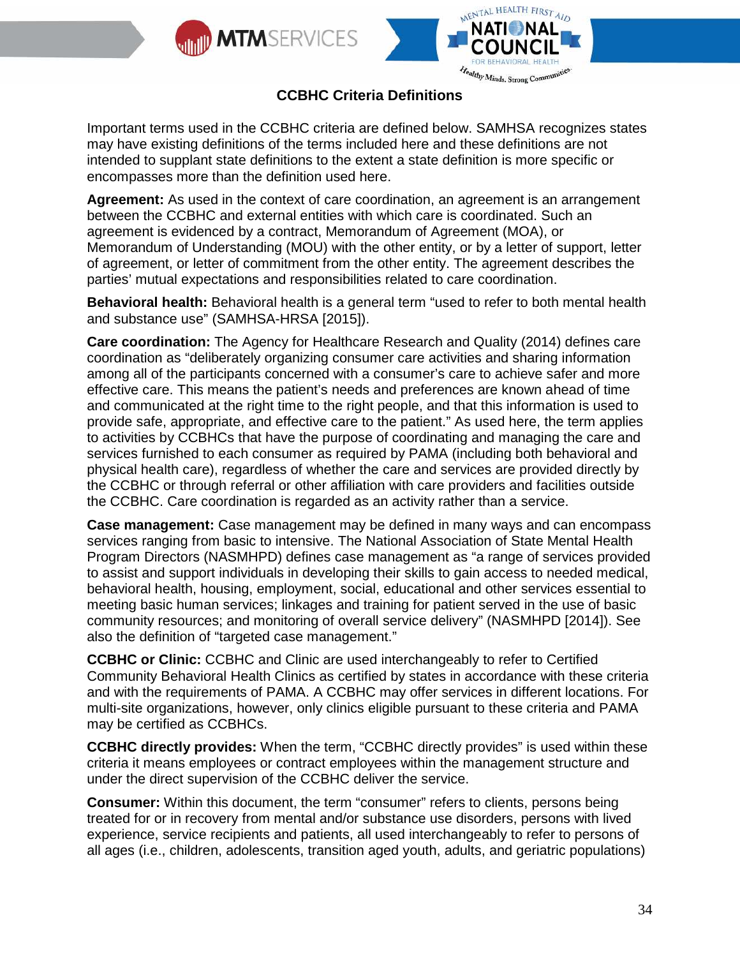



Important terms used in the CCBHC criteria are defined below. SAMHSA recognizes states may have existing definitions of the terms included here and these definitions are not intended to supplant state definitions to the extent a state definition is more specific or encompasses more than the definition used here.

**Agreement:** As used in the context of care coordination, an agreement is an arrangement between the CCBHC and external entities with which care is coordinated. Such an agreement is evidenced by a contract, Memorandum of Agreement (MOA), or Memorandum of Understanding (MOU) with the other entity, or by a letter of support, letter of agreement, or letter of commitment from the other entity. The agreement describes the parties' mutual expectations and responsibilities related to care coordination.

**Behavioral health:** Behavioral health is a general term "used to refer to both mental health and substance use" (SAMHSA-HRSA [2015]).

**Care coordination:** The Agency for Healthcare Research and Quality (2014) defines care coordination as "deliberately organizing consumer care activities and sharing information among all of the participants concerned with a consumer's care to achieve safer and more effective care. This means the patient's needs and preferences are known ahead of time and communicated at the right time to the right people, and that this information is used to provide safe, appropriate, and effective care to the patient." As used here, the term applies to activities by CCBHCs that have the purpose of coordinating and managing the care and services furnished to each consumer as required by PAMA (including both behavioral and physical health care), regardless of whether the care and services are provided directly by the CCBHC or through referral or other affiliation with care providers and facilities outside the CCBHC. Care coordination is regarded as an activity rather than a service.

**Case management:** Case management may be defined in many ways and can encompass services ranging from basic to intensive. The National Association of State Mental Health Program Directors (NASMHPD) defines case management as "a range of services provided to assist and support individuals in developing their skills to gain access to needed medical, behavioral health, housing, employment, social, educational and other services essential to meeting basic human services; linkages and training for patient served in the use of basic community resources; and monitoring of overall service delivery" (NASMHPD [2014]). See also the definition of "targeted case management."

**CCBHC or Clinic:** CCBHC and Clinic are used interchangeably to refer to Certified Community Behavioral Health Clinics as certified by states in accordance with these criteria and with the requirements of PAMA. A CCBHC may offer services in different locations. For multi-site organizations, however, only clinics eligible pursuant to these criteria and PAMA may be certified as CCBHCs.

**CCBHC directly provides:** When the term, "CCBHC directly provides" is used within these criteria it means employees or contract employees within the management structure and under the direct supervision of the CCBHC deliver the service.

**Consumer:** Within this document, the term "consumer" refers to clients, persons being treated for or in recovery from mental and/or substance use disorders, persons with lived experience, service recipients and patients, all used interchangeably to refer to persons of all ages (i.e., children, adolescents, transition aged youth, adults, and geriatric populations)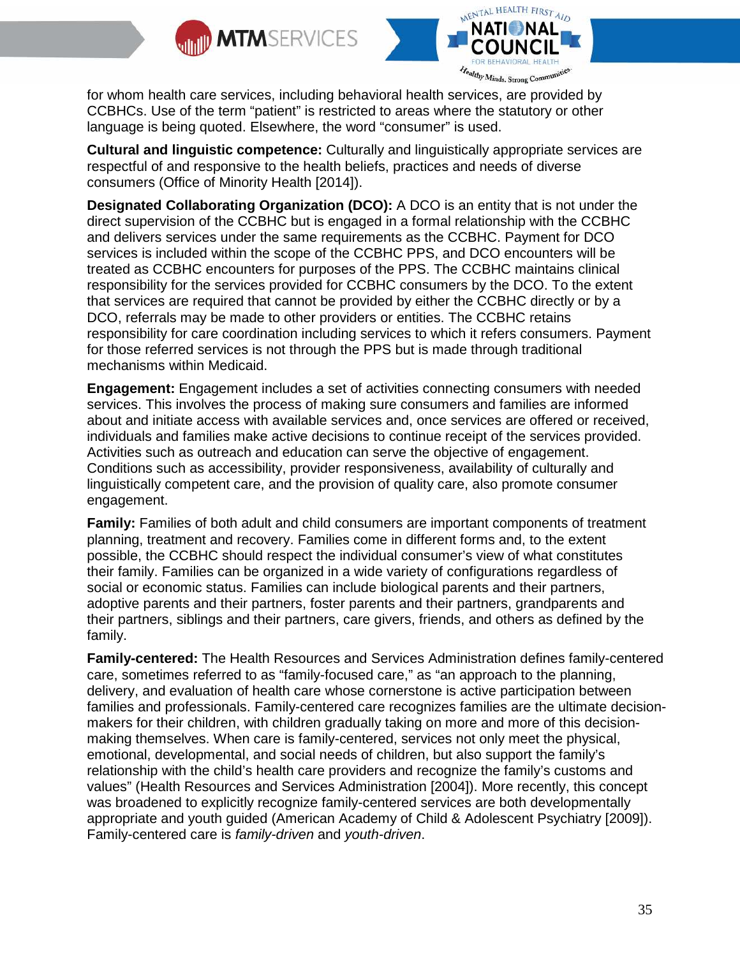



for whom health care services, including behavioral health services, are provided by CCBHCs. Use of the term "patient" is restricted to areas where the statutory or other language is being quoted. Elsewhere, the word "consumer" is used.

**Cultural and linguistic competence:** Culturally and linguistically appropriate services are respectful of and responsive to the health beliefs, practices and needs of diverse consumers (Office of Minority Health [2014]).

**Designated Collaborating Organization (DCO):** A DCO is an entity that is not under the direct supervision of the CCBHC but is engaged in a formal relationship with the CCBHC and delivers services under the same requirements as the CCBHC. Payment for DCO services is included within the scope of the CCBHC PPS, and DCO encounters will be treated as CCBHC encounters for purposes of the PPS. The CCBHC maintains clinical responsibility for the services provided for CCBHC consumers by the DCO. To the extent that services are required that cannot be provided by either the CCBHC directly or by a DCO, referrals may be made to other providers or entities. The CCBHC retains responsibility for care coordination including services to which it refers consumers. Payment for those referred services is not through the PPS but is made through traditional mechanisms within Medicaid.

**Engagement:** Engagement includes a set of activities connecting consumers with needed services. This involves the process of making sure consumers and families are informed about and initiate access with available services and, once services are offered or received, individuals and families make active decisions to continue receipt of the services provided. Activities such as outreach and education can serve the objective of engagement. Conditions such as accessibility, provider responsiveness, availability of culturally and linguistically competent care, and the provision of quality care, also promote consumer engagement.

**Family:** Families of both adult and child consumers are important components of treatment planning, treatment and recovery. Families come in different forms and, to the extent possible, the CCBHC should respect the individual consumer's view of what constitutes their family. Families can be organized in a wide variety of configurations regardless of social or economic status. Families can include biological parents and their partners, adoptive parents and their partners, foster parents and their partners, grandparents and their partners, siblings and their partners, care givers, friends, and others as defined by the family.

**Family-centered:** The Health Resources and Services Administration defines family-centered care, sometimes referred to as "family-focused care," as "an approach to the planning, delivery, and evaluation of health care whose cornerstone is active participation between families and professionals. Family-centered care recognizes families are the ultimate decisionmakers for their children, with children gradually taking on more and more of this decisionmaking themselves. When care is family-centered, services not only meet the physical, emotional, developmental, and social needs of children, but also support the family's relationship with the child's health care providers and recognize the family's customs and values" (Health Resources and Services Administration [2004]). More recently, this concept was broadened to explicitly recognize family-centered services are both developmentally appropriate and youth guided (American Academy of Child & Adolescent Psychiatry [2009]). Family-centered care is *family-driven* and *youth-driven*.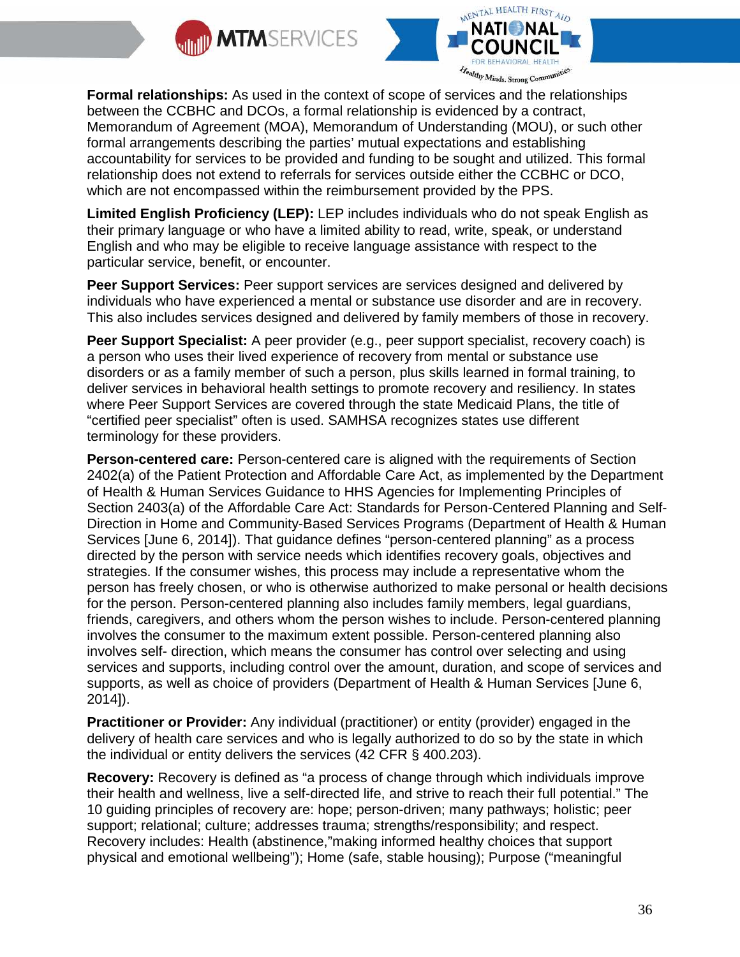



**Formal relationships:** As used in the context of scope of services and the relationships between the CCBHC and DCOs, a formal relationship is evidenced by a contract, Memorandum of Agreement (MOA), Memorandum of Understanding (MOU), or such other formal arrangements describing the parties' mutual expectations and establishing accountability for services to be provided and funding to be sought and utilized. This formal relationship does not extend to referrals for services outside either the CCBHC or DCO, which are not encompassed within the reimbursement provided by the PPS.

**Limited English Proficiency (LEP):** LEP includes individuals who do not speak English as their primary language or who have a limited ability to read, write, speak, or understand English and who may be eligible to receive language assistance with respect to the particular service, benefit, or encounter.

**Peer Support Services:** Peer support services are services designed and delivered by individuals who have experienced a mental or substance use disorder and are in recovery. This also includes services designed and delivered by family members of those in recovery.

**Peer Support Specialist:** A peer provider (e.g., peer support specialist, recovery coach) is a person who uses their lived experience of recovery from mental or substance use disorders or as a family member of such a person, plus skills learned in formal training, to deliver services in behavioral health settings to promote recovery and resiliency. In states where Peer Support Services are covered through the state Medicaid Plans, the title of "certified peer specialist" often is used. SAMHSA recognizes states use different terminology for these providers.

**Person-centered care:** Person-centered care is aligned with the requirements of Section 2402(a) of the Patient Protection and Affordable Care Act, as implemented by the Department of Health & Human Services Guidance to HHS Agencies for Implementing Principles of Section 2403(a) of the Affordable Care Act: Standards for Person-Centered Planning and Self-Direction in Home and Community-Based Services Programs (Department of Health & Human Services [June 6, 2014]). That guidance defines "person-centered planning" as a process directed by the person with service needs which identifies recovery goals, objectives and strategies. If the consumer wishes, this process may include a representative whom the person has freely chosen, or who is otherwise authorized to make personal or health decisions for the person. Person-centered planning also includes family members, legal guardians, friends, caregivers, and others whom the person wishes to include. Person-centered planning involves the consumer to the maximum extent possible. Person-centered planning also involves self- direction, which means the consumer has control over selecting and using services and supports, including control over the amount, duration, and scope of services and supports, as well as choice of providers (Department of Health & Human Services [June 6, 2014]).

**Practitioner or Provider:** Any individual (practitioner) or entity (provider) engaged in the delivery of health care services and who is legally authorized to do so by the state in which the individual or entity delivers the services (42 CFR § 400.203).

**Recovery:** Recovery is defined as "a process of change through which individuals improve their health and wellness, live a self-directed life, and strive to reach their full potential." The 10 guiding principles of recovery are: hope; person-driven; many pathways; holistic; peer support; relational; culture; addresses trauma; strengths/responsibility; and respect. Recovery includes: Health (abstinence,"making informed healthy choices that support physical and emotional wellbeing"); Home (safe, stable housing); Purpose ("meaningful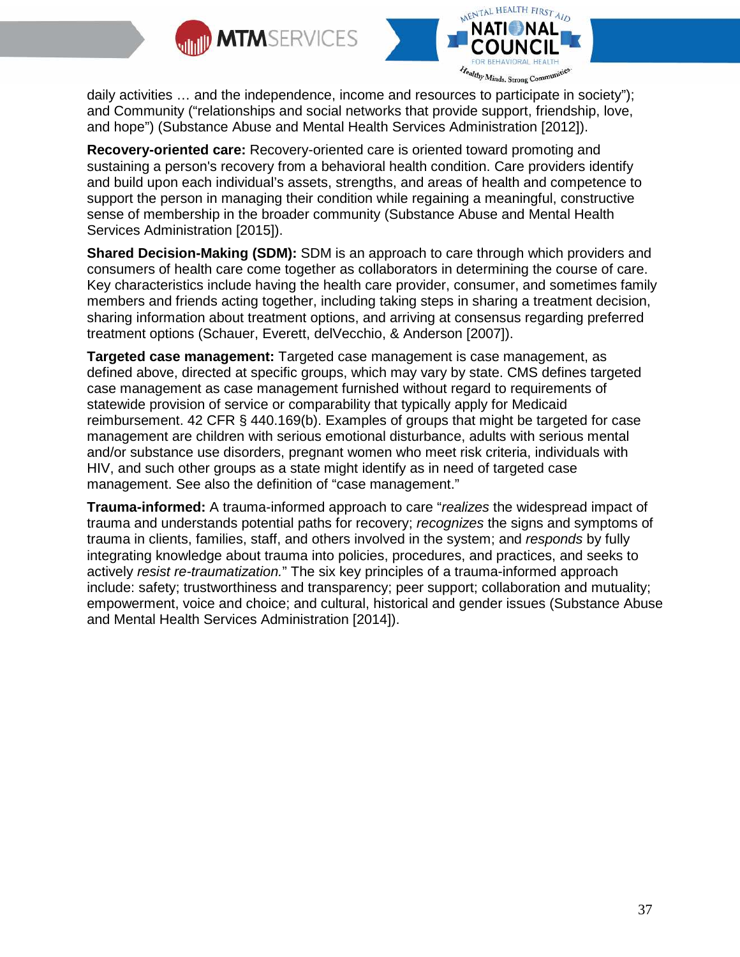



daily activities … and the independence, income and resources to participate in society"); and Community ("relationships and social networks that provide support, friendship, love, and hope") (Substance Abuse and Mental Health Services Administration [2012]).

**Recovery-oriented care:** Recovery-oriented care is oriented toward promoting and sustaining a person's recovery from a behavioral health condition. Care providers identify and build upon each individual's assets, strengths, and areas of health and competence to support the person in managing their condition while regaining a meaningful, constructive sense of membership in the broader community (Substance Abuse and Mental Health Services Administration [2015]).

**Shared Decision-Making (SDM):** SDM is an approach to care through which providers and consumers of health care come together as collaborators in determining the course of care. Key characteristics include having the health care provider, consumer, and sometimes family members and friends acting together, including taking steps in sharing a treatment decision, sharing information about treatment options, and arriving at consensus regarding preferred treatment options (Schauer, Everett, delVecchio, & Anderson [2007]).

**Targeted case management:** Targeted case management is case management, as defined above, directed at specific groups, which may vary by state. CMS defines targeted case management as case management furnished without regard to requirements of statewide provision of service or comparability that typically apply for Medicaid reimbursement. 42 CFR § 440.169(b). Examples of groups that might be targeted for case management are children with serious emotional disturbance, adults with serious mental and/or substance use disorders, pregnant women who meet risk criteria, individuals with HIV, and such other groups as a state might identify as in need of targeted case management. See also the definition of "case management."

**Trauma-informed:** A trauma-informed approach to care "*realizes* the widespread impact of trauma and understands potential paths for recovery; *recognizes* the signs and symptoms of trauma in clients, families, staff, and others involved in the system; and *responds* by fully integrating knowledge about trauma into policies, procedures, and practices, and seeks to actively *resist re-traumatization.*" The six key principles of a trauma-informed approach include: safety; trustworthiness and transparency; peer support; collaboration and mutuality; empowerment, voice and choice; and cultural, historical and gender issues (Substance Abuse and Mental Health Services Administration [2014]).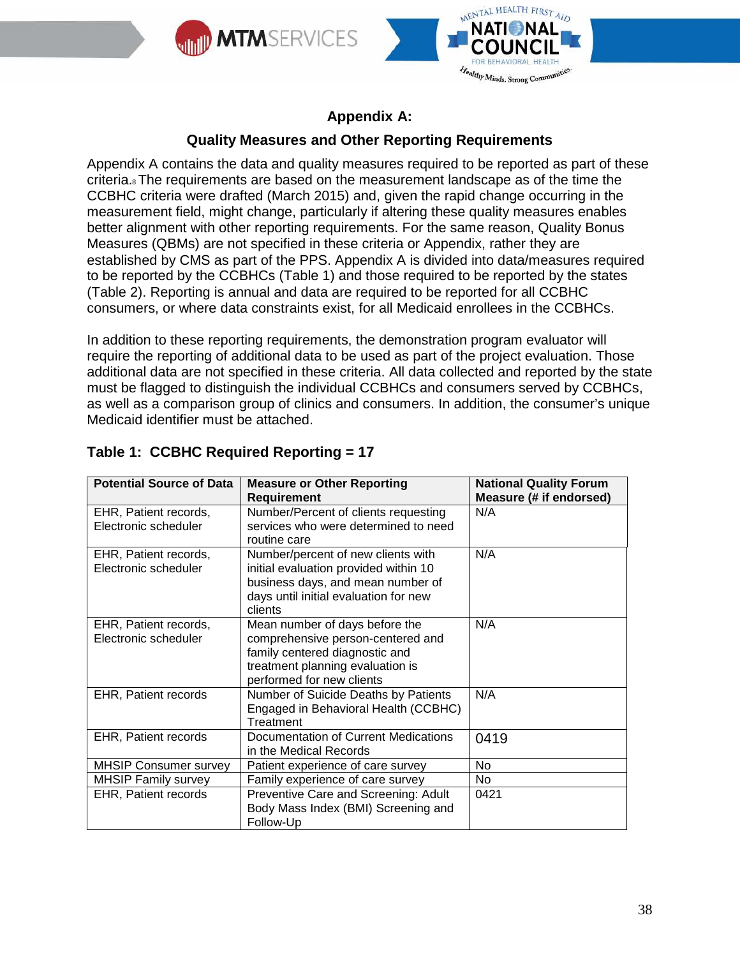



## **Appendix A:**

## **Quality Measures and Other Reporting Requirements**

Appendix A contains the data and quality measures required to be reported as part of these criteria.8The requirements are based on the measurement landscape as of the time the CCBHC criteria were drafted (March 2015) and, given the rapid change occurring in the measurement field, might change, particularly if altering these quality measures enables better alignment with other reporting requirements. For the same reason, Quality Bonus Measures (QBMs) are not specified in these criteria or Appendix, rather they are established by CMS as part of the PPS. Appendix A is divided into data/measures required to be reported by the CCBHCs (Table 1) and those required to be reported by the states (Table 2). Reporting is annual and data are required to be reported for all CCBHC consumers, or where data constraints exist, for all Medicaid enrollees in the CCBHCs.

In addition to these reporting requirements, the demonstration program evaluator will require the reporting of additional data to be used as part of the project evaluation. Those additional data are not specified in these criteria. All data collected and reported by the state must be flagged to distinguish the individual CCBHCs and consumers served by CCBHCs, as well as a comparison group of clinics and consumers. In addition, the consumer's unique Medicaid identifier must be attached.

|                                       | <b>National Quality Forum</b>                                         |
|---------------------------------------|-----------------------------------------------------------------------|
| <b>Requirement</b>                    | Measure (# if endorsed)                                               |
| Number/Percent of clients requesting  | N/A                                                                   |
| services who were determined to need  |                                                                       |
| routine care                          |                                                                       |
| Number/percent of new clients with    | N/A                                                                   |
| initial evaluation provided within 10 |                                                                       |
| business days, and mean number of     |                                                                       |
| days until initial evaluation for new |                                                                       |
| clients                               |                                                                       |
| Mean number of days before the        | N/A                                                                   |
| comprehensive person-centered and     |                                                                       |
| family centered diagnostic and        |                                                                       |
|                                       |                                                                       |
| performed for new clients             |                                                                       |
| Number of Suicide Deaths by Patients  | N/A                                                                   |
| Engaged in Behavioral Health (CCBHC)  |                                                                       |
| Treatment                             |                                                                       |
| Documentation of Current Medications  | 0419                                                                  |
| in the Medical Records                |                                                                       |
| Patient experience of care survey     | N <sub>0</sub>                                                        |
| Family experience of care survey      | No.                                                                   |
| Preventive Care and Screening: Adult  | 0421                                                                  |
| Body Mass Index (BMI) Screening and   |                                                                       |
| Follow-Up                             |                                                                       |
|                                       | <b>Measure or Other Reporting</b><br>treatment planning evaluation is |

## **Table 1: CCBHC Required Reporting = 17**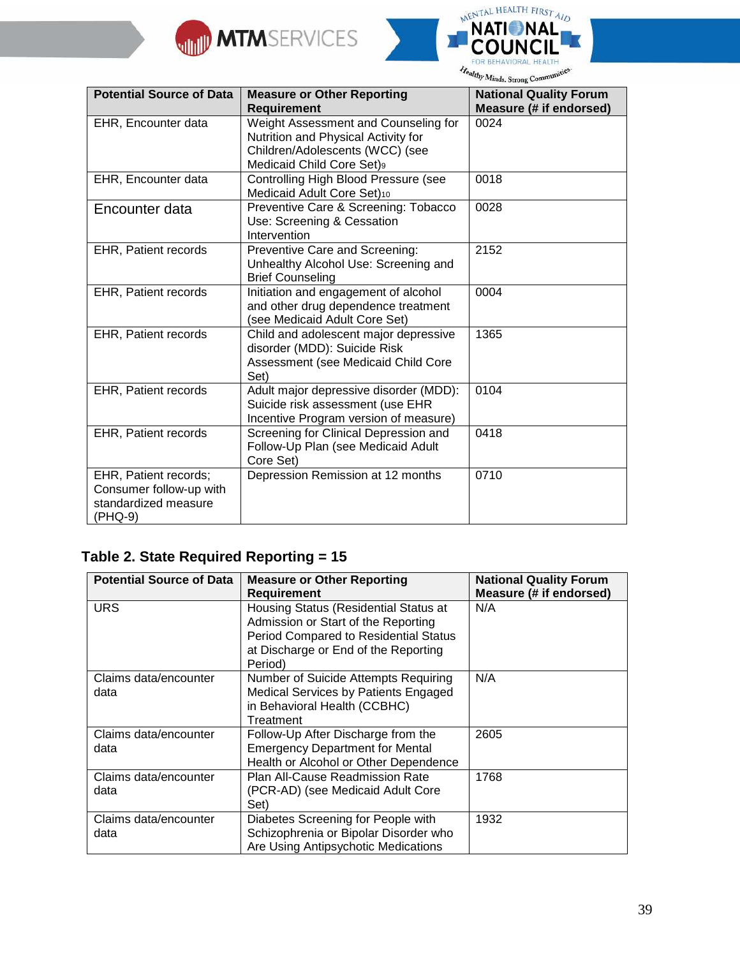



| <b>Potential Source of Data</b>                                                     | <b>Measure or Other Reporting</b><br><b>Requirement</b>                                                                                     | <b>National Quality Forum</b><br>Measure (# if endorsed) |
|-------------------------------------------------------------------------------------|---------------------------------------------------------------------------------------------------------------------------------------------|----------------------------------------------------------|
| EHR, Encounter data                                                                 | Weight Assessment and Counseling for<br>Nutrition and Physical Activity for<br>Children/Adolescents (WCC) (see<br>Medicaid Child Core Set)9 | 0024                                                     |
| EHR, Encounter data                                                                 | Controlling High Blood Pressure (see<br>Medicaid Adult Core Set)10                                                                          | 0018                                                     |
| Encounter data                                                                      | Preventive Care & Screening: Tobacco<br>Use: Screening & Cessation<br>Intervention                                                          | 0028                                                     |
| EHR, Patient records                                                                | Preventive Care and Screening:<br>Unhealthy Alcohol Use: Screening and<br><b>Brief Counseling</b>                                           | 2152                                                     |
| <b>EHR, Patient records</b>                                                         | Initiation and engagement of alcohol<br>and other drug dependence treatment<br>(see Medicaid Adult Core Set)                                | 0004                                                     |
| EHR, Patient records                                                                | Child and adolescent major depressive<br>disorder (MDD): Suicide Risk<br>Assessment (see Medicaid Child Core<br>Set)                        | 1365                                                     |
| EHR, Patient records                                                                | Adult major depressive disorder (MDD):<br>Suicide risk assessment (use EHR<br>Incentive Program version of measure)                         | 0104                                                     |
| <b>EHR, Patient records</b>                                                         | Screening for Clinical Depression and<br>Follow-Up Plan (see Medicaid Adult<br>Core Set)                                                    | 0418                                                     |
| EHR, Patient records;<br>Consumer follow-up with<br>standardized measure<br>(PHQ-9) | Depression Remission at 12 months                                                                                                           | 0710                                                     |

## **Table 2. State Required Reporting = 15**

| <b>Potential Source of Data</b> | <b>Measure or Other Reporting</b><br><b>Requirement</b> | <b>National Quality Forum</b><br>Measure (# if endorsed) |
|---------------------------------|---------------------------------------------------------|----------------------------------------------------------|
| <b>URS</b>                      | Housing Status (Residential Status at                   | N/A                                                      |
|                                 | Admission or Start of the Reporting                     |                                                          |
|                                 | Period Compared to Residential Status                   |                                                          |
|                                 | at Discharge or End of the Reporting                    |                                                          |
|                                 | Period)                                                 |                                                          |
| Claims data/encounter           | Number of Suicide Attempts Requiring                    | N/A                                                      |
| data                            | Medical Services by Patients Engaged                    |                                                          |
|                                 | in Behavioral Health (CCBHC)                            |                                                          |
|                                 | Treatment                                               |                                                          |
| Claims data/encounter           | Follow-Up After Discharge from the                      | 2605                                                     |
| data                            | <b>Emergency Department for Mental</b>                  |                                                          |
|                                 | Health or Alcohol or Other Dependence                   |                                                          |
| Claims data/encounter           | Plan All-Cause Readmission Rate                         | 1768                                                     |
| data                            | (PCR-AD) (see Medicaid Adult Core                       |                                                          |
|                                 | Set)                                                    |                                                          |
| Claims data/encounter           | Diabetes Screening for People with                      | 1932                                                     |
| data                            | Schizophrenia or Bipolar Disorder who                   |                                                          |
|                                 | Are Using Antipsychotic Medications                     |                                                          |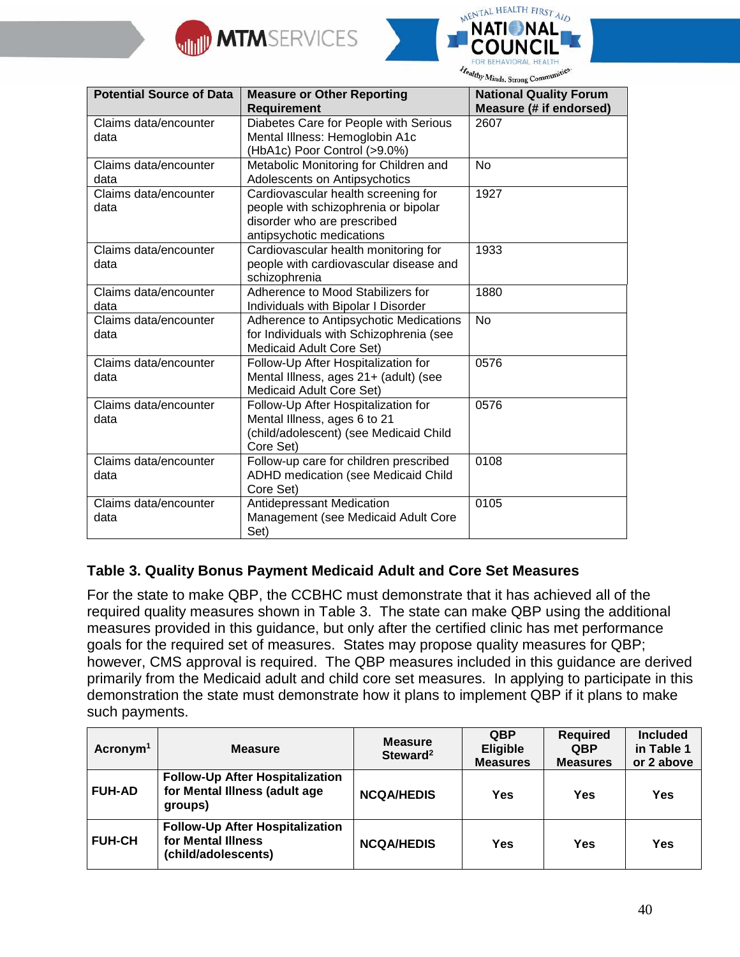



| <b>Potential Source of Data</b> | <b>Measure or Other Reporting</b><br><b>Requirement</b>                                                                                 | <b>National Quality Forum</b><br>Measure (# if endorsed) |
|---------------------------------|-----------------------------------------------------------------------------------------------------------------------------------------|----------------------------------------------------------|
| Claims data/encounter<br>data   | Diabetes Care for People with Serious<br>Mental Illness: Hemoglobin A1c<br>(HbA1c) Poor Control (>9.0%)                                 | 2607                                                     |
| Claims data/encounter<br>data   | Metabolic Monitoring for Children and<br>Adolescents on Antipsychotics                                                                  | <b>No</b>                                                |
| Claims data/encounter<br>data   | Cardiovascular health screening for<br>people with schizophrenia or bipolar<br>disorder who are prescribed<br>antipsychotic medications | 1927                                                     |
| Claims data/encounter<br>data   | Cardiovascular health monitoring for<br>people with cardiovascular disease and<br>schizophrenia                                         | 1933                                                     |
| Claims data/encounter<br>data   | Adherence to Mood Stabilizers for<br>Individuals with Bipolar I Disorder                                                                | 1880                                                     |
| Claims data/encounter<br>data   | Adherence to Antipsychotic Medications<br>for Individuals with Schizophrenia (see<br>Medicaid Adult Core Set)                           | <b>No</b>                                                |
| Claims data/encounter<br>data   | Follow-Up After Hospitalization for<br>Mental Illness, ages 21+ (adult) (see<br>Medicaid Adult Core Set)                                | 0576                                                     |
| Claims data/encounter<br>data   | Follow-Up After Hospitalization for<br>Mental Illness, ages 6 to 21<br>(child/adolescent) (see Medicaid Child<br>Core Set)              | 0576                                                     |
| Claims data/encounter<br>data   | Follow-up care for children prescribed<br>ADHD medication (see Medicaid Child<br>Core Set)                                              | 0108                                                     |
| Claims data/encounter<br>data   | Antidepressant Medication<br>Management (see Medicaid Adult Core<br>Set)                                                                | 0105                                                     |

## **Table 3. Quality Bonus Payment Medicaid Adult and Core Set Measures**

For the state to make QBP, the CCBHC must demonstrate that it has achieved all of the required quality measures shown in Table 3. The state can make QBP using the additional measures provided in this guidance, but only after the certified clinic has met performance goals for the required set of measures. States may propose quality measures for QBP; however, CMS approval is required. The QBP measures included in this guidance are derived primarily from the Medicaid adult and child core set measures. In applying to participate in this demonstration the state must demonstrate how it plans to implement QBP if it plans to make such payments.

| Acronym <sup>1</sup> | <b>Measure</b>                                                                      | <b>Measure</b><br>Steward <sup>2</sup> | <b>QBP</b><br><b>Eligible</b><br><b>Measures</b> | <b>Required</b><br><b>QBP</b><br><b>Measures</b> | <b>Included</b><br>in Table 1<br>or 2 above |
|----------------------|-------------------------------------------------------------------------------------|----------------------------------------|--------------------------------------------------|--------------------------------------------------|---------------------------------------------|
| <b>FUH-AD</b>        | <b>Follow-Up After Hospitalization</b><br>for Mental Illness (adult age<br>groups)  | <b>NCQA/HEDIS</b>                      | Yes                                              | Yes                                              | Yes                                         |
| <b>FUH-CH</b>        | <b>Follow-Up After Hospitalization</b><br>for Mental Illness<br>(child/adolescents) | <b>NCQA/HEDIS</b>                      | Yes                                              | <b>Yes</b>                                       | Yes                                         |